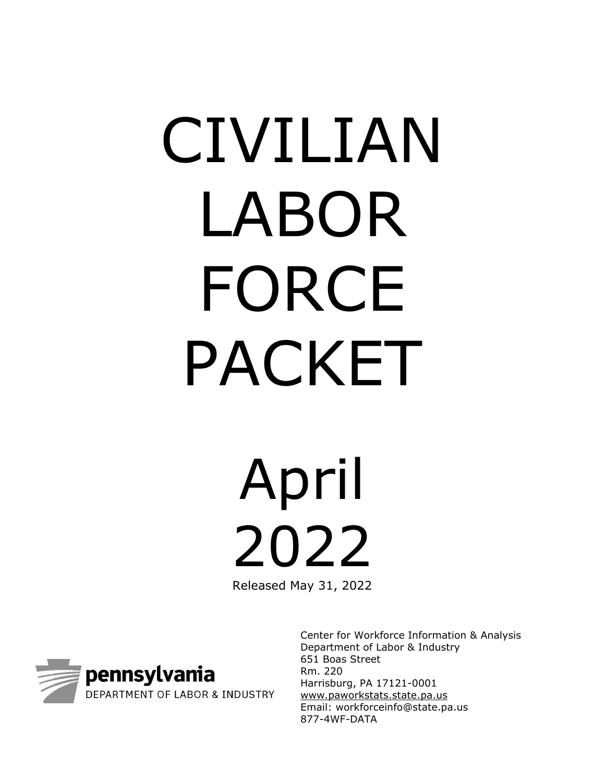# CIVILIAN LABOR FORCE PACKET

April 2022

Released May 31, 2022



Center for Workforce Information & Analysis Department of Labor & Industry 651 Boas Street Rm. 220 Harrisburg, PA 17121-0001 www.paworkstats.state.pa.us Email: workforceinfo@state.pa.us 877-4WF-DATA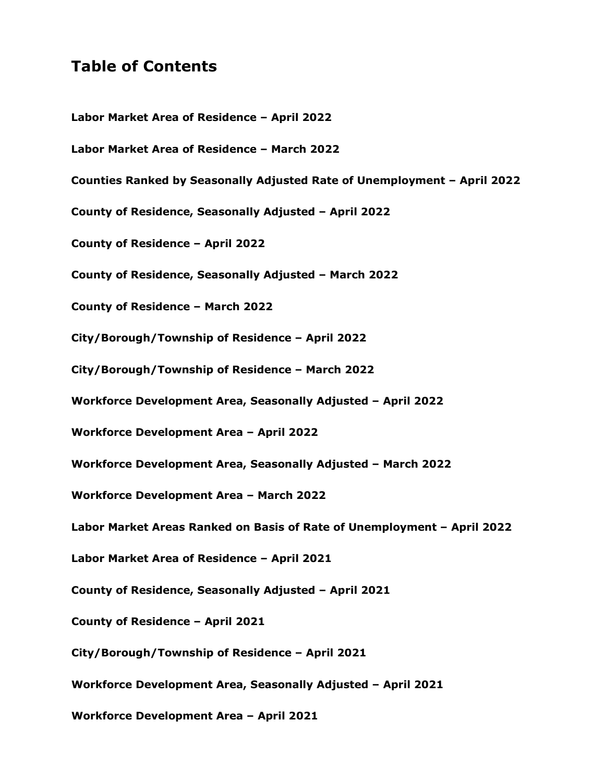# **Table of Contents**

**[Labor Market Area of Residence –](#page-2-0) April 2022 [Labor Market Area of Residence –](#page-3-0) March 2022 [Counties Ranked by Seasonally Adjusted Rate of Unemployment –](#page-4-0) April 2022 [County of Residence, Seasonally Adjusted –](#page-5-0) April 2022 County of [Residence](#page-6-0) – April 2022 [County of Residence, Seasonally Adjusted –](#page-7-0) March 2022 [County of Residence –](#page-8-0) March 2022 [City/Borough/Township of Residence –](#page-9-0) April 2022 [City/Borough/Township of Residence –](#page-10-0) March 2022 Workforce Development [Area, Seasonally Adjusted](#page-11-0) – April 2022 [Workforce Development](#page-12-0) Area – April 2022 Workforce Development [Area, Seasonally Adjusted –](#page-13-0) March 2022 [Workforce Development](#page-14-0) Area – March 2022 [Labor Market Areas Ranked on Basis of Rate of Unemployment –](#page-15-0) April 2022 Labor [Market Area of Residence –](#page-16-0) April 2021 [County of Residence, Seasonally Adjusted –](#page-17-0) April 2021 [County of Residence –](#page-18-0) April 2021 [City/Borough/Township of Residence –](#page-19-0) April 2021 Workforce Development [Area, Seasonally Adjusted –](#page-20-0) April 2021 [Workforce Development](#page-21-0) Area – April 2021**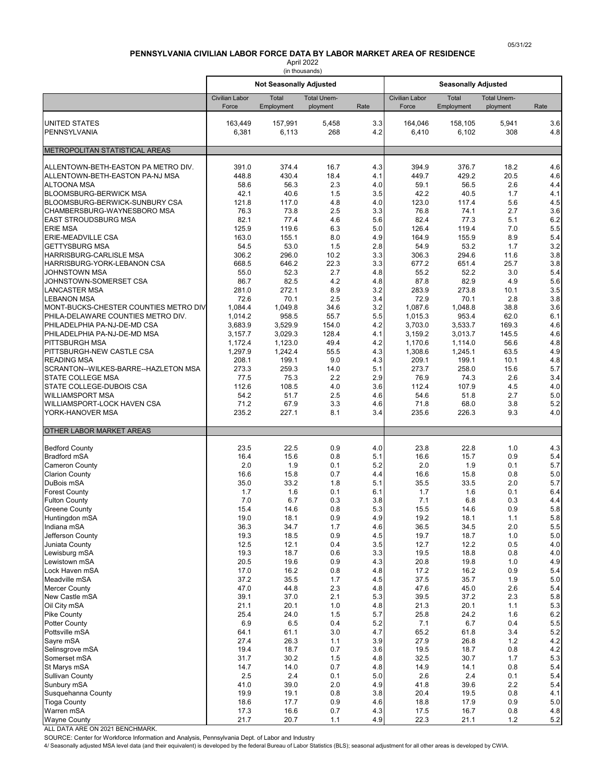# **PENNSYLVANIA CIVILIAN LABOR FORCE DATA BY LABOR MARKET AREA OF RESIDENCE**

April 2022 (in thousands)

<span id="page-2-0"></span>

|                                                                      |                       | <b>Not Seasonally Adjusted</b> | (III uluusallus    |                         | <b>Seasonally Adjusted</b> |                  |                    |                |
|----------------------------------------------------------------------|-----------------------|--------------------------------|--------------------|-------------------------|----------------------------|------------------|--------------------|----------------|
|                                                                      | <b>Civilian Labor</b> | Total                          | <b>Total Unem-</b> |                         | <b>Civilian Labor</b>      | Total            | <b>Total Unem-</b> |                |
|                                                                      | Force                 | Employment                     | ployment           | Rate                    | Force                      | Employment       | ployment           | Rate           |
| <b>UNITED STATES</b>                                                 | 163,449               | 157,991                        | 5,458              | 3.3                     | 164.046                    | 158,105          | 5,941              | 3.6            |
| PENNSYLVANIA                                                         | 6,381                 | 6,113                          | 268                | 4.2                     | 6,410                      | 6,102            | 308                | 4.8            |
| METROPOLITAN STATISTICAL AREAS                                       |                       |                                |                    |                         |                            |                  |                    |                |
| ALLENTOWN-BETH-EASTON PA METRO DIV.                                  | 391.0                 | 374.4                          | 16.7               | 4.3                     | 394.9                      | 376.7            | 18.2               | 4.6            |
| ALLENTOWN-BETH-EASTON PA-NJ MSA                                      | 448.8                 | 430.4                          | 18.4               | 4.1                     | 449.7                      | 429.2            | 20.5               | 4.6            |
| <b>ALTOONA MSA</b>                                                   | 58.6                  | 56.3                           | 2.3                | 4.0 <sub>1</sub>        | 59.1                       | 56.5             | 2.6                | 4.4            |
| <b>BLOOMSBURG-BERWICK MSA</b>                                        | 42.1                  | 40.6                           | 1.5                | 3.5                     | 42.2                       | 40.5             | 1.7                | 4.1            |
| <b>BLOOMSBURG-BERWICK-SUNBURY CSA</b><br>CHAMBERSBURG-WAYNESBORO MSA | 121.8<br>76.3         | 117.0<br>73.8                  | 4.8<br>2.5         | 4.0<br>3.3              | 123.0<br>76.8              | 117.4<br>74.1    | 5.6<br>2.7         | 4.5<br>3.6     |
| <b>EAST STROUDSBURG MSA</b>                                          | 82.1                  | 77.4                           | 4.6                | 5.6                     | 82.4                       | 77.3             | 5.1                | 6.2            |
| <b>ERIE MSA</b>                                                      | 125.9                 | 119.6                          | 6.3                | 5.0                     | 126.4                      | 119.4            | 7.0                | 5.5            |
| <b>ERIE-MEADVILLE CSA</b>                                            | 163.0                 | 155.1                          | 8.0                | 4.9                     | 164.9                      | 155.9            | 8.9                | 5.4            |
| <b>GETTYSBURG MSA</b><br>HARRISBURG-CARLISLE MSA                     | 54.5<br>306.2         | 53.0<br>296.0                  | 1.5<br>10.2        | 2.8<br>3.3              | 54.9<br>306.3              | 53.2<br>294.6    | 1.7<br>11.6        | 3.2<br>3.8     |
| <b>HARRISBURG-YORK-LEBANON CSA</b>                                   | 668.5                 | 646.2                          | 22.3               | 3.3                     | 677.2                      | 651.4            | 25.7               | 3.8            |
| JOHNSTOWN MSA                                                        | 55.0                  | 52.3                           | 2.7                | 4.8                     | 55.2                       | 52.2             | 3.0                | 5.4            |
| JOHNSTOWN-SOMERSET CSA                                               | 86.7                  | 82.5                           | 4.2                | 4.8                     | 87.8                       | 82.9             | 4.9                | 5.6            |
| <b>LANCASTER MSA</b>                                                 | 281.0                 | 272.1                          | 8.9                | 3.2                     | 283.9                      | 273.8            | 10.1               | 3.5            |
| <b>LEBANON MSA</b><br>MONT-BUCKS-CHESTER COUNTIES METRO DIV          | 72.6<br>1,084.4       | 70.1<br>1,049.8                | 2.5<br>34.6        | 3.4<br>3.2              | 72.9<br>1,087.6            | 70.1<br>1,048.8  | 2.8<br>38.8        | 3.8<br>3.6     |
| PHILA-DELAWARE COUNTIES METRO DIV.                                   | 1,014.2               | 958.5                          | 55.7               | 5.5                     | 1,015.3                    | 953.4            | 62.0               | 6.1            |
| PHILADELPHIA PA-NJ-DE-MD CSA                                         | 3.683.9               | 3,529.9                        | 154.0              | 4.2                     | 3,703.0                    | 3,533.7          | 169.3              | 4.6            |
| PHILADELPHIA PA-NJ-DE-MD MSA                                         | 3,157.7               | 3,029.3                        | 128.4              | 4.1                     | 3,159.2                    | 3,013.7          | 145.5              | 4.6            |
| <b>PITTSBURGH MSA</b>                                                | 1,172.4               | 1,123.0                        | 49.4               | 4.2                     | 1,170.6                    | 1,114.0          | 56.6               | 4.8            |
| PITTSBURGH-NEW CASTLE CSA<br><b>READING MSA</b>                      | 1,297.9<br>208.1      | 1,242.4<br>199.1               | 55.5<br>9.0        | 4.3<br>4.3              | 1,308.6<br>209.1           | 1,245.1<br>199.1 | 63.5<br>10.1       | 4.9<br>4.8     |
| SCRANTON--WILKES-BARRE--HAZLETON MSA                                 | 273.3                 | 259.3                          | 14.0               | 5.1                     | 273.7                      | 258.0            | 15.6               | 5.7            |
| <b>STATE COLLEGE MSA</b>                                             | 77.5                  | 75.3                           | 2.2                | 2.9                     | 76.9                       | 74.3             | 2.6                | 3.4            |
| STATE COLLEGE-DUBOIS CSA                                             | 112.6                 | 108.5                          | 4.0                | 3.6                     | 112.4                      | 107.9            | 4.5                | 4.0            |
| <b>WILLIAMSPORT MSA</b>                                              | 54.2                  | 51.7                           | 2.5                | 4.6                     | 54.6                       | 51.8             | 2.7                | 5.0            |
| WILLIAMSPORT-LOCK HAVEN CSA<br>YORK-HANOVER MSA                      | 71.2<br>235.2         | 67.9<br>227.1                  | 3.3<br>8.1         | 4.6 <sub>1</sub><br>3.4 | 71.8<br>235.6              | 68.0<br>226.3    | 3.8<br>9.3         | 5.2<br>4.0     |
| <b>OTHER LABOR MARKET AREAS</b>                                      |                       |                                |                    |                         |                            |                  |                    |                |
|                                                                      |                       |                                |                    |                         |                            |                  |                    |                |
| <b>Bedford County</b><br>Bradford mSA                                | 23.5<br>16.4          | 22.5<br>15.6                   | 0.9<br>0.8         | 4.0<br>5.1              | 23.8<br>16.6               | 22.8<br>15.7     | 1.0<br>0.9         | 4.3<br>5.4     |
| <b>Cameron County</b>                                                | 2.0                   | 1.9                            | 0.1                | 5.2                     | 2.0                        | 1.9              | 0.1                | 5.7            |
| <b>Clarion County</b>                                                | 16.6                  | 15.8                           | 0.7                | 4.4                     | 16.6                       | 15.8             | 0.8                | 5.0            |
| DuBois mSA                                                           | 35.0                  | 33.2                           | 1.8                | 5.1                     | 35.5                       | 33.5             | 2.0                | 5.7            |
| <b>Forest County</b>                                                 | 1.7                   | 1.6                            | 0.1                | 6.1                     | 1.7                        | 1.6              | 0.1                | 6.4            |
| <b>Fulton County</b><br><b>Greene County</b>                         | 7.0<br>15.4           | 6.7<br>14.6                    | 0.3<br>0.8         | 3.8<br>5.3              | 7.1<br>15.5                | 6.8<br>14.6      | 0.3<br>0.9         | 4.4<br>5.8     |
| Huntingdon mSA                                                       | 19.0                  | 18.1                           | $0.9\,$            | 4.9                     | 19.2                       | 18.1             | 1.1                | $5.8\,$        |
| Indiana mSA                                                          | 36.3                  | 34.7                           | 1.7                | 4.6                     | 36.5                       | 34.5             | 2.0                | $5.5\,$        |
| Jefferson County                                                     | 19.3                  | 18.5                           | 0.9                | 4.5                     | 19.7                       | 18.7             | 1.0                | $5.0\,$        |
| Juniata County<br>Lewisburg mSA                                      | 12.5                  | 12.1                           | 0.4                | 3.5                     | 12.7                       | 12.2             | 0.5                | 4.0            |
| Lewistown mSA                                                        | 19.3<br>20.5          | 18.7<br>19.6                   | 0.6<br>0.9         | 3.3<br>4.3              | 19.5<br>20.8               | 18.8<br>19.8     | 0.8<br>1.0         | 4.0<br>4.9     |
| Lock Haven mSA                                                       | 17.0                  | 16.2                           | 0.8                | 4.8                     | 17.2                       | 16.2             | 0.9                | 5.4            |
| Meadville mSA                                                        | 37.2                  | 35.5                           | 1.7                | 4.5                     | 37.5                       | 35.7             | 1.9                | 5.0            |
| <b>Mercer County</b>                                                 | 47.0                  | 44.8                           | 2.3                | 4.8                     | 47.6                       | 45.0             | 2.6                | 5.4            |
| New Castle mSA                                                       | 39.1                  | 37.0                           | 2.1                | 5.3                     | 39.5                       | 37.2<br>20.1     | 2.3                | 5.8            |
| Oil City mSA<br><b>Pike County</b>                                   | 21.1<br>25.4          | 20.1<br>24.0                   | 1.0<br>1.5         | 4.8<br>5.7              | 21.3<br>25.8               | 24.2             | 1.1<br>1.6         | 5.3<br>6.2     |
| <b>Potter County</b>                                                 | 6.9                   | 6.5                            | 0.4                | 5.2                     | 7.1                        | 6.7              | 0.4                | $5.5\,$        |
| Pottsville mSA                                                       | 64.1                  | 61.1                           | 3.0                | 4.7                     | 65.2                       | 61.8             | 3.4                | $5.2\,$        |
| Sayre mSA                                                            | 27.4                  | 26.3                           | 1.1                | 3.9                     | 27.9                       | 26.8             | $1.2$              | 4.2            |
| Selinsgrove mSA<br>Somerset mSA                                      | 19.4<br>31.7          | 18.7<br>30.2                   | 0.7<br>1.5         | 3.6<br>4.8              | 19.5<br>32.5               | 18.7<br>30.7     | 0.8<br>1.7         | 4.2<br>5.3     |
| St Marys mSA                                                         | 14.7                  | 14.0                           | 0.7                | 4.8                     | 14.9                       | 14.1             | 0.8                | 5.4            |
| <b>Sullivan County</b>                                               | 2.5                   | 2.4                            | 0.1                | $5.0\,$                 | 2.6                        | $2.4\,$          | 0.1                | 5.4            |
| Sunbury mSA                                                          | 41.0                  | 39.0                           | 2.0                | 4.9                     | 41.8                       | 39.6             | 2.2                | 5.4            |
| Susquehanna County                                                   | 19.9                  | 19.1                           | 0.8                | 3.8                     | 20.4                       | 19.5             | 0.8                | 4.1            |
| <b>Tioga County</b><br>Warren mSA                                    | 18.6<br>17.3          | 17.7<br>16.6                   | 0.9<br>0.7         | 4.6<br>4.3              | 18.8<br>17.5               | 17.9<br>16.7     | 0.9<br>0.8         | $5.0\,$<br>4.8 |
| <b>Wayne County</b>                                                  | 21.7                  | 20.7                           | $1.1$              | 4.9                     | 22.3                       | 21.1             | $1.2$              | $5.2\,$        |

ALL DATA ARE ON 2021 BENCHMARK.

SOURCE: Center for Workforce Information and Analysis, Pennsylvania Dept. of Labor and Industry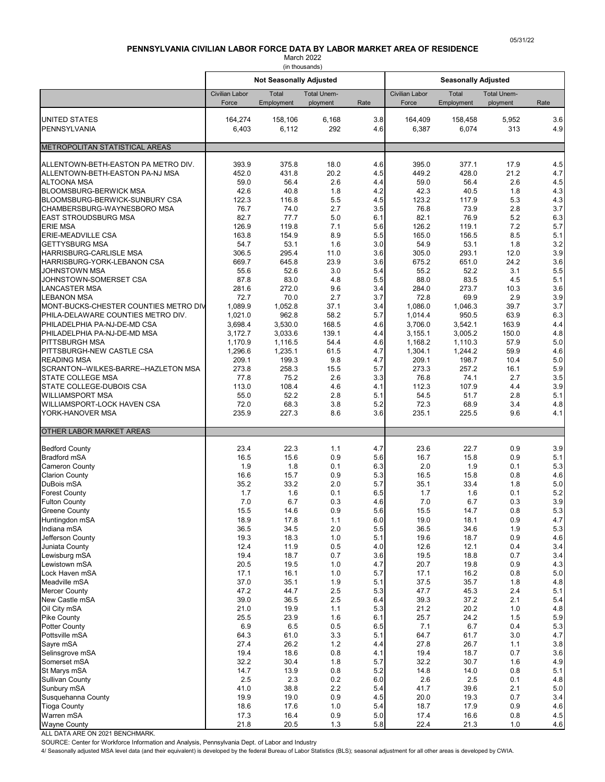# **PENNSYLVANIA CIVILIAN LABOR FORCE DATA BY LABOR MARKET AREA OF RESIDENCE**

March 2022 (in thousands)

<span id="page-3-0"></span>

|                                                                    |                                | <b>Not Seasonally Adjusted</b> |                                |            | <b>Seasonally Adjusted</b> |                     |                                |                |
|--------------------------------------------------------------------|--------------------------------|--------------------------------|--------------------------------|------------|----------------------------|---------------------|--------------------------------|----------------|
|                                                                    | <b>Civilian Labor</b><br>Force | Total<br>Employment            | <b>Total Unem-</b><br>ployment | Rate       | Civilian Labor<br>Force    | Total<br>Employment | <b>Total Unem-</b><br>ployment | Rate           |
| <b>UNITED STATES</b><br>PENNSYLVANIA                               | 164,274<br>6,403               | 158,106<br>6,112               | 6,168<br>292                   | 3.8<br>4.6 | 164,409<br>6,387           | 158,458<br>6,074    | 5,952<br>313                   | 3.6<br>4.9     |
|                                                                    |                                |                                |                                |            |                            |                     |                                |                |
| METROPOLITAN STATISTICAL AREAS                                     |                                |                                |                                |            |                            |                     |                                |                |
| ALLENTOWN-BETH-EASTON PA METRO DIV.                                | 393.9                          | 375.8                          | 18.0                           | 4.6        | 395.0                      | 377.1               | 17.9                           | 4.5            |
| ALLENTOWN-BETH-EASTON PA-NJ MSA                                    | 452.0                          | 431.8                          | 20.2                           | 4.5        | 449.2                      | 428.0               | 21.2                           | 4.7            |
| <b>ALTOONA MSA</b><br><b>BLOOMSBURG-BERWICK MSA</b>                | 59.0<br>42.6                   | 56.4<br>40.8                   | 2.6<br>1.8                     | 4.4<br>4.2 | 59.0<br>42.3               | 56.4<br>40.5        | 2.6<br>1.8                     | 4.5<br>4.3     |
| BLOOMSBURG-BERWICK-SUNBURY CSA                                     | 122.3                          | 116.8                          | 5.5                            | 4.5        | 123.2                      | 117.9               | 5.3                            | 4.3            |
| CHAMBERSBURG-WAYNESBORO MSA                                        | 76.7                           | 74.0                           | 2.7                            | 3.5        | 76.8                       | 73.9                | 2.8                            | 3.7            |
| <b>EAST STROUDSBURG MSA</b>                                        | 82.7                           | 77.7                           | 5.0                            | 6.1        | 82.1                       | 76.9                | 5.2                            | 6.3            |
| <b>ERIE MSA</b><br><b>ERIE-MEADVILLE CSA</b>                       | 126.9<br>163.8                 | 119.8<br>154.9                 | 7.1<br>8.9                     | 5.6<br>5.5 | 126.2<br>165.0             | 119.1<br>156.5      | 7.2<br>8.5                     | 5.7<br>5.1     |
| <b>GETTYSBURG MSA</b>                                              | 54.7                           | 53.1                           | 1.6                            | 3.0        | 54.9                       | 53.1                | 1.8                            | 3.2            |
| HARRISBURG-CARLISLE MSA                                            | 306.5                          | 295.4                          | 11.0                           | 3.6        | 305.0                      | 293.1               | 12.0                           | 3.9            |
| HARRISBURG-YORK-LEBANON CSA                                        | 669.7                          | 645.8                          | 23.9                           | 3.6        | 675.2                      | 651.0               | 24.2                           | 3.6            |
| <b>JOHNSTOWN MSA</b><br>JOHNSTOWN-SOMERSET CSA                     | 55.6<br>87.8                   | 52.6<br>83.0                   | 3.0<br>4.8                     | 5.4<br>5.5 | 55.2<br>88.0               | 52.2<br>83.5        | 3.1<br>4.5                     | 5.5<br>5.1     |
| <b>LANCASTER MSA</b>                                               | 281.6                          | 272.0                          | 9.6                            | 3.4        | 284.0                      | 273.7               | 10.3                           | 3.6            |
| <b>LEBANON MSA</b>                                                 | 72.7                           | 70.0                           | 2.7                            | 3.7        | 72.8                       | 69.9                | 2.9                            | 3.9            |
| MONT-BUCKS-CHESTER COUNTIES METRO DIV                              | 1,089.9                        | 1,052.8                        | 37.1                           | 3.4        | 1,086.0                    | 1,046.3             | 39.7                           | 3.7            |
| PHILA-DELAWARE COUNTIES METRO DIV.<br>PHILADELPHIA PA-NJ-DE-MD CSA | 1,021.0<br>3,698.4             | 962.8<br>3,530.0               | 58.2<br>168.5                  | 5.7<br>4.6 | 1,014.4<br>3,706.0         | 950.5<br>3,542.1    | 63.9<br>163.9                  | 6.3<br>4.4     |
| PHILADELPHIA PA-NJ-DE-MD MSA                                       | 3,172.7                        | 3,033.6                        | 139.1                          | 4.4        | 3,155.1                    | 3,005.2             | 150.0                          | 4.8            |
| <b>PITTSBURGH MSA</b>                                              | 1,170.9                        | 1,116.5                        | 54.4                           | 4.6        | 1,168.2                    | 1,110.3             | 57.9                           | 5.0            |
| PITTSBURGH-NEW CASTLE CSA                                          | 1,296.6                        | 1,235.1                        | 61.5                           | 4.7        | 1,304.1                    | 1,244.2             | 59.9                           | 4.6            |
| <b>READING MSA</b>                                                 | 209.1                          | 199.3<br>258.3                 | 9.8                            | 4.7        | 209.1                      | 198.7               | 10.4<br>16.1                   | 5.0<br>5.9     |
| SCRANTON--WILKES-BARRE--HAZLETON MSA<br><b>STATE COLLEGE MSA</b>   | 273.8<br>77.8                  | 75.2                           | 15.5<br>2.6                    | 5.7<br>3.3 | 273.3<br>76.8              | 257.2<br>74.1       | 2.7                            | 3.5            |
| STATE COLLEGE-DUBOIS CSA                                           | 113.0                          | 108.4                          | 4.6                            | 4.1        | 112.3                      | 107.9               | 4.4                            | 3.9            |
| <b>WILLIAMSPORT MSA</b>                                            | 55.0                           | 52.2                           | 2.8                            | 5.1        | 54.5                       | 51.7                | 2.8                            | 5.1            |
| WILLIAMSPORT-LOCK HAVEN CSA<br>YORK-HANOVER MSA                    | 72.0<br>235.9                  | 68.3<br>227.3                  | 3.8<br>8.6                     | 5.2<br>3.6 | 72.3<br>235.1              | 68.9<br>225.5       | 3.4<br>9.6                     | 4.8<br>4.1     |
| <b>OTHER LABOR MARKET AREAS</b>                                    |                                |                                |                                |            |                            |                     |                                |                |
|                                                                    |                                |                                |                                |            |                            |                     |                                |                |
| <b>Bedford County</b><br><b>Bradford mSA</b>                       | 23.4<br>16.5                   | 22.3<br>15.6                   | 1.1<br>0.9                     | 4.7<br>5.6 | 23.6<br>16.7               | 22.7<br>15.8        | 0.9<br>0.9                     | 3.9<br>5.1     |
| <b>Cameron County</b>                                              | 1.9                            | 1.8                            | 0.1                            | 6.3        | 2.0                        | 1.9                 | 0.1                            | 5.3            |
| <b>Clarion County</b>                                              | 16.6                           | 15.7                           | 0.9                            | 5.3        | 16.5                       | 15.8                | 0.8                            | 4.6            |
| DuBois mSA                                                         | 35.2                           | 33.2                           | 2.0                            | 5.7        | 35.1                       | 33.4                | 1.8                            | 5.0            |
| <b>Forest County</b><br><b>Fulton County</b>                       | 1.7<br>7.0                     | 1.6<br>6.7                     | 0.1<br>0.3                     | 6.5<br>4.6 | 1.7<br>7.0                 | 1.6<br>6.7          | 0.1<br>0.3                     | 5.2<br>3.9     |
| <b>Greene County</b>                                               | 15.5                           | 14.6                           | 0.9                            | 5.6        | 15.5                       | 14.7                | 0.8                            | 5.3            |
| Huntingdon mSA                                                     | 18.9                           | 17.8                           | 1.1                            | $6.0\,$    | 19.0                       | 18.1                | 0.9                            | 4.7            |
| Indiana mSA                                                        | 36.5                           | 34.5                           | 2.0                            | 5.5        | 36.5                       | 34.6                | 1.9                            | $5.3\,$        |
| Jefferson County                                                   | 19.3                           | 18.3                           | 1.0                            | 5.1        | 19.6                       | 18.7                | 0.9                            | 4.6<br>3.4     |
| Juniata County<br>Lewisburg mSA                                    | 12.4<br>19.4                   | 11.9<br>18.7                   | 0.5<br>0.7                     | 4.0<br>3.6 | 12.6<br>19.5               | 12.1<br>18.8        | 0.4<br>0.7                     | 3.4            |
| Lewistown mSA                                                      | 20.5                           | 19.5                           | 1.0                            | 4.7        | 20.7                       | 19.8                | 0.9                            | 4.3            |
| Lock Haven mSA                                                     | 17.1                           | 16.1                           | 1.0                            | 5.7        | 17.1                       | 16.2                | 0.8                            | $5.0$          |
| Meadville mSA                                                      | 37.0                           | 35.1                           | 1.9                            | 5.1        | 37.5                       | 35.7                | 1.8                            | 4.8            |
| <b>Mercer County</b><br>New Castle mSA                             | 47.2<br>39.0                   | 44.7<br>36.5                   | 2.5<br>2.5                     | 5.3<br>6.4 | 47.7<br>39.3               | 45.3<br>37.2        | 2.4<br>2.1                     | 5.1<br>5.4     |
| Oil City mSA                                                       | 21.0                           | 19.9                           | 1.1                            | 5.3        | 21.2                       | 20.2                | 1.0                            | 4.8            |
| <b>Pike County</b>                                                 | 25.5                           | 23.9                           | 1.6                            | 6.1        | 25.7                       | 24.2                | 1.5                            | $5.9\,$        |
| <b>Potter County</b>                                               | 6.9                            | $6.5\,$                        | 0.5                            | 6.5        | 7.1                        | 6.7                 | 0.4                            | 5.3            |
| Pottsville mSA<br>Sayre mSA                                        | 64.3<br>27.4                   | 61.0<br>26.2                   | 3.3<br>1.2                     | 5.1<br>4.4 | 64.7<br>27.8               | 61.7<br>26.7        | 3.0<br>1.1                     | 4.7<br>3.8     |
| Selinsgrove mSA                                                    | 19.4                           | 18.6                           | 0.8                            | 4.1        | 19.4                       | 18.7                | 0.7                            | 3.6            |
| Somerset mSA                                                       | 32.2                           | 30.4                           | 1.8                            | 5.7        | 32.2                       | 30.7                | 1.6                            | 4.9            |
| St Marys mSA                                                       | 14.7                           | 13.9                           | 0.8                            | 5.2        | 14.8                       | 14.0                | 0.8                            | 5.1            |
| <b>Sullivan County</b>                                             | 2.5                            | $2.3\,$                        | $0.2\,$                        | 6.0        | 2.6                        | 2.5                 | 0.1                            | 4.8            |
| Sunbury mSA<br>Susquehanna County                                  | 41.0<br>19.9                   | 38.8<br>19.0                   | 2.2<br>0.9                     | 5.4<br>4.5 | 41.7<br>20.0               | 39.6<br>19.3        | 2.1<br>0.7                     | $5.0\,$<br>3.4 |
| <b>Tioga County</b>                                                | 18.6                           | 17.6                           | 1.0                            | 5.4        | 18.7                       | 17.9                | 0.9                            | 4.6            |
| Warren mSA                                                         | 17.3                           | 16.4                           | 0.9                            | $5.0\,$    | 17.4                       | 16.6                | 0.8                            | 4.5            |
| <b>Wayne County</b>                                                | 21.8                           | 20.5                           | $1.3$                          | 5.8        | 22.4                       | 21.3                | 1.0                            | 4.6            |

ALL DATA ARE ON 2021 BENCHMARK.

SOURCE: Center for Workforce Information and Analysis, Pennsylvania Dept. of Labor and Industry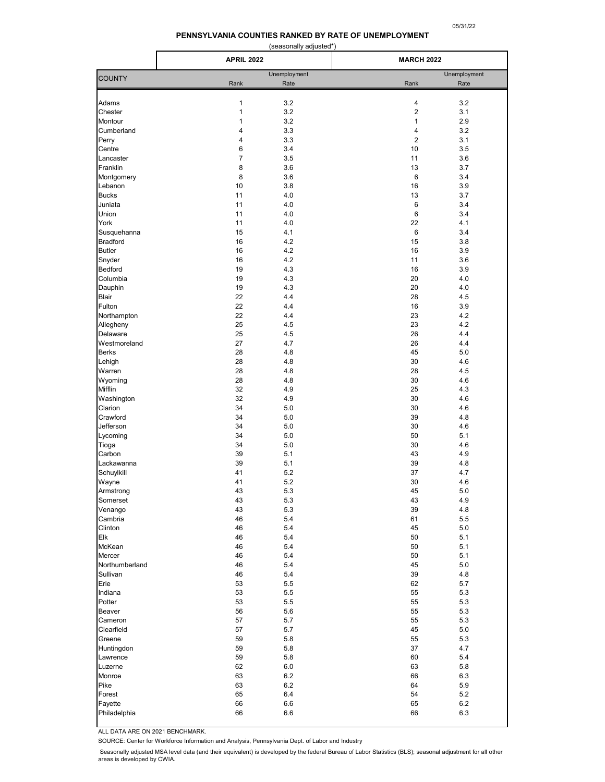# **PENNSYLVANIA COUNTIES RANKED BY RATE OF UNEMPLOYMENT**

| (seasonally adjusted*) |
|------------------------|
|------------------------|

<span id="page-4-0"></span>

|                       | <b>APRIL 2022</b>   |              | <b>MARCH 2022</b> |              |
|-----------------------|---------------------|--------------|-------------------|--------------|
| <b>COUNTY</b>         |                     | Unemployment |                   | Unemployment |
|                       | Rank                | Rate         | Rank              | Rate         |
| Adams                 | 1                   | 3.2          | 4                 | 3.2          |
| Chester               | $\mathbf{1}$        | 3.2          | $\overline{2}$    | 3.1          |
| Montour               | 1                   | 3.2          | $\mathbf{1}$      | 2.9          |
| Cumberland            | 4                   | 3.3          | $\overline{4}$    | 3.2          |
| Perry                 | 4                   | 3.3          | 2                 | 3.1          |
| Centre                | 6                   | 3.4          | 10                | 3.5          |
| Lancaster<br>Franklin | $\overline{7}$<br>8 | 3.5          | 11<br>13          | 3.6          |
| Montgomery            | 8                   | 3.6<br>3.6   | 6                 | 3.7<br>3.4   |
| Lebanon               | 10                  | 3.8          | 16                | 3.9          |
| <b>Bucks</b>          | 11                  | 4.0          | 13                | 3.7          |
| Juniata               | 11                  | 4.0          | 6                 | 3.4          |
| Union                 | 11                  | 4.0          | 6                 | 3.4          |
| York                  | 11                  | 4.0          | 22                | 4.1          |
| Susquehanna           | 15                  | 4.1          | 6                 | 3.4          |
| <b>Bradford</b>       | 16                  | 4.2          | 15                | 3.8          |
| <b>Butler</b>         | 16                  | 4.2          | 16                | 3.9          |
| Snyder                | 16                  | 4.2          | 11                | 3.6          |
| <b>Bedford</b>        | 19                  | 4.3          | 16                | 3.9          |
| Columbia              | 19                  | 4.3          | 20                | 4.0          |
| Dauphin               | 19                  | 4.3          | 20                | 4.0          |
| Blair                 | 22                  | 4.4          | 28                | 4.5          |
| Fulton                | 22                  | 4.4          | 16                | 3.9          |
| Northampton           | 22                  | 4.4          | 23                | 4.2          |
| Allegheny             | 25                  | 4.5          | 23                | 4.2          |
| Delaware              | 25                  | 4.5          | 26                | 4.4          |
| Westmoreland          | 27                  | 4.7          | 26                | 4.4          |
| <b>Berks</b>          | 28                  | 4.8          | 45                | 5.0          |
| Lehigh                | 28                  | 4.8          | 30                | 4.6          |
| Warren                | 28                  | 4.8          | 28                | 4.5          |
| Wyoming               | 28                  | 4.8          | 30                | 4.6          |
| Mifflin               | 32                  | 4.9          | 25                | 4.3          |
| Washington            | 32                  | 4.9          | 30                | 4.6          |
| Clarion               | 34                  | 5.0          | 30                | 4.6          |
| Crawford              | 34                  | 5.0          | 39                | 4.8          |
| Jefferson             | 34<br>34            | 5.0          | 30                | 4.6          |
| Lycoming              | 34                  | 5.0<br>5.0   | 50<br>30          | 5.1<br>4.6   |
| Tioga<br>Carbon       | 39                  | 5.1          | 43                | 4.9          |
| Lackawanna            | 39                  | 5.1          | 39                | 4.8          |
| Schuylkill            | 41                  | 5.2          | 37                | 4.7          |
| Wayne                 | 41                  | 5.2          | 30                | 4.6          |
| Armstrong             | 43                  | 5.3          | 45                | 5.0          |
| Somerset              | 43                  | 5.3          | 43                | 4.9          |
| Venango               | 43                  | 5.3          | 39                | 4.8          |
| Cambria               | 46                  | 5.4          | 61                | 5.5          |
| Clinton               | 46                  | 5.4          | 45                | 5.0          |
| Elk                   | 46                  | 5.4          | 50                | 5.1          |
| McKean                | 46                  | 5.4          | 50                | 5.1          |
| Mercer                | 46                  | 5.4          | 50                | 5.1          |
| Northumberland        | 46                  | 5.4          | 45                | 5.0          |
| Sullivan              | 46                  | 5.4          | 39                | 4.8          |
| Erie                  | 53                  | 5.5          | 62                | 5.7          |
| Indiana               | 53                  | 5.5          | 55                | 5.3          |
| Potter                | 53                  | 5.5          | 55                | 5.3          |
| Beaver                | 56                  | 5.6          | 55                | 5.3          |
| Cameron               | 57                  | 5.7          | 55                | 5.3          |
| Clearfield            | 57                  | 5.7          | 45                | 5.0          |
| Greene                | 59                  | 5.8          | 55                | 5.3          |
| Huntingdon            | 59                  | 5.8          | 37                | 4.7          |
| Lawrence              | 59                  | 5.8          | 60                | 5.4          |
| Luzerne               | 62                  | 6.0          | 63                | 5.8          |
| Monroe                | 63                  | 6.2          | 66                | 6.3          |
| Pike                  | 63                  | 6.2          | 64                | 5.9          |
| Forest                | 65                  | 6.4          | 54                | 5.2          |
| Fayette               | 66                  | 6.6          | 65                | 6.2          |
| Philadelphia          | 66                  | 6.6          | 66                | 6.3          |

ALL DATA ARE ON 2021 BENCHMARK.

SOURCE: Center for Workforce Information and Analysis, Pennsylvania Dept. of Labor and Industry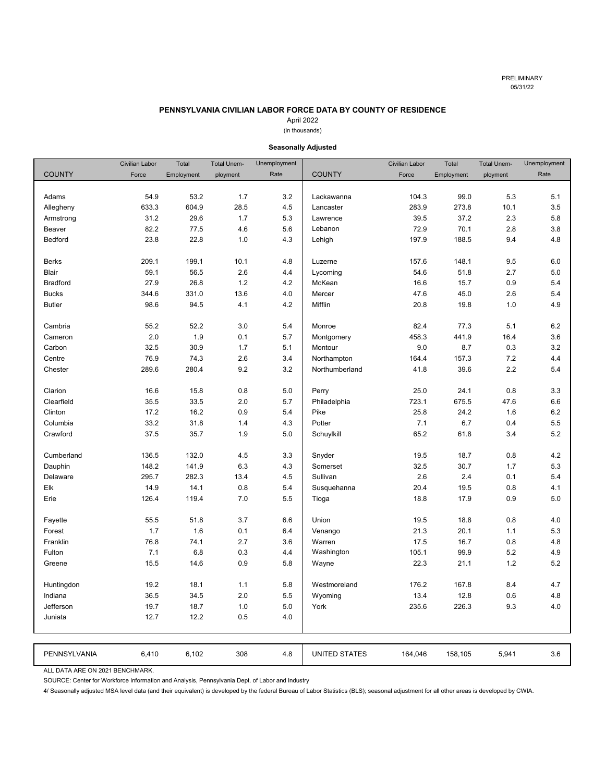# **PENNSYLVANIA CIVILIAN LABOR FORCE DATA BY COUNTY OF RESIDENCE**

# April 2022

# (in thousands)

<span id="page-5-0"></span>

|                 | <b>Civilian Labor</b> | Total      | <b>Total Unem-</b> | Unemployment |                      | <b>Civilian Labor</b> | Total      | <b>Total Unem-</b> | Unemployment |
|-----------------|-----------------------|------------|--------------------|--------------|----------------------|-----------------------|------------|--------------------|--------------|
| <b>COUNTY</b>   | Force                 | Employment | ployment           | Rate         | <b>COUNTY</b>        | Force                 | Employment | ployment           | Rate         |
|                 |                       |            |                    |              |                      |                       |            |                    |              |
| Adams           | 54.9                  | 53.2       | 1.7                | 3.2          | Lackawanna           | 104.3                 | 99.0       | 5.3                | 5.1          |
| Allegheny       | 633.3                 | 604.9      | 28.5               | 4.5          | Lancaster            | 283.9                 | 273.8      | 10.1               | 3.5          |
| Armstrong       | 31.2                  | 29.6       | 1.7                | 5.3          | Lawrence             | 39.5                  | 37.2       | 2.3                | 5.8          |
| Beaver          | 82.2                  | 77.5       | 4.6                | 5.6          | Lebanon              | 72.9                  | 70.1       | 2.8                | 3.8          |
| Bedford         | 23.8                  | 22.8       | 1.0                | 4.3          | Lehigh               | 197.9                 | 188.5      | 9.4                | 4.8          |
|                 |                       |            |                    |              |                      |                       |            |                    |              |
| <b>Berks</b>    | 209.1                 | 199.1      | 10.1               | 4.8          | Luzerne              | 157.6                 | 148.1      | 9.5                | 6.0          |
| Blair           | 59.1                  | 56.5       | 2.6                | 4.4          | Lycoming             | 54.6                  | 51.8       | 2.7                | 5.0          |
| <b>Bradford</b> | 27.9                  | 26.8       | 1.2                | 4.2          | McKean               | 16.6                  | 15.7       | 0.9                | 5.4          |
| <b>Bucks</b>    | 344.6                 | 331.0      | 13.6               | 4.0          | Mercer               | 47.6                  | 45.0       | 2.6                | 5.4          |
| <b>Butler</b>   | 98.6                  | 94.5       | 4.1                | 4.2          | Mifflin              | 20.8                  | 19.8       | 1.0                | 4.9          |
|                 |                       |            |                    |              |                      |                       |            |                    |              |
| Cambria         | 55.2                  | 52.2       | 3.0                | 5.4          | Monroe               | 82.4                  | 77.3       | 5.1                | 6.2          |
| Cameron         | 2.0                   | 1.9        | 0.1                | 5.7          | Montgomery           | 458.3                 | 441.9      | 16.4               | 3.6          |
| Carbon          | 32.5                  | 30.9       | 1.7                | 5.1          | Montour              | 9.0                   | 8.7        | 0.3                | 3.2          |
| Centre          | 76.9                  | 74.3       | 2.6                | 3.4          | Northampton          | 164.4                 | 157.3      | 7.2                | 4.4          |
| Chester         | 289.6                 | 280.4      | 9.2                | 3.2          | Northumberland       | 41.8                  | 39.6       | 2.2                | 5.4          |
|                 |                       |            |                    |              |                      |                       |            |                    |              |
| Clarion         | 16.6                  | 15.8       | 0.8                | 5.0          | Perry                | 25.0                  | 24.1       | 0.8                | 3.3          |
| Clearfield      | 35.5                  | 33.5       | 2.0                | 5.7          | Philadelphia         | 723.1                 | 675.5      | 47.6               | 6.6          |
| Clinton         | 17.2                  | 16.2       | 0.9                | 5.4          | Pike                 | 25.8                  | 24.2       | 1.6                | 6.2          |
| Columbia        | 33.2                  | 31.8       | 1.4                | 4.3          | Potter               | 7.1                   | 6.7        | 0.4                | 5.5          |
| Crawford        | 37.5                  | 35.7       | 1.9                | 5.0          | Schuylkill           | 65.2                  | 61.8       | 3.4                | 5.2          |
|                 |                       |            |                    |              |                      |                       |            |                    |              |
| Cumberland      | 136.5                 | 132.0      | 4.5                | 3.3          | Snyder               | 19.5                  | 18.7       | 0.8                | 4.2          |
| Dauphin         | 148.2                 | 141.9      | 6.3                | 4.3          | Somerset             | 32.5                  | 30.7       | 1.7                | 5.3          |
| Delaware        | 295.7                 | 282.3      | 13.4               | 4.5          | Sullivan             | 2.6                   | 2.4        | 0.1                | 5.4          |
| Elk             | 14.9                  | 14.1       | 0.8                | 5.4          | Susquehanna          | 20.4                  | 19.5       | 0.8                | 4.1          |
| Erie            | 126.4                 | 119.4      | 7.0                | 5.5          | Tioga                | 18.8                  | 17.9       | 0.9                | 5.0          |
|                 |                       |            |                    |              |                      |                       |            |                    |              |
| Fayette         | 55.5                  | 51.8       | 3.7                | 6.6          | Union                | 19.5                  | 18.8       | 0.8                | 4.0          |
| Forest          | 1.7                   | 1.6        | 0.1                | 6.4          | Venango              | 21.3                  | 20.1       | 1.1                | 5.3          |
| Franklin        | 76.8                  | 74.1       | 2.7                | 3.6          | Warren               | 17.5                  | 16.7       | 0.8                | 4.8          |
| Fulton          | 7.1                   | 6.8        | 0.3                | 4.4          | Washington           | 105.1                 | 99.9       | 5.2                | 4.9          |
| Greene          | 15.5                  | 14.6       | 0.9                | 5.8          | Wayne                | 22.3                  | 21.1       | 1.2                | 5.2          |
|                 |                       |            |                    |              |                      |                       |            |                    |              |
| Huntingdon      | 19.2                  | 18.1       | 1.1                | 5.8          | Westmoreland         | 176.2                 | 167.8      | 8.4                | 4.7          |
| Indiana         | 36.5                  | 34.5       | 2.0                | 5.5          | Wyoming              | 13.4                  | 12.8       | 0.6                | 4.8          |
| Jefferson       | 19.7                  | 18.7       | 1.0                | 5.0          | York                 | 235.6                 | 226.3      | 9.3                | 4.0          |
| Juniata         | 12.7                  | 12.2       | 0.5                | 4.0          |                      |                       |            |                    |              |
|                 |                       |            |                    |              |                      |                       |            |                    |              |
|                 |                       |            |                    |              |                      |                       |            |                    |              |
| PENNSYLVANIA    | 6,410                 | 6,102      | 308                | 4.8          | <b>UNITED STATES</b> | 164,046               | 158,105    | 5,941              | 3.6          |

# **Seasonally Adjusted**

ALL DATA ARE ON 2021 BENCHMARK.

SOURCE: Center for Workforce Information and Analysis, Pennsylvania Dept. of Labor and Industry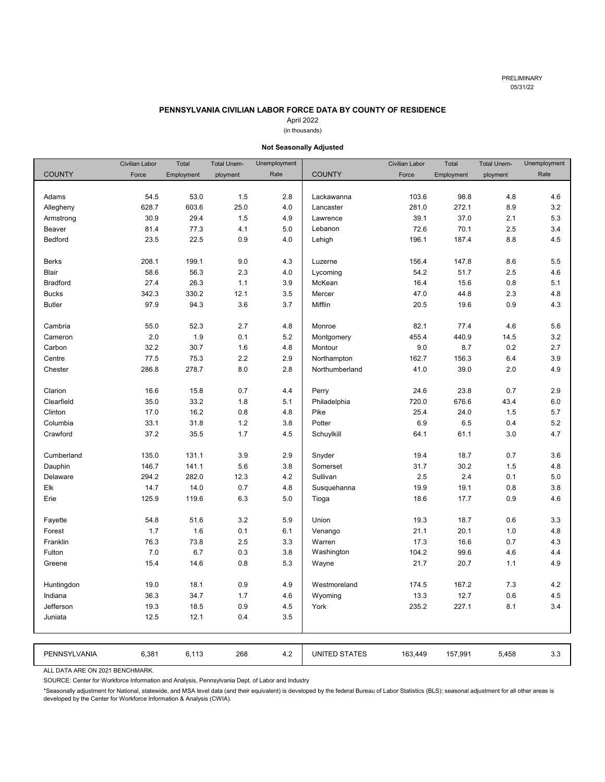# **PENNSYLVANIA CIVILIAN LABOR FORCE DATA BY COUNTY OF RESIDENCE**

# April 2022

# (in thousands)

<span id="page-6-0"></span>

|                 | <b>Civilian Labor</b> | Total      | <b>Total Unem-</b> | Unemployment |                      | <b>Civilian Labor</b> | Total      | <b>Total Unem-</b> | Unemployment |
|-----------------|-----------------------|------------|--------------------|--------------|----------------------|-----------------------|------------|--------------------|--------------|
| <b>COUNTY</b>   | Force                 | Employment | ployment           | Rate         | <b>COUNTY</b>        | Force                 | Employment | ployment           | Rate         |
|                 |                       |            |                    |              |                      |                       |            |                    |              |
| Adams           | 54.5                  | 53.0       | 1.5                | 2.8          | Lackawanna           | 103.6                 | 98.8       | 4.8                | 4.6          |
| Allegheny       | 628.7                 | 603.6      | 25.0               | 4.0          | Lancaster            | 281.0                 | 272.1      | 8.9                | 3.2          |
| Armstrong       | 30.9                  | 29.4       | 1.5                | 4.9          | Lawrence             | 39.1                  | 37.0       | 2.1                | 5.3          |
| Beaver          | 81.4                  | 77.3       | 4.1                | 5.0          | Lebanon              | 72.6                  | 70.1       | 2.5                | 3.4          |
| Bedford         | 23.5                  | 22.5       | 0.9                | 4.0          | Lehigh               | 196.1                 | 187.4      | 8.8                | 4.5          |
|                 |                       |            |                    |              |                      |                       |            |                    |              |
| <b>Berks</b>    | 208.1                 | 199.1      | 9.0                | 4.3          | Luzerne              | 156.4                 | 147.8      | 8.6                | 5.5          |
| Blair           | 58.6                  | 56.3       | 2.3                | 4.0          | Lycoming             | 54.2                  | 51.7       | 2.5                | 4.6          |
| <b>Bradford</b> | 27.4                  | 26.3       | 1.1                | 3.9          | McKean               | 16.4                  | 15.6       | 0.8                | 5.1          |
| <b>Bucks</b>    | 342.3                 | 330.2      | 12.1               | 3.5          | Mercer               | 47.0                  | 44.8       | 2.3                | 4.8          |
| <b>Butler</b>   | 97.9                  | 94.3       | 3.6                | 3.7          | Mifflin              | 20.5                  | 19.6       | 0.9                | 4.3          |
|                 |                       |            |                    |              |                      |                       |            |                    |              |
| Cambria         | 55.0                  | 52.3       | 2.7                | 4.8          | Monroe               | 82.1                  | 77.4       | 4.6                | 5.6          |
| Cameron         | 2.0                   | 1.9        | 0.1                | 5.2          | Montgomery           | 455.4                 | 440.9      | 14.5               | 3.2          |
| Carbon          | 32.2                  | 30.7       | 1.6                | 4.8          | Montour              | 9.0                   | 8.7        | 0.2                | 2.7          |
| Centre          | 77.5                  | 75.3       | 2.2                | 2.9          | Northampton          | 162.7                 | 156.3      | 6.4                | 3.9          |
| Chester         | 286.8                 | 278.7      | 8.0                | 2.8          | Northumberland       | 41.0                  | 39.0       | 2.0                | 4.9          |
|                 |                       |            |                    |              |                      |                       |            |                    |              |
| Clarion         | 16.6                  | 15.8       | 0.7                | 4.4          | Perry                | 24.6                  | 23.8       | 0.7                | 2.9          |
| Clearfield      | 35.0                  | 33.2       | 1.8                | 5.1          | Philadelphia         | 720.0                 | 676.6      | 43.4               | 6.0          |
| Clinton         | 17.0                  | 16.2       | 0.8                | 4.8          | Pike                 | 25.4                  | 24.0       | 1.5                | 5.7          |
| Columbia        | 33.1                  | 31.8       | 1.2                | 3.8          | Potter               | 6.9                   | 6.5        | 0.4                | 5.2          |
| Crawford        | 37.2                  | 35.5       | 1.7                | 4.5          | Schuylkill           | 64.1                  | 61.1       | 3.0                | 4.7          |
|                 |                       |            |                    |              |                      |                       |            |                    |              |
| Cumberland      | 135.0                 | 131.1      | 3.9                | 2.9          | Snyder               | 19.4                  | 18.7       | 0.7                | 3.6          |
| Dauphin         | 146.7                 | 141.1      | 5.6                | 3.8          | Somerset             | 31.7                  | 30.2       | 1.5                | 4.8          |
| Delaware        | 294.2                 | 282.0      | 12.3               | 4.2          | Sullivan             | 2.5                   | 2.4        | 0.1                | 5.0          |
| Elk             | 14.7                  | 14.0       | 0.7                | 4.8          | Susquehanna          | 19.9                  | 19.1       | 0.8                | 3.8          |
| Erie            | 125.9                 | 119.6      | 6.3                | 5.0          | Tioga                | 18.6                  | 17.7       | 0.9                | 4.6          |
|                 |                       |            |                    |              |                      |                       |            |                    |              |
| Fayette         | 54.8                  | 51.6       | 3.2                | 5.9          | Union                | 19.3                  | 18.7       | 0.6                | 3.3          |
| Forest          | 1.7                   | 1.6        | 0.1                | 6.1          | Venango              | 21.1                  | 20.1       | 1.0                | 4.8          |
| Franklin        | 76.3                  | 73.8       | 2.5                | 3.3          | Warren               | 17.3                  | 16.6       | 0.7                | 4.3          |
| Fulton          | 7.0                   | 6.7        | 0.3                | 3.8          | Washington           | 104.2                 | 99.6       | 4.6                | 4.4          |
| Greene          | 15.4                  | 14.6       | 0.8                | 5.3          | Wayne                | 21.7                  | 20.7       | 1.1                | 4.9          |
|                 |                       |            |                    |              |                      |                       |            |                    |              |
| Huntingdon      | 19.0                  | 18.1       | 0.9                | 4.9          | Westmoreland         | 174.5                 | 167.2      | 7.3                | 4.2          |
| Indiana         | 36.3                  | 34.7       | 1.7                | 4.6          | Wyoming              | 13.3                  | 12.7       | 0.6                | 4.5          |
| Jefferson       | 19.3                  | 18.5       | 0.9                | 4.5          | York                 | 235.2                 | 227.1      | 8.1                | 3.4          |
| Juniata         | 12.5                  | 12.1       | 0.4                | 3.5          |                      |                       |            |                    |              |
|                 |                       |            |                    |              |                      |                       |            |                    |              |
|                 |                       |            |                    |              |                      |                       |            |                    |              |
| PENNSYLVANIA    | 6,381                 | 6,113      | 268                | 4.2          | <b>UNITED STATES</b> | 163,449               | 157,991    | 5,458              | 3.3          |

# **Not Seasonally Adjusted**

ALL DATA ARE ON 2021 BENCHMARK.

SOURCE: Center for Workforce Information and Analysis, Pennsylvania Dept. of Labor and Industry

\*Seasonally adjustment for National, statewide, and MSA level data (and their equivalent) is developed by the federal Bureau of Labor Statistics (BLS); seasonal adjustment for all other areas is developed by the Center for Workforce Information & Analysis (CWIA).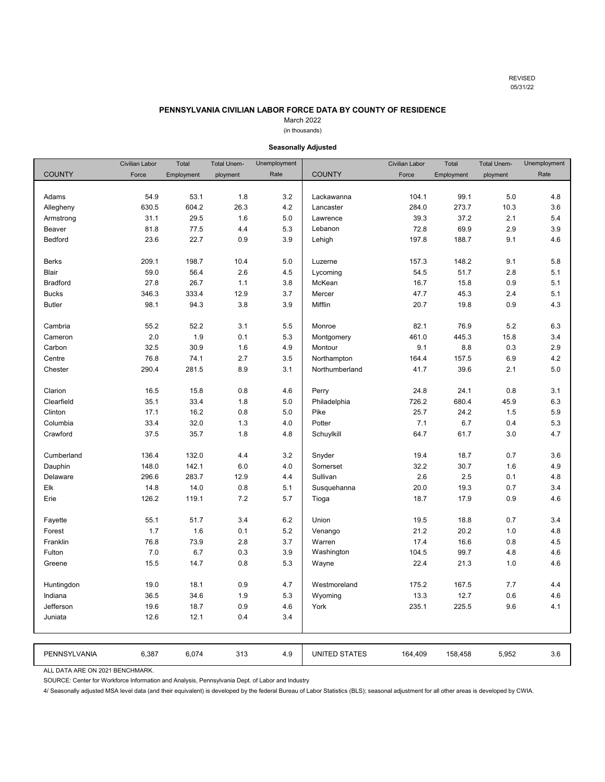REVISED 05/31/22

3.6

# **PENNSYLVANIA CIVILIAN LABOR FORCE DATA BY COUNTY OF RESIDENCE**

# March 2022

# (in thousands)

<span id="page-7-0"></span>

|               | Civilian Labor | Total      | <b>Total Unem-</b> | Unemployment |                      | <b>Civilian Labor</b> | Total      | <b>Total Unem-</b> | Unemployment |
|---------------|----------------|------------|--------------------|--------------|----------------------|-----------------------|------------|--------------------|--------------|
| <b>COUNTY</b> | Force          | Employment | ployment           | Rate         | <b>COUNTY</b>        | Force                 | Employment | ployment           | Rate         |
|               |                |            |                    |              |                      |                       |            |                    |              |
| Adams         | 54.9           | 53.1       | $1.8\,$            | $3.2\,$      | Lackawanna           | 104.1                 | 99.1       | 5.0                | 4.8          |
| Allegheny     | 630.5          | 604.2      | 26.3               | 4.2          | Lancaster            | 284.0                 | 273.7      | 10.3               | 3.6          |
| Armstrong     | 31.1           | 29.5       | 1.6                | 5.0          | Lawrence             | 39.3                  | 37.2       | 2.1                | 5.4          |
| Beaver        | 81.8           | 77.5       | 4.4                | 5.3          | Lebanon              | 72.8                  | 69.9       | 2.9                | 3.9          |
| Bedford       | 23.6           | 22.7       | 0.9                | 3.9          | Lehigh               | 197.8                 | 188.7      | 9.1                | 4.6          |
|               |                |            |                    |              |                      |                       |            |                    |              |
| <b>Berks</b>  | 209.1          | 198.7      | 10.4               | 5.0          | Luzerne              | 157.3                 | 148.2      | 9.1                | 5.8          |
| Blair         | 59.0           | 56.4       | 2.6                | 4.5          | Lycoming             | 54.5                  | 51.7       | 2.8                | 5.1          |
| Bradford      | 27.8           | 26.7       | 1.1                | 3.8          | McKean               | 16.7                  | 15.8       | 0.9                | 5.1          |
| <b>Bucks</b>  | 346.3          | 333.4      | 12.9               | 3.7          | Mercer               | 47.7                  | 45.3       | 2.4                | 5.1          |
| <b>Butler</b> | 98.1           | 94.3       | 3.8                | 3.9          | Mifflin              | 20.7                  | 19.8       | 0.9                | 4.3          |
|               |                |            |                    |              |                      |                       |            |                    |              |
| Cambria       | 55.2           | 52.2       | 3.1                | 5.5          | Monroe               | 82.1                  | 76.9       | 5.2                | 6.3          |
| Cameron       | 2.0            | 1.9        | 0.1                | 5.3          | Montgomery           | 461.0                 | 445.3      | 15.8               | 3.4          |
| Carbon        | 32.5           | 30.9       | 1.6                | 4.9          | Montour              | 9.1                   | 8.8        | 0.3                | 2.9          |
| Centre        | 76.8           | 74.1       | 2.7                | 3.5          | Northampton          | 164.4                 | 157.5      | 6.9                | 4.2          |
| Chester       | 290.4          | 281.5      | 8.9                | 3.1          | Northumberland       | 41.7                  | 39.6       | 2.1                | 5.0          |
|               |                |            |                    |              |                      |                       |            |                    |              |
| Clarion       | 16.5           | 15.8       | 0.8                | 4.6          | Perry                | 24.8                  | 24.1       | 0.8                | 3.1          |
| Clearfield    | 35.1           | 33.4       | 1.8                | 5.0          | Philadelphia         | 726.2                 | 680.4      | 45.9               | 6.3          |
| Clinton       | 17.1           | 16.2       | 0.8                | 5.0          | Pike                 | 25.7                  | 24.2       | 1.5                | 5.9          |
| Columbia      | 33.4           | 32.0       | 1.3                | 4.0          | Potter               | 7.1                   | 6.7        | 0.4                | 5.3          |
| Crawford      | 37.5           | 35.7       | 1.8                | 4.8          | Schuylkill           | 64.7                  | 61.7       | 3.0                | 4.7          |
|               |                |            |                    |              |                      |                       |            |                    |              |
| Cumberland    | 136.4          | 132.0      | 4.4                | 3.2          | Snyder               | 19.4                  | 18.7       | 0.7                | 3.6          |
| Dauphin       | 148.0          | 142.1      | 6.0                | 4.0          | Somerset             | 32.2                  | 30.7       | 1.6                | 4.9          |
| Delaware      | 296.6          | 283.7      | 12.9               | 4.4          | Sullivan             | 2.6                   | 2.5        | 0.1                | 4.8          |
| Elk           | 14.8           | 14.0       | 0.8                | 5.1          | Susquehanna          | 20.0                  | 19.3       | 0.7                | 3.4          |
| Erie          | 126.2          | 119.1      | 7.2                | 5.7          | Tioga                | 18.7                  | 17.9       | 0.9                | 4.6          |
|               |                |            |                    |              |                      |                       |            |                    |              |
| Fayette       | 55.1           | 51.7       | 3.4                | 6.2          | Union                | 19.5                  | 18.8       | 0.7                | 3.4          |
| Forest        | 1.7            | 1.6        | 0.1                | 5.2          | Venango              | 21.2                  | 20.2       | 1.0                | 4.8          |
| Franklin      | 76.8           | 73.9       | 2.8                | 3.7          | Warren               | 17.4                  | 16.6       | 0.8                | 4.5          |
| Fulton        | 7.0            | 6.7        | 0.3                | 3.9          | Washington           | 104.5                 | 99.7       | 4.8                | 4.6          |
| Greene        | 15.5           | 14.7       | 0.8                | 5.3          | Wayne                | 22.4                  | 21.3       | 1.0                | 4.6          |
|               |                |            |                    |              |                      |                       |            |                    |              |
| Huntingdon    | 19.0           | 18.1       | 0.9                | 4.7          | Westmoreland         | 175.2                 | 167.5      | 7.7                | 4.4          |
| Indiana       | 36.5           | 34.6       | 1.9                | 5.3          | Wyoming              | 13.3                  | 12.7       | 0.6                | 4.6          |
| Jefferson     | 19.6           | 18.7       | 0.9                | 4.6          | York                 | 235.1                 | 225.5      | 9.6                | 4.1          |
| Juniata       | 12.6           | 12.1       | 0.4                | 3.4          |                      |                       |            |                    |              |
|               |                |            |                    |              |                      |                       |            |                    |              |
|               |                |            |                    |              |                      |                       |            |                    |              |
| PENNSYLVANIA  | 6,387          | 6,074      | 313                | 4.9          | <b>UNITED STATES</b> | 164,409               | 158,458    | 5,952              | 3.6          |

# **Seasonally Adjusted**

ALL DATA ARE ON 2021 BENCHMARK.

SOURCE: Center for Workforce Information and Analysis, Pennsylvania Dept. of Labor and Industry

4/ Seasonally adjusted MSA level data (and their equivalent) is developed by the federal Bureau of Labor Statistics (BLS); seasonal adjustment for all other areas is developed by CWIA.

6,387 6,074 164,409 4.9 UNITED STATES 158,458 5,952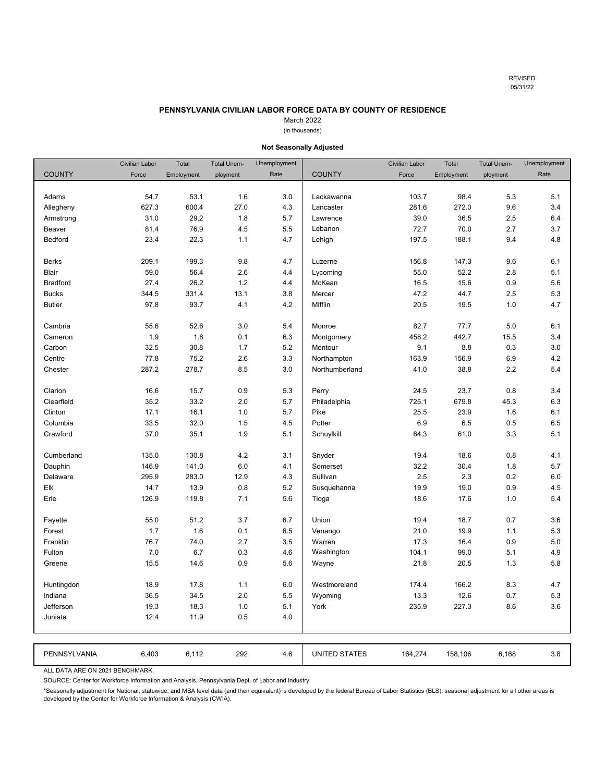REVISED 05/31/22

# **PENNSYLVANIA CIVILIAN LABOR FORCE DATA BY COUNTY OF RESIDENCE**

# March 2022

# (in thousands)

<span id="page-8-0"></span>

|                 | <b>Civilian Labor</b> | Total      | <b>Total Unem-</b> | Unemployment |                | <b>Civilian Labor</b> | Total      | <b>Total Unem-</b> | Unemployment |
|-----------------|-----------------------|------------|--------------------|--------------|----------------|-----------------------|------------|--------------------|--------------|
| <b>COUNTY</b>   | Force                 | Employment | ployment           | Rate         | <b>COUNTY</b>  | Force                 | Employment | ployment           | Rate         |
|                 |                       |            |                    |              |                |                       |            |                    |              |
| Adams           | 54.7                  | 53.1       | 1.6                | 3.0          | Lackawanna     | 103.7                 | 98.4       | 5.3                | 5.1          |
| Allegheny       | 627.3                 | 600.4      | 27.0               | 4.3          | Lancaster      | 281.6                 | 272.0      | 9.6                | 3.4          |
| Armstrong       | 31.0                  | 29.2       | 1.8                | 5.7          | Lawrence       | 39.0                  | 36.5       | 2.5                | 6.4          |
| Beaver          | 81.4                  | 76.9       | 4.5                | 5.5          | Lebanon        | 72.7                  | 70.0       | 2.7                | 3.7          |
| Bedford         | 23.4                  | 22.3       | 1.1                | 4.7          | Lehigh         | 197.5                 | 188.1      | 9.4                | 4.8          |
|                 |                       |            |                    |              |                |                       |            |                    |              |
| <b>Berks</b>    | 209.1                 | 199.3      | 9.8                | 4.7          | Luzerne        | 156.8                 | 147.3      | 9.6                | 6.1          |
| Blair           | 59.0                  | 56.4       | 2.6                | 4.4          | Lycoming       | 55.0                  | 52.2       | 2.8                | 5.1          |
| <b>Bradford</b> | 27.4                  | 26.2       | 1.2                | 4.4          | McKean         | 16.5                  | 15.6       | 0.9                | 5.6          |
| <b>Bucks</b>    | 344.5                 | 331.4      | 13.1               | 3.8          | Mercer         | 47.2                  | 44.7       | 2.5                | 5.3          |
| <b>Butler</b>   | 97.8                  | 93.7       | 4.1                | 4.2          | Mifflin        | 20.5                  | 19.5       | 1.0                | 4.7          |
|                 |                       |            |                    |              |                |                       |            |                    |              |
| Cambria         | 55.6                  | 52.6       | 3.0                | 5.4          | Monroe         | 82.7                  | 77.7       | 5.0                | 6.1          |
| Cameron         | 1.9                   | 1.8        | 0.1                | 6.3          | Montgomery     | 458.2                 | 442.7      | 15.5               | 3.4          |
| Carbon          | 32.5                  | 30.8       | 1.7                | 5.2          | Montour        | 9.1                   | 8.8        | 0.3                | 3.0          |
| Centre          | 77.8                  | 75.2       | 2.6                | 3.3          | Northampton    | 163.9                 | 156.9      | 6.9                | 4.2          |
| Chester         | 287.2                 | 278.7      | 8.5                | 3.0          | Northumberland | 41.0                  | 38.8       | 2.2                | 5.4          |
|                 |                       |            |                    |              |                |                       |            |                    |              |
| Clarion         | 16.6                  | 15.7       | 0.9                | 5.3          | Perry          | 24.5                  | 23.7       | 0.8                | 3.4          |
| Clearfield      | 35.2                  | 33.2       | 2.0                | 5.7          | Philadelphia   | 725.1                 | 679.8      | 45.3               | 6.3          |
| Clinton         | 17.1                  | 16.1       | 1.0                | 5.7          | Pike           | 25.5                  | 23.9       | 1.6                | 6.1          |
| Columbia        | 33.5                  | 32.0       | 1.5                | 4.5          | Potter         | 6.9                   | 6.5        | 0.5                | 6.5          |
| Crawford        | 37.0                  | 35.1       | 1.9                | 5.1          | Schuylkill     | 64.3                  | 61.0       | 3.3                | 5.1          |
|                 |                       |            |                    |              |                |                       |            |                    |              |
| Cumberland      | 135.0                 | 130.8      | 4.2                | 3.1          | Snyder         | 19.4                  | 18.6       | 0.8                | 4.1          |
| Dauphin         | 146.9                 | 141.0      | 6.0                | 4.1          | Somerset       | 32.2                  | 30.4       | 1.8                | 5.7          |
| Delaware        | 295.9                 | 283.0      | 12.9               | 4.3          | Sullivan       | 2.5                   | 2.3        | 0.2                | 6.0          |
| Elk             | 14.7                  | 13.9       | 0.8                | 5.2          | Susquehanna    | 19.9                  | 19.0       | 0.9                | 4.5          |
| Erie            | 126.9                 | 119.8      | 7.1                | 5.6          | Tioga          | 18.6                  | 17.6       | 1.0                | 5.4          |
|                 |                       |            |                    |              |                |                       |            |                    |              |
| Fayette         | 55.0                  | 51.2       | 3.7                | 6.7          | Union          | 19.4                  | 18.7       | 0.7                | 3.6          |
| Forest          | 1.7                   | 1.6        | 0.1                | 6.5          | Venango        | 21.0                  | 19.9       | 1.1                | 5.3          |
| Franklin        | 76.7                  | 74.0       | 2.7                | 3.5          | Warren         | 17.3                  | 16.4       | 0.9                | 5.0          |
| Fulton          | 7.0                   | 6.7        | 0.3                | 4.6          | Washington     | 104.1                 | 99.0       | 5.1                | 4.9          |
| Greene          | 15.5                  | 14.6       | 0.9                | 5.6          | Wayne          | 21.8                  | 20.5       | 1.3                | 5.8          |
|                 |                       |            |                    |              |                |                       |            |                    |              |
| Huntingdon      | 18.9                  | 17.8       | 1.1                | 6.0          | Westmoreland   | 174.4                 | 166.2      | 8.3                | 4.7          |
| Indiana         | 36.5                  | 34.5       | 2.0                | 5.5          | Wyoming        | 13.3                  | 12.6       | 0.7                | 5.3          |
| Jefferson       | 19.3                  | 18.3       | 1.0                | 5.1          | York           | 235.9                 | 227.3      | 8.6                | 3.6          |
| Juniata         | 12.4                  | 11.9       | 0.5                | 4.0          |                |                       |            |                    |              |
|                 |                       |            |                    |              |                |                       |            |                    |              |
|                 |                       |            |                    |              |                |                       |            |                    |              |
| PENNSYLVANIA    | 6,403                 | 6,112      | 292                | 4.6          | UNITED STATES  | 164,274               | 158,106    | 6,168              | 3.8          |
|                 |                       |            |                    |              |                |                       |            |                    |              |

# **Not Seasonally Adjusted**

ALL DATA ARE ON 2021 BENCHMARK.

SOURCE: Center for Workforce Information and Analysis, Pennsylvania Dept. of Labor and Industry

\*Seasonally adjustment for National, statewide, and MSA level data (and their equivalent) is developed by the federal Bureau of Labor Statistics (BLS); seasonal adjustment for all other areas is developed by the Center for Workforce Information & Analysis (CWIA).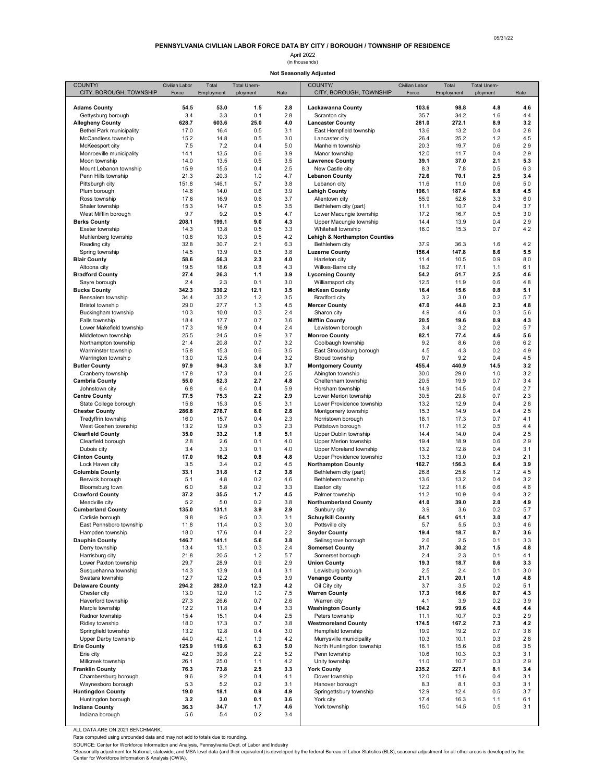# (in thousands) April 2022

**Not Seasonally Adjusted**

<span id="page-9-0"></span>

| COUNTY/<br>CITY, BOROUGH, TOWNSHIP               | Civilian Labor<br>Force | Total<br>Employment | Total Unem-<br>ployment | Rate       | COUNTY/<br>CITY, BOROUGH, TOWNSHIP                 | Civilian Labor<br>Force | Total<br>Employment | Total Unem-<br>ployment | Rate       |
|--------------------------------------------------|-------------------------|---------------------|-------------------------|------------|----------------------------------------------------|-------------------------|---------------------|-------------------------|------------|
|                                                  | 54.5                    |                     | 1.5                     | 2.8        |                                                    | 103.6                   | 98.8                |                         | 4.6        |
| <b>Adams County</b><br>Gettysburg borough        | 3.4                     | 53.0<br>3.3         | 0.1                     | 2.8        | Lackawanna County<br>Scranton city                 | 35.7                    | 34.2                | 4.8<br>1.6              | 4.4        |
| <b>Allegheny County</b>                          | 628.7                   | 603.6               | 25.0                    | 4.0        | <b>Lancaster County</b>                            | 281.0                   | 272.1               | 8.9                     | 3.2        |
| <b>Bethel Park municipality</b>                  | 17.0                    | 16.4                | 0.5                     | 3.1        | East Hempfield township                            | 13.6                    | 13.2                | 0.4                     | 2.8        |
| McCandless township                              | 15.2                    | 14.8                | 0.5                     | 3.0<br>5.0 | Lancaster city<br>Manheim township                 | 26.4                    | 25.2                | 1.2                     | 4.5        |
| McKeesport city<br>Monroeville municipality      | 7.5<br>14.1             | 7.2<br>13.5         | 0.4<br>0.6              | 3.9        | Manor township                                     | 20.3<br>12.0            | 19.7<br>11.7        | 0.6<br>0.4              | 2.9<br>2.9 |
| Moon township                                    | 14.0                    | 13.5                | 0.5                     | 3.5        | <b>Lawrence County</b>                             | 39.1                    | 37.0                | 2.1                     | 5.3        |
| Mount Lebanon township                           | 15.9                    | 15.5                | 0.4                     | 2.5        | New Castle city                                    | 8.3                     | 7.8                 | 0.5                     | 6.3        |
| Penn Hills township                              | 21.3<br>151.8           | 20.3                | 1.0<br>5.7              | 4.7<br>3.8 | <b>Lebanon County</b>                              | 72.6<br>11.6            | 70.1<br>11.0        | 2.5<br>0.6              | 3.4<br>5.0 |
| Pittsburgh city<br>Plum borough                  | 14.6                    | 146.1<br>14.0       | 0.6                     | 3.9        | Lebanon city<br><b>Lehigh County</b>               | 196.1                   | 187.4               | 8.8                     | 4.5        |
| Ross township                                    | 17.6                    | 16.9                | 0.6                     | 3.7        | Allentown city                                     | 55.9                    | 52.6                | 3.3                     | 6.0        |
| Shaler township                                  | 15.3                    | 14.7                | 0.5                     | 3.5        | Bethlehem city (part)                              | 11.1                    | 10.7                | 0.4                     | 3.7        |
| West Mifflin borough<br><b>Berks County</b>      | 9.7<br>208.1            | 9.2                 | 0.5                     | 4.7<br>4.3 | Lower Macungie township                            | 17.2                    | 16.7                | 0.5                     | 3.0        |
| Exeter township                                  | 14.3                    | 199.1<br>13.8       | 9.0<br>0.5              | 3.3        | Upper Macungie township<br>Whitehall township      | 14.4<br>16.0            | 13.9<br>15.3        | 0.4<br>0.7              | 2.9<br>4.2 |
| Muhlenberg township                              | 10.8                    | 10.3                | 0.5                     | 4.2        | <b>Lehigh &amp; Northampton Counties</b>           |                         |                     |                         |            |
| Reading city                                     | 32.8                    | 30.7                | 2.1                     | 6.3        | Bethlehem city                                     | 37.9                    | 36.3                | 1.6                     | 4.2        |
| Spring township                                  | 14.5                    | 13.9                | 0.5                     | 3.8        | <b>Luzerne County</b>                              | 156.4                   | 147.8               | 8.6                     | 5.5        |
| <b>Blair County</b><br>Altoona city              | 58.6<br>19.5            | 56.3<br>18.6        | 2.3<br>0.8              | 4.0<br>4.3 | Hazleton city<br>Wilkes-Barre city                 | 11.4<br>18.2            | 10.5<br>17.1        | 0.9<br>1.1              | 8.0<br>6.1 |
| <b>Bradford County</b>                           | 27.4                    | 26.3                | 1.1                     | 3.9        | <b>Lycoming County</b>                             | 54.2                    | 51.7                | 2.5                     | 4.6        |
| Sayre borough                                    | 2.4                     | 2.3                 | 0.1                     | 3.0        | Williamsport city                                  | 12.5                    | 11.9                | 0.6                     | 4.8        |
| <b>Bucks County</b>                              | 342.3                   | 330.2               | 12.1                    | 3.5        | <b>McKean County</b>                               | 16.4                    | 15.6                | 0.8                     | 5.1        |
| Bensalem township                                | 34.4                    | 33.2                | 1.2                     | 3.5        | Bradford city                                      | 3.2                     | 3.0                 | 0.2                     | 5.7        |
| <b>Bristol township</b><br>Buckingham township   | 29.0<br>10.3            | 27.7<br>10.0        | 1.3<br>0.3              | 4.5<br>2.4 | <b>Mercer County</b><br>Sharon city                | 47.0<br>4.9             | 44.8<br>4.6         | 2.3<br>0.3              | 4.8<br>5.6 |
| Falls township                                   | 18.4                    | 17.7                | 0.7                     | 3.6        | <b>Mifflin County</b>                              | 20.5                    | 19.6                | 0.9                     | 4.3        |
| Lower Makefield township                         | 17.3                    | 16.9                | 0.4                     | 2.4        | Lewistown borough                                  | 3.4                     | 3.2                 | 0.2                     | 5.7        |
| Middletown township                              | 25.5                    | 24.5                | 0.9                     | 3.7        | <b>Monroe County</b>                               | 82.1                    | 77.4                | 4.6                     | 5.6        |
| Northampton township<br>Warminster township      | 21.4<br>15.8            | 20.8<br>15.3        | 0.7<br>0.6              | 3.2<br>3.5 | Coolbaugh township<br>East Stroudsburg borough     | 9.2<br>4.5              | 8.6<br>4.3          | 0.6<br>0.2              | 6.2<br>4.9 |
| Warrington township                              | 13.0                    | 12.5                | 0.4                     | 3.2        | Stroud township                                    | 9.7                     | 9.2                 | 0.4                     | 4.5        |
| <b>Butler County</b>                             | 97.9                    | 94.3                | 3.6                     | 3.7        | <b>Montgomery County</b>                           | 455.4                   | 440.9               | 14.5                    | 3.2        |
| Cranberry township                               | 17.8                    | 17.3                | 0.4                     | 2.5        | Abington township                                  | 30.0                    | 29.0                | 1.0                     | 3.2        |
| <b>Cambria County</b>                            | 55.0                    | 52.3                | 2.7                     | 4.8        | Cheltenham township                                | 20.5                    | 19.9                | 0.7                     | 3.4        |
| Johnstown city<br><b>Centre County</b>           | 6.8<br>77.5             | 6.4<br>75.3         | 0.4<br>2.2              | 5.9<br>2.9 | Horsham township<br>Lower Merion township          | 14.9<br>30.5            | 14.5<br>29.8        | 0.4<br>0.7              | 2.7<br>2.3 |
| State College borough                            | 15.8                    | 15.3                | 0.5                     | 3.1        | Lower Providence township                          | 13.2                    | 12.9                | 0.4                     | 2.8        |
| <b>Chester County</b>                            | 286.8                   | 278.7               | 8.0                     | 2.8        | Montgomery township                                | 15.3                    | 14.9                | 0.4                     | 2.5        |
| Tredyffrin township                              | 16.0                    | 15.7                | 0.4                     | 2.3<br>2.3 | Norristown borough                                 | 18.1                    | 17.3                | 0.7                     | 4.1        |
| West Goshen township<br><b>Clearfield County</b> | 13.2<br>35.0            | 12.9<br>33.2        | 0.3<br>1.8              | 5.1        | Pottstown borough<br>Upper Dublin township         | 11.7<br>14.4            | 11.2<br>14.0        | 0.5<br>0.4              | 4.4<br>2.5 |
| Clearfield borough                               | 2.8                     | 2.6                 | 0.1                     | 4.0        | Upper Merion township                              | 19.4                    | 18.9                | 0.6                     | 2.9        |
| Dubois city                                      | 3.4                     | 3.3                 | 0.1                     | 4.0        | Upper Moreland township                            | 13.2                    | 12.8                | 0.4                     | 3.1        |
| <b>Clinton County</b>                            | 17.0                    | 16.2                | 0.8                     | 4.8        | Upper Providence township                          | 13.3                    | 13.0                | 0.3                     | 2.1        |
| Lock Haven city<br><b>Columbia County</b>        | 3.5<br>33.1             | 3.4<br>31.8         | 0.2<br>1.2              | 4.5<br>3.8 | <b>Northampton County</b><br>Bethlehem city (part) | 162.7<br>26.8           | 156.3<br>25.6       | 6.4<br>1.2              | 3.9<br>4.5 |
| Berwick borough                                  | 5.1                     | 4.8                 | 0.2                     | 4.6        | Bethlehem township                                 | 13.6                    | 13.2                | 0.4                     | 3.2        |
| Bloomsburg town                                  | 6.0                     | 5.8                 | 0.2                     | 3.3        | Easton city                                        | 12.2                    | 11.6                | 0.6                     | 4.6        |
| <b>Crawford County</b>                           | 37.2                    | 35.5                | 1.7                     | 4.5        | Palmer township                                    | 11.2                    | 10.9                | 0.4                     | 3.2        |
| Meadville city<br><b>Cumberland County</b>       | 5.2<br>135.0            | 5.0<br>131.1        | 0.2<br>3.9              | 3.8<br>2.9 | <b>Northumberland County</b><br>Sunbury city       | 41.0<br>3.9             | 39.0<br>3.6         | 2.0<br>0.2              | 4.9<br>5.7 |
| Carlisle borough                                 | 9.8                     | 9.5                 | 0.3                     | 3.1        | <b>Schuylkill County</b>                           | 64.1                    | 61.1                | 3.0                     | 4.7        |
| East Pennsboro township                          | 11.8                    | 11.4                | 0.3                     | 3.0        | Pottsville city                                    | 5.1                     | 5.5                 | 0.3                     | 4.6        |
| Hampden township                                 | 18.0                    | 17.6                | 0.4                     | 2.2        | <b>Snyder County</b>                               | 19.4                    | 18.7                | 0.7                     | 3.6        |
| <b>Dauphin County</b><br>Derry township          | 146.7<br>13.4           | 141.1<br>13.1       | 5.6<br>0.3              | 3.8<br>2.4 | Selinsgrove borough<br><b>Somerset County</b>      | 2.6<br>31.7             | 2.5<br>30.2         | 0.1<br>1.5              | 3.3<br>4.8 |
| Harrisburg city                                  | 21.8                    | 20.5                | 1.2                     | 5.7        | Somerset borough                                   | 2.4                     | 2.3                 | 0.1                     | 4.1        |
| Lower Paxton township                            | 29.7                    | 28.9                | 0.9                     | 2.9        | <b>Union County</b>                                | 19.3                    | 18.7                | 0.6                     | 3.3        |
| Susquehanna township                             | 14.3                    | 13.9                | 0.4                     | 3.1        | Lewisburg borough                                  | 2.5                     | 2.4                 | 0.1                     | 3.0        |
| Swatara township<br><b>Delaware County</b>       | 12.7<br>294.2           | 12.2<br>282.0       | 0.5<br>12.3             | 3.9<br>4.2 | <b>Venango County</b><br>Oil City city             | 21.1<br>3.7             | 20.1<br>3.5         | 1.0<br>0.2              | 4.8<br>5.1 |
| Chester city                                     | 13.0                    | 12.0                | 1.0                     | 7.5        | <b>Warren County</b>                               | 17.3                    | 16.6                | 0.7                     | 4.3        |
| Haverford township                               | 27.3                    | 26.6                | 0.7                     | 2.6        | Warren city                                        | 4.1                     | 3.9                 | 0.2                     | 3.9        |
| Marple township                                  | 12.2                    | 11.8                | 0.4                     | 3.3        | <b>Washington County</b>                           | 104.2                   | 99.6                | 4.6                     | 4.4        |
| Radnor township<br>Ridley township               | 15.4<br>18.0            | 15.1<br>17.3        | 0.4<br>0.7              | 2.5<br>3.8 | Peters township<br><b>Westmoreland County</b>      | 11.1<br>174.5           | 10.7<br>167.2       | 0.3<br>7.3              | 2.9<br>4.2 |
| Springfield township                             | 13.2                    | 12.8                | 0.4                     | 3.0        | Hempfield township                                 | 19.9                    | 19.2                | 0.7                     | 3.6        |
| Upper Darby township                             | 44.0                    | 42.1                | 1.9                     | 4.2        | Murrysville municipality                           | 10.3                    | 10.1                | 0.3                     | 2.8        |
| <b>Erie County</b>                               | 125.9                   | 119.6               | 6.3                     | 5.0        | North Huntingdon township                          | 16.1                    | 15.6                | 0.6                     | 3.5        |
| Erie city                                        | 42.0                    | 39.8                | 2.2                     | 5.2<br>4.2 | Penn township                                      | 10.6                    | 10.3                | 0.3                     | 3.1        |
| Millcreek township<br><b>Franklin County</b>     | 26.1<br>76.3            | 25.0<br>73.8        | 1.1<br>2.5              | 3.3        | Unity township<br><b>York County</b>               | 11.0<br>235.2           | 10.7<br>227.1       | 0.3<br>8.1              | 2.9<br>3.4 |
| Chambersburg borough                             | 9.6                     | 9.2                 | 0.4                     | 4.1        | Dover township                                     | 12.0                    | 11.6                | 0.4                     | 3.1        |
| Waynesboro borough                               | 5.3                     | 5.2                 | 0.2                     | 3.1        | Hanover borough                                    | 8.3                     | 8.1                 | 0.3                     | 3.1        |
| <b>Huntingdon County</b>                         | 19.0                    | 18.1                | 0.9                     | 4.9        | Springettsbury township                            | 12.9                    | 12.4                | 0.5                     | 3.7        |
| Huntingdon borough<br><b>Indiana County</b>      | 3.2<br>36.3             | 3.0<br>34.7         | 0.1<br>1.7              | 3.6<br>4.6 | York city<br>York township                         | 17.4<br>15.0            | 16.3<br>14.5        | 1.1<br>0.5              | 6.1<br>3.1 |
| Indiana borough                                  | 5.6                     | 5.4                 | 0.2                     | 3.4        |                                                    |                         |                     |                         |            |
|                                                  |                         |                     |                         |            |                                                    |                         |                     |                         |            |

ALL DATA ARE ON 2021 BENCHMARK.

Rate computed using unrounded data and may not add to totals due to rounding.

SOURCE: Center for Workforce Information and Analysis, Pennsylvania Dept. of Labor and Industry<br>\*Seasonally adjustment for National, statewide, and Mixameth in the federal of the federal Bureau of Labor Statistics (BLS); s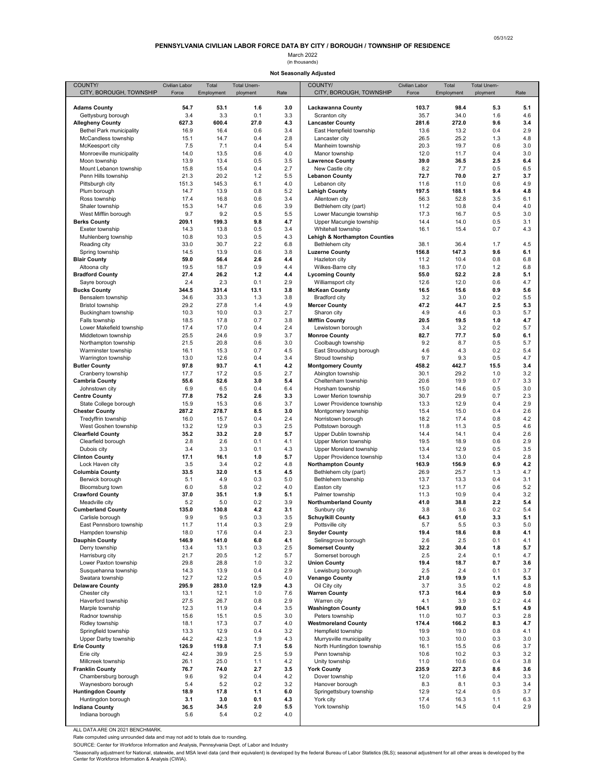**Not Seasonally Adjusted**

<span id="page-10-0"></span>

| COUNTY/                                         | Civilian Labor | Total         | Total Unem- |            | COUNTY/                                            | Civilian Labor | Total         | Total Unem- |            |
|-------------------------------------------------|----------------|---------------|-------------|------------|----------------------------------------------------|----------------|---------------|-------------|------------|
| CITY, BOROUGH, TOWNSHIP                         | Force          | Employment    | ployment    | Rate       | CITY, BOROUGH, TOWNSHIP                            | Force          | Employment    | ployment    | Rate       |
| <b>Adams County</b>                             | 54.7           | 53.1          | 1.6         | 3.0        | Lackawanna County                                  | 103.7          | 98.4          | 5.3         | 5.1        |
| Gettysburg borough                              | 3.4            | 3.3           | 0.1         | 3.3        | Scranton city                                      | 35.7           | 34.0          | 1.6         | 4.6        |
| <b>Allegheny County</b>                         | 627.3          | 600.4         | 27.0        | 4.3        | <b>Lancaster County</b>                            | 281.6          | 272.0         | 9.6         | 3.4        |
| Bethel Park municipality<br>McCandless township | 16.9<br>15.1   | 16.4<br>14.7  | 0.6<br>0.4  | 3.4<br>2.8 | East Hempfield township<br>Lancaster city          | 13.6<br>26.5   | 13.2<br>25.2  | 0.4<br>1.3  | 2.9<br>4.8 |
| McKeesport city                                 | 7.5            | 7.1           | 0.4         | 5.4        | Manheim township                                   | 20.3           | 19.7          | 0.6         | 3.0        |
| Monroeville municipality                        | 14.0           | 13.5          | 0.6         | 4.0        | Manor township                                     | 12.0           | 11.7          | 0.4         | 3.0        |
| Moon township                                   | 13.9           | 13.4          | 0.5         | 3.5        | <b>Lawrence County</b>                             | 39.0           | 36.5          | 2.5         | 6.4        |
| Mount Lebanon township                          | 15.8           | 15.4          | 0.4         | 2.7<br>5.5 | New Castle city                                    | 8.2            | 7.7           | 0.5         | 6.5        |
| Penn Hills township<br>Pittsburgh city          | 21.3<br>151.3  | 20.2<br>145.3 | 1.2<br>6.1  | 4.0        | <b>Lebanon County</b><br>Lebanon city              | 72.7<br>11.6   | 70.0<br>11.0  | 2.7<br>0.6  | 3.7<br>4.9 |
| Plum borough                                    | 14.7           | 13.9          | 0.8         | 5.2        | <b>Lehigh County</b>                               | 197.5          | 188.1         | 9.4         | 4.8        |
| Ross township                                   | 17.4           | 16.8          | 0.6         | 3.4        | Allentown city                                     | 56.3           | 52.8          | 3.5         | 6.1        |
| Shaler township                                 | 15.3           | 14.7          | 0.6         | 3.9        | Bethlehem city (part)                              | 11.2           | 10.8          | 0.4         | 4.0        |
| West Mifflin borough<br><b>Berks County</b>     | 9.7<br>209.1   | 9.2<br>199.3  | 0.5<br>9.8  | 5.5<br>4.7 | Lower Macungie township<br>Upper Macungie township | 17.3<br>14.4   | 16.7<br>14.0  | 0.5<br>0.5  | 3.0<br>3.1 |
| Exeter township                                 | 14.3           | 13.8          | 0.5         | 3.4        | Whitehall township                                 | 16.1           | 15.4          | 0.7         | 4.3        |
| Muhlenberg township                             | 10.8           | 10.3          | 0.5         | 4.3        | <b>Lehigh &amp; Northampton Counties</b>           |                |               |             |            |
| Reading city                                    | 33.0           | 30.7          | 2.2         | 6.8        | Bethlehem city                                     | 38.1           | 36.4          | 1.7         | 4.5        |
| Spring township<br><b>Blair County</b>          | 14.5<br>59.0   | 13.9<br>56.4  | 0.6<br>2.6  | 3.8<br>4.4 | <b>Luzerne County</b><br>Hazleton city             | 156.8<br>11.2  | 147.3<br>10.4 | 9.6<br>0.8  | 6.1<br>6.8 |
| Altoona city                                    | 19.5           | 18.7          | 0.9         | 4.4        | Wilkes-Barre city                                  | 18.3           | 17.0          | 1.2         | 6.8        |
| <b>Bradford County</b>                          | 27.4           | 26.2          | $1.2$       | 4.4        | <b>Lycoming County</b>                             | 55.0           | 52.2          | 2.8         | 5.1        |
| Sayre borough                                   | 2.4            | 2.3           | 0.1         | 2.9        | Williamsport city                                  | 12.6           | 12.0          | 0.6         | 4.7        |
| <b>Bucks County</b><br>Bensalem township        | 344.5          | 331.4         | 13.1        | 3.8<br>3.8 | <b>McKean County</b>                               | 16.5           | 15.6<br>3.0   | 0.9         | 5.6        |
| <b>Bristol township</b>                         | 34.6<br>29.2   | 33.3<br>27.8  | 1.3<br>1.4  | 4.9        | <b>Bradford city</b><br><b>Mercer County</b>       | 3.2<br>47.2    | 44.7          | 0.2<br>2.5  | 5.5<br>5.3 |
| Buckingham township                             | 10.3           | 10.0          | 0.3         | 2.7        | Sharon city                                        | 4.9            | 4.6           | 0.3         | 5.7        |
| Falls township                                  | 18.5           | 17.8          | 0.7         | 3.8        | <b>Mifflin County</b>                              | 20.5           | 19.5          | 1.0         | 4.7        |
| Lower Makefield township                        | 17.4           | 17.0          | 0.4         | 2.4        | Lewistown borough                                  | 3.4            | 3.2           | 0.2         | 5.7        |
| Middletown township<br>Northampton township     | 25.5<br>21.5   | 24.6<br>20.8  | 0.9<br>0.6  | 3.7<br>3.0 | <b>Monroe County</b><br>Coolbaugh township         | 82.7<br>9.2    | 77.7<br>8.7   | 5.0<br>0.5  | 6.1<br>5.7 |
| Warminster township                             | 16.1           | 15.3          | 0.7         | 4.5        | East Stroudsburg borough                           | 4.6            | 4.3           | 0.2         | 5.4        |
| Warrington township                             | 13.0           | 12.6          | 0.4         | 3.4        | Stroud township                                    | 9.7            | 9.3           | 0.5         | 4.7        |
| <b>Butler County</b>                            | 97.8           | 93.7          | 4.1         | 4.2        | <b>Montgomery County</b>                           | 458.2          | 442.7         | 15.5        | 3.4        |
| Cranberry township                              | 17.7           | 17.2          | 0.5         | 2.7        | Abington township                                  | 30.1           | 29.2          | 1.0         | 3.2        |
| <b>Cambria County</b><br>Johnstown city         | 55.6<br>6.9    | 52.6<br>6.5   | 3.0<br>0.4  | 5.4<br>6.4 | Cheltenham township<br>Horsham township            | 20.6<br>15.0   | 19.9<br>14.6  | 0.7<br>0.5  | 3.3<br>3.0 |
| <b>Centre County</b>                            | 77.8           | 75.2          | 2.6         | 3.3        | Lower Merion township                              | 30.7           | 29.9          | 0.7         | 2.3        |
| State College borough                           | 15.9           | 15.3          | 0.6         | 3.7        | Lower Providence township                          | 13.3           | 12.9          | 0.4         | 2.9        |
| <b>Chester County</b>                           | 287.2          | 278.7         | 8.5         | 3.0        | Montgomery township                                | 15.4           | 15.0          | 0.4         | 2.6        |
| Tredyffrin township<br>West Goshen township     | 16.0<br>13.2   | 15.7<br>12.9  | 0.4<br>0.3  | 2.4<br>2.5 | Norristown borough<br>Pottstown borough            | 18.2<br>11.8   | 17.4<br>11.3  | 0.8<br>0.5  | 4.2<br>4.6 |
| <b>Clearfield County</b>                        | 35.2           | 33.2          | 2.0         | 5.7        | Upper Dublin township                              | 14.4           | 14.1          | 0.4         | 2.6        |
| Clearfield borough                              | 2.8            | 2.6           | 0.1         | 4.1        | <b>Upper Merion township</b>                       | 19.5           | 18.9          | 0.6         | 2.9        |
| Dubois city                                     | 3.4            | 3.3           | 0.1         | 4.3        | <b>Upper Moreland township</b>                     | 13.4           | 12.9          | 0.5         | 3.5        |
| <b>Clinton County</b><br>Lock Haven city        | 17.1<br>3.5    | 16.1<br>3.4   | 1.0<br>0.2  | 5.7<br>4.8 | Upper Providence township                          | 13.4<br>163.9  | 13.0<br>156.9 | 0.4<br>6.9  | 2.8<br>4.2 |
| <b>Columbia County</b>                          | 33.5           | 32.0          | 1.5         | 4.5        | <b>Northampton County</b><br>Bethlehem city (part) | 26.9           | 25.7          | 1.3         | 4.7        |
| Berwick borough                                 | 5.1            | 4.9           | 0.3         | 5.0        | Bethlehem township                                 | 13.7           | 13.3          | 0.4         | 3.1        |
| Bloomsburg town                                 | 6.0            | 5.8           | 0.2         | 4.0        | Easton city                                        | 12.3           | 11.7          | 0.6         | 5.2        |
| <b>Crawford County</b>                          | 37.0           | 35.1          | 1.9         | 5.1        | Palmer township                                    | 11.3           | 10.9          | 0.4         | 3.2        |
| Meadville city<br><b>Cumberland County</b>      | 5.2<br>135.0   | 5.0<br>130.8  | 0.2<br>4.2  | 3.9<br>3.1 | <b>Northumberland County</b><br>Sunbury city       | 41.0<br>3.8    | 38.8<br>3.6   | 2.2<br>0.2  | 5.4<br>5.4 |
| Carlisle borough                                | 9.9            | 9.5           | 0.3         | 3.5        | <b>Schuylkill County</b>                           | 64.3           | 61.0          | 3.3         | 5.1        |
| East Pennsboro township                         | 11.7           | 11.4          | 0.3         | 2.9        | Pottsville city                                    | 5.7            | 5.5           | 0.3         | 5.0        |
| Hampden township                                | 18.0           | 17.6          | 0.4         | 2.3        | <b>Snyder County</b>                               | 19.4           | 18.6          | 0.8         | 4.1        |
| <b>Dauphin County</b><br>Derry township         | 146.9<br>13.4  | 141.0<br>13.1 | 6.0<br>0.3  | 4.1<br>2.5 | Selinsgrove borough<br><b>Somerset County</b>      | 2.6<br>32.2    | 2.5<br>30.4   | 0.1<br>1.8  | 4.1<br>5.7 |
| Harrisburg city                                 | 21.7           | 20.5          | 1.2         | 5.7        | Somerset borough                                   | 2.5            | 2.4           | 0.1         | 4.7        |
| Lower Paxton township                           | 29.8           | 28.8          | 1.0         | 3.2        | <b>Union County</b>                                | 19.4           | 18.7          | 0.7         | 3.6        |
| Susquehanna township                            | 14.3           | 13.9          | 0.4         | 2.9        | Lewisburg borough                                  | 2.5            | 2.4           | 0.1         | 3.7        |
| Swatara township<br><b>Delaware County</b>      | 12.7<br>295.9  | 12.2<br>283.0 | 0.5<br>12.9 | 4.0<br>4.3 | <b>Venango County</b><br>Oil City city             | 21.0<br>3.7    | 19.9<br>3.5   | 1.1<br>0.2  | 5.3<br>4.8 |
| Chester city                                    | 13.1           | 12.1          | 1.0         | 7.6        | <b>Warren County</b>                               | 17.3           | 16.4          | 0.9         | 5.0        |
| Haverford township                              | 27.5           | 26.7          | 0.8         | 2.9        | Warren city                                        | 4.1            | 3.9           | 0.2         | 4.4        |
| Marple township                                 | 12.3           | 11.9          | 0.4         | 3.5        | <b>Washington County</b>                           | 104.1          | 99.0          | 5.1         | 4.9        |
| Radnor township                                 | 15.6<br>18.1   | 15.1<br>17.3  | 0.5<br>0.7  | 3.0<br>4.0 | Peters township<br><b>Westmoreland County</b>      | 11.0<br>174.4  | 10.7<br>166.2 | 0.3         | 2.8<br>4.7 |
| Ridley township<br>Springfield township         | 13.3           | 12.9          | 0.4         | 3.2        | Hempfield township                                 | 19.9           | 19.0          | 8.3<br>0.8  | 4.1        |
| Upper Darby township                            | 44.2           | 42.3          | 1.9         | 4.3        | Murrysville municipality                           | 10.3           | 10.0          | 0.3         | 3.0        |
| <b>Erie County</b>                              | 126.9          | 119.8         | 7.1         | 5.6        | North Huntingdon township                          | 16.1           | 15.5          | 0.6         | 3.7        |
| Erie city                                       | 42.4           | 39.9          | 2.5         | 5.9        | Penn township                                      | 10.6           | 10.2          | 0.3         | 3.2        |
| Millcreek township<br><b>Franklin County</b>    | 26.1<br>76.7   | 25.0<br>74.0  | 1.1<br>2.7  | 4.2<br>3.5 | Unity township<br><b>York County</b>               | 11.0<br>235.9  | 10.6<br>227.3 | 0.4<br>8.6  | 3.8<br>3.6 |
| Chambersburg borough                            | 9.6            | 9.2           | 0.4         | 4.2        | Dover township                                     | 12.0           | 11.6          | 0.4         | 3.3        |
| Waynesboro borough                              | 5.4            | 5.2           | 0.2         | 3.2        | Hanover borough                                    | 8.3            | 8.1           | 0.3         | 3.4        |
| <b>Huntingdon County</b>                        | 18.9           | 17.8          | 1.1         | 6.0        | Springettsbury township                            | 12.9           | 12.4          | 0.5         | 3.7        |
| Huntingdon borough<br><b>Indiana County</b>     | 3.1<br>36.5    | 3.0<br>34.5   | 0.1<br>2.0  | 4.3<br>5.5 | York city<br>York township                         | 17.4<br>15.0   | 16.3<br>14.5  | 1.1<br>0.4  | 6.3<br>2.9 |
| Indiana borough                                 | 5.6            | 5.4           | 0.2         | 4.0        |                                                    |                |               |             |            |
|                                                 |                |               |             |            |                                                    |                |               |             |            |

ALL DATA ARE ON 2021 BENCHMARK.

Rate computed using unrounded data and may not add to totals due to rounding.

SOURCE: Center for Workforce Information and Analysis, Pennsylvania Dept. of Labor and Industry

\*Seasonally adjustment for National, statewide, and MSA level data (and their equivalent) is developed by the federal Bureau of Labor Statistics (BLS); seasonal adjustment for all other areas is developed by the<br>Center for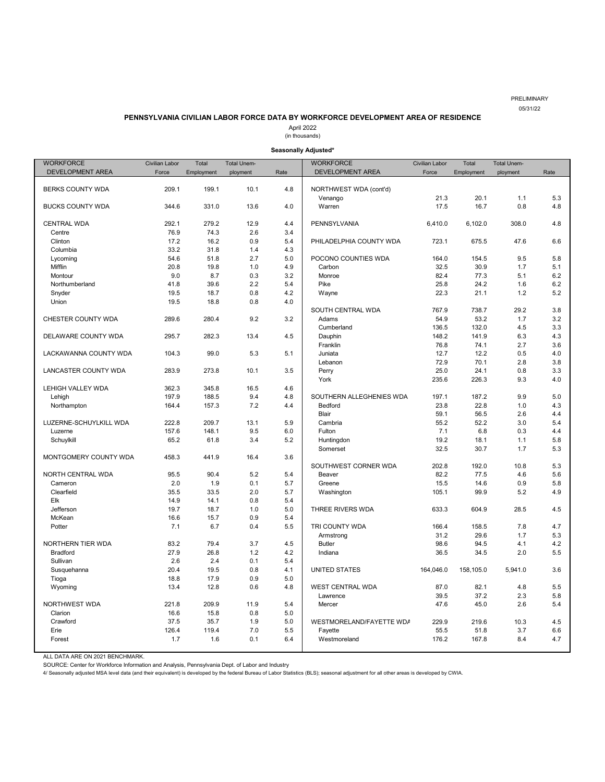#### PRELIMINARY 05/31/22

#### **PENNSYLVANIA CIVILIAN LABOR FORCE DATA BY WORKFORCE DEVELOPMENT AREA OF RESIDENCE**

April 2022

(in thousands)

#### **Seasonally Adjusted\***

<span id="page-11-0"></span>

| <b>WORKFORCE</b>        | Civilian Labor | Total      | <b>Total Unem-</b> |      | <b>WORKFORCE</b>         | <b>Civilian Labor</b> | Total      | <b>Total Unem-</b> |      |
|-------------------------|----------------|------------|--------------------|------|--------------------------|-----------------------|------------|--------------------|------|
| DEVELOPMENT AREA        | Force          | Employment | ployment           | Rate | DEVELOPMENT AREA         | Force                 | Employment | ployment           | Rate |
|                         |                |            |                    |      |                          |                       |            |                    |      |
| BERKS COUNTY WDA        | 209.1          | 199.1      | 10.1               | 4.8  | NORTHWEST WDA (cont'd)   |                       |            |                    |      |
|                         |                |            |                    |      | Venango                  | 21.3                  | 20.1       | 1.1                | 5.3  |
| <b>BUCKS COUNTY WDA</b> | 344.6          | 331.0      | 13.6               | 4.0  | Warren                   | 17.5                  | 16.7       | 0.8                | 4.8  |
|                         |                |            |                    |      |                          |                       |            |                    |      |
| CENTRAL WDA             | 292.1          | 279.2      | 12.9               | 4.4  | PENNSYLVANIA             | 6,410.0               | 6,102.0    | 308.0              | 4.8  |
| Centre                  | 76.9           | 74.3       | 2.6                | 3.4  |                          |                       |            |                    |      |
| Clinton                 | 17.2           | 16.2       | 0.9                | 5.4  | PHILADELPHIA COUNTY WDA  | 723.1                 | 675.5      | 47.6               | 6.6  |
| Columbia                | 33.2           | 31.8       | 1.4                | 4.3  |                          |                       |            |                    |      |
| Lycoming                | 54.6           | 51.8       | 2.7                | 5.0  | POCONO COUNTIES WDA      | 164.0                 | 154.5      | 9.5                | 5.8  |
| Mifflin                 | 20.8           | 19.8       | 1.0                | 4.9  | Carbon                   | 32.5                  | 30.9       | 1.7                | 5.1  |
| Montour                 | 9.0            | 8.7        | 0.3                | 3.2  | Monroe                   | 82.4                  | 77.3       | 5.1                | 6.2  |
| Northumberland          | 41.8           | 39.6       | 2.2                | 5.4  | Pike                     | 25.8                  | 24.2       | 1.6                | 6.2  |
| Snyder                  | 19.5           | 18.7       | 0.8                | 4.2  | Wayne                    | 22.3                  | 21.1       | 1.2                | 5.2  |
| Union                   | 19.5           | 18.8       | 0.8                | 4.0  |                          |                       |            |                    |      |
|                         |                |            |                    |      | SOUTH CENTRAL WDA        | 767.9                 | 738.7      | 29.2               | 3.8  |
| CHESTER COUNTY WDA      | 289.6          | 280.4      | 9.2                | 3.2  | Adams                    | 54.9                  | 53.2       | 1.7                | 3.2  |
|                         |                |            |                    |      | Cumberland               | 136.5                 | 132.0      | 4.5                | 3.3  |
| DELAWARE COUNTY WDA     | 295.7          | 282.3      | 13.4               | 4.5  | Dauphin                  | 148.2                 | 141.9      | 6.3                | 4.3  |
|                         |                |            |                    |      | Franklin                 | 76.8                  | 74.1       | 2.7                | 3.6  |
| LACKAWANNA COUNTY WDA   | 104.3          | 99.0       | 5.3                | 5.1  | Juniata                  | 12.7                  | 12.2       | 0.5                | 4.0  |
|                         |                |            |                    |      | Lebanon                  | 72.9                  | 70.1       | 2.8                | 3.8  |
| LANCASTER COUNTY WDA    | 283.9          | 273.8      | 10.1               | 3.5  | Perry                    | 25.0                  | 24.1       | 0.8                | 3.3  |
|                         |                |            |                    |      | York                     | 235.6                 | 226.3      | 9.3                | 4.0  |
| LEHIGH VALLEY WDA       | 362.3          | 345.8      | 16.5               | 4.6  |                          |                       |            |                    |      |
| Lehigh                  | 197.9          | 188.5      | 9.4                | 4.8  | SOUTHERN ALLEGHENIES WDA | 197.1                 | 187.2      | 9.9                | 5.0  |
| Northampton             | 164.4          | 157.3      | 7.2                | 4.4  | Bedford                  | 23.8                  | 22.8       | 1.0                | 4.3  |
|                         |                |            |                    |      | Blair                    | 59.1                  | 56.5       | 2.6                | 4.4  |
| LUZERNE-SCHUYLKILL WDA  | 222.8          | 209.7      | 13.1               | 5.9  | Cambria                  | 55.2                  | 52.2       | 3.0                | 5.4  |
| Luzerne                 | 157.6          | 148.1      | 9.5                | 6.0  | Fulton                   | 7.1                   | 6.8        | 0.3                | 4.4  |
| Schuylkill              | 65.2           | 61.8       | 3.4                | 5.2  | Huntingdon               | 19.2                  | 18.1       | 1.1                | 5.8  |
|                         |                |            |                    |      | Somerset                 | 32.5                  | 30.7       | 1.7                | 5.3  |
| MONTGOMERY COUNTY WDA   | 458.3          | 441.9      | 16.4               | 3.6  |                          |                       |            |                    |      |
|                         |                |            |                    |      | SOUTHWEST CORNER WDA     | 202.8                 | 192.0      | 10.8               | 5.3  |
| NORTH CENTRAL WDA       | 95.5           | 90.4       | 5.2                | 5.4  | Beaver                   | 82.2                  | 77.5       | 4.6                | 5.6  |
| Cameron                 | 2.0            | 1.9        | 0.1                | 5.7  | Greene                   | 15.5                  | 14.6       | 0.9                | 5.8  |
| Clearfield              | 35.5           | 33.5       | 2.0                | 5.7  | Washington               | 105.1                 | 99.9       | 5.2                | 4.9  |
| Elk                     | 14.9           | 14.1       | 0.8                | 5.4  |                          |                       |            |                    |      |
| Jefferson               | 19.7           | 18.7       | 1.0                | 5.0  | THREE RIVERS WDA         | 633.3                 | 604.9      | 28.5               | 4.5  |
| McKean                  | 16.6           | 15.7       | 0.9                | 5.4  |                          |                       |            |                    |      |
| Potter                  | 7.1            | 6.7        | 0.4                | 5.5  | TRI COUNTY WDA           | 166.4                 | 158.5      | 7.8                | 4.7  |
|                         |                |            |                    |      | Armstrong                | 31.2                  | 29.6       | 1.7                | 5.3  |
| NORTHERN TIER WDA       | 83.2           | 79.4       | 3.7                | 4.5  | <b>Butler</b>            | 98.6                  | 94.5       | 4.1                | 4.2  |
| <b>Bradford</b>         | 27.9           | 26.8       | 1.2                | 4.2  | Indiana                  | 36.5                  | 34.5       | 2.0                | 5.5  |
| Sullivan                | 2.6            | 2.4        | 0.1                | 5.4  |                          |                       |            |                    |      |
| Susquehanna             | 20.4           | 19.5       | 0.8                | 4.1  | <b>UNITED STATES</b>     | 164,046.0             | 158,105.0  | 5,941.0            | 3.6  |
| Tioga                   | 18.8           | 17.9       | 0.9                | 5.0  |                          |                       |            |                    |      |
| Wyoming                 | 13.4           | 12.8       | 0.6                | 4.8  | WEST CENTRAL WDA         | 87.0                  | 82.1       | 4.8                | 5.5  |
|                         |                |            |                    |      | Lawrence                 | 39.5                  | 37.2       | 2.3                | 5.8  |
| NORTHWEST WDA           | 221.8          | 209.9      | 11.9               | 5.4  | Mercer                   | 47.6                  | 45.0       | 2.6                | 5.4  |
| Clarion                 | 16.6           | 15.8       | 0.8                | 5.0  |                          |                       |            |                    |      |
| Crawford                | 37.5           | 35.7       | 1.9                | 5.0  | WESTMORELAND/FAYETTE WDA | 229.9                 | 219.6      | 10.3               | 4.5  |
| Erie                    | 126.4          | 119.4      | 7.0                | 5.5  | Fayette                  | 55.5                  | 51.8       | 3.7                | 6.6  |
| Forest                  | 1.7            | 1.6        | 0.1                | 6.4  | Westmoreland             | 176.2                 | 167.8      | 8.4                | 4.7  |
|                         |                |            |                    |      |                          |                       |            |                    |      |

ALL DATA ARE ON 2021 BENCHMARK.

SOURCE: Center for Workforce Information and Analysis, Pennsylvania Dept. of Labor and Industry<br>4/ Seasonally adjusted MSA level data (and their equivalent) is developed by the federal Bureau of Labor Statistics (BLS); sea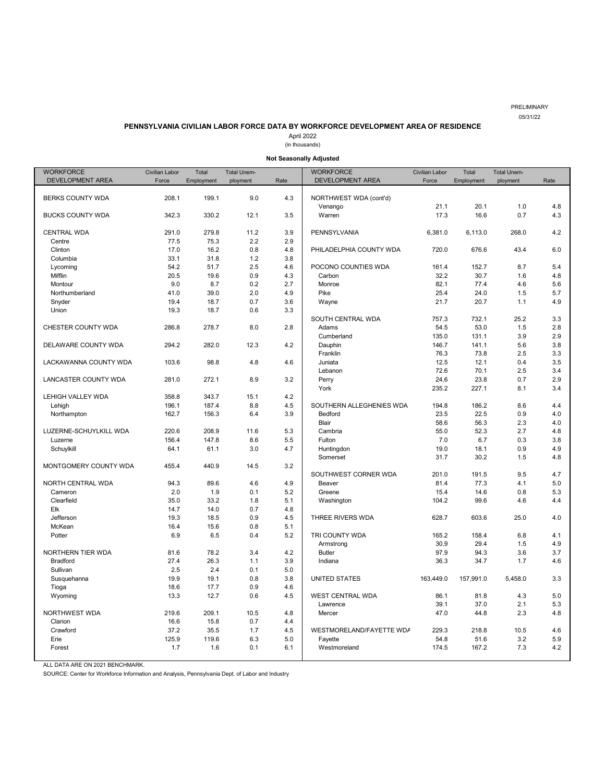PRELIMINARY 05/31/22

# **PENNSYLVANIA CIVILIAN LABOR FORCE DATA BY WORKFORCE DEVELOPMENT AREA OF RESIDENCE**

April 2022

(in thousands)

**Not Seasonally Adjusted**

<span id="page-12-0"></span>

| <b>WORKFORCE</b>          | <b>Civilian Labor</b> | Total       | <b>Total Unem-</b> |            | <b>WORKFORCE</b>         | Civilian Labor | Total        | <b>Total Unem-</b> |            |
|---------------------------|-----------------------|-------------|--------------------|------------|--------------------------|----------------|--------------|--------------------|------------|
| DEVELOPMENT AREA          | Force                 | Employment  | ployment           | Rate       | DEVELOPMENT AREA         | Force          | Employment   | ployment           | Rate       |
|                           |                       |             |                    |            |                          |                |              |                    |            |
| BERKS COUNTY WDA          | 208.1                 | 199.1       | 9.0                | 4.3        | NORTHWEST WDA (cont'd)   |                |              |                    |            |
|                           |                       |             |                    |            | Venango                  | 21.1           | 20.1         | 1.0                | 4.8        |
| <b>BUCKS COUNTY WDA</b>   | 342.3                 | 330.2       | 12.1               | 3.5        | Warren                   | 17.3           | 16.6         | 0.7                | 4.3        |
|                           |                       |             |                    |            |                          |                |              |                    |            |
| <b>CENTRAL WDA</b>        | 291.0                 | 279.8       | 11.2               | 3.9        | PENNSYLVANIA             | 6,381.0        | 6,113.0      | 268.0              | 4.2        |
| Centre                    | 77.5                  | 75.3        | 2.2                | 2.9        |                          |                |              |                    |            |
| Clinton                   | 17.0                  | 16.2        | 0.8                | 4.8        | PHILADELPHIA COUNTY WDA  | 720.0          | 676.6        | 43.4               | 6.0        |
| Columbia                  | 33.1                  | 31.8        | 1.2                | 3.8        |                          |                |              |                    |            |
| Lycoming                  | 54.2                  | 51.7        | 2.5                | 4.6        | POCONO COUNTIES WDA      | 161.4          | 152.7        | 8.7                | 5.4        |
| Mifflin                   | 20.5                  | 19.6        | 0.9                | 4.3        | Carbon                   | 32.2           | 30.7         | 1.6                | 4.8        |
| Montour<br>Northumberland | 9.0<br>41.0           | 8.7<br>39.0 | 0.2<br>2.0         | 2.7<br>4.9 | Monroe<br>Pike           | 82.1<br>25.4   | 77.4<br>24.0 | 4.6<br>1.5         | 5.6<br>5.7 |
| Snyder                    | 19.4                  | 18.7        | 0.7                | 3.6        | Wayne                    | 21.7           | 20.7         | 1.1                | 4.9        |
| Union                     | 19.3                  | 18.7        | 0.6                | 3.3        |                          |                |              |                    |            |
|                           |                       |             |                    |            | SOUTH CENTRAL WDA        | 757.3          | 732.1        | 25.2               | 3.3        |
| CHESTER COUNTY WDA        | 286.8                 | 278.7       | 8.0                | 2.8        | Adams                    | 54.5           | 53.0         | 1.5                | 2.8        |
|                           |                       |             |                    |            | Cumberland               | 135.0          | 131.1        | 3.9                | 2.9        |
| DELAWARE COUNTY WDA       | 294.2                 | 282.0       | 12.3               | 4.2        | Dauphin                  | 146.7          | 141.1        | 5.6                | 3.8        |
|                           |                       |             |                    |            | Franklin                 | 76.3           | 73.8         | 2.5                | 3.3        |
| LACKAWANNA COUNTY WDA     | 103.6                 | 98.8        | 4.8                | 4.6        | Juniata                  | 12.5           | 12.1         | 0.4                | 3.5        |
|                           |                       |             |                    |            | Lebanon                  | 72.6           | 70.1         | 2.5                | 3.4        |
| LANCASTER COUNTY WDA      | 281.0                 | 272.1       | 8.9                | 3.2        | Perry                    | 24.6           | 23.8         | 0.7                | 2.9        |
|                           |                       |             |                    |            | York                     | 235.2          | 227.1        | 8.1                | 3.4        |
| LEHIGH VALLEY WDA         | 358.8                 | 343.7       | 15.1               | 4.2        |                          |                |              |                    |            |
| Lehigh                    | 196.1                 | 187.4       | 8.8                | 4.5        | SOUTHERN ALLEGHENIES WDA | 194.8          | 186.2        | 8.6                | 4.4        |
| Northampton               | 162.7                 | 156.3       | 6.4                | 3.9        | Bedford                  | 23.5           | 22.5         | 0.9                | 4.0        |
|                           |                       |             |                    |            | <b>Blair</b>             | 58.6           | 56.3         | 2.3                | 4.0        |
| LUZERNE-SCHUYLKILL WDA    | 220.6                 | 208.9       | 11.6               | 5.3        | Cambria                  | 55.0           | 52.3         | 2.7                | 4.8        |
| Luzerne                   | 156.4                 | 147.8       | 8.6                | 5.5        | Fulton                   | 7.0            | 6.7          | 0.3                | 3.8        |
| Schuylkill                | 64.1                  | 61.1        | 3.0                | 4.7        | Huntingdon               | 19.0           | 18.1         | 0.9                | 4.9        |
|                           |                       |             |                    |            | Somerset                 | 31.7           | 30.2         | 1.5                | 4.8        |
| MONTGOMERY COUNTY WDA     | 455.4                 | 440.9       | 14.5               | 3.2        |                          |                |              |                    |            |
|                           |                       |             |                    |            | SOUTHWEST CORNER WDA     | 201.0          | 191.5        | 9.5                | 4.7        |
| NORTH CENTRAL WDA         | 94.3                  | 89.6        | 4.6                | 4.9        | Beaver                   | 81.4           | 77.3         | 4.1                | 5.0        |
| Cameron                   | 2.0                   | 1.9         | 0.1                | 5.2        | Greene                   | 15.4           | 14.6         | 0.8                | 5.3        |
| Clearfield                | 35.0                  | 33.2        | 1.8                | 5.1        | Washington               | 104.2          | 99.6         | 4.6                | 4.4        |
| Elk                       | 14.7                  | 14.0        | 0.7                | 4.8        |                          |                |              |                    |            |
| Jefferson                 | 19.3                  | 18.5        | 0.9                | 4.5        | THREE RIVERS WDA         | 628.7          | 603.6        | 25.0               | 4.0        |
| McKean                    | 16.4                  | 15.6        | 0.8                | 5.1        |                          |                |              |                    |            |
| Potter                    | 6.9                   | 6.5         | 0.4                | 5.2        | TRI COUNTY WDA           | 165.2          | 158.4        | 6.8                | 4.1        |
|                           |                       |             |                    |            | Armstrong                | 30.9           | 29.4         | 1.5                | 4.9        |
| NORTHERN TIER WDA         | 81.6                  | 78.2        | 3.4                | 4.2        | <b>Butler</b>            | 97.9           | 94.3         | 3.6                | 3.7        |
| <b>Bradford</b>           | 27.4                  | 26.3        | 1.1                | 3.9        | Indiana                  | 36.3           | 34.7         | 1.7                | 4.6        |
| Sullivan                  | 2.5                   | 2.4         | 0.1                | 5.0        |                          |                |              |                    |            |
| Susquehanna               | 19.9                  | 19.1        | 0.8                | 3.8        | <b>UNITED STATES</b>     | 163,449.0      | 157,991.0    | 5.458.0            | 3.3        |
| Tioga                     | 18.6                  | 17.7        | 0.9                | 4.6        |                          |                |              |                    |            |
| Wyoming                   | 13.3                  | 12.7        | 0.6                | 4.5        | WEST CENTRAL WDA         | 86.1<br>39.1   | 81.8<br>37.0 | 4.3<br>2.1         | 5.0<br>5.3 |
| NORTHWEST WDA             | 219.6                 | 209.1       | 10.5               | 4.8        | Lawrence<br>Mercer       | 47.0           | 44.8         | 2.3                | 4.8        |
| Clarion                   | 16.6                  | 15.8        | 0.7                | 4.4        |                          |                |              |                    |            |
| Crawford                  | 37.2                  | 35.5        | 1.7                | 4.5        | WESTMORELAND/FAYETTE WDA | 229.3          | 218.8        | 10.5               | 4.6        |
| Erie                      | 125.9                 | 119.6       | 6.3                | 5.0        | Fayette                  | 54.8           | 51.6         | 3.2                | 5.9        |
| Forest                    | 1.7                   | 1.6         | 0.1                | 6.1        | Westmoreland             | 174.5          | 167.2        | 7.3                | 4.2        |
|                           |                       |             |                    |            |                          |                |              |                    |            |

ALL DATA ARE ON 2021 BENCHMARK.

SOURCE: Center for Workforce Information and Analysis, Pennsylvania Dept. of Labor and Industry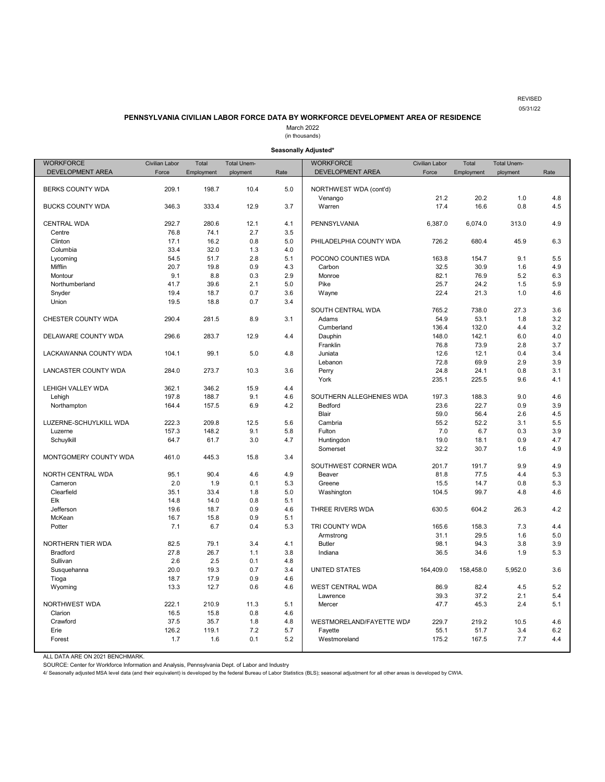#### REVISED 05/31/22

#### **PENNSYLVANIA CIVILIAN LABOR FORCE DATA BY WORKFORCE DEVELOPMENT AREA OF RESIDENCE**

March 2022

(in thousands)

#### **Seasonally Adjusted\***

<span id="page-13-0"></span>

| <b>WORKFORCE</b>            | Civilian Labor | Total      | <b>Total Unem-</b> |      | <b>WORKFORCE</b>         | Civilian Labor | Total      | <b>Total Unem-</b> |      |
|-----------------------------|----------------|------------|--------------------|------|--------------------------|----------------|------------|--------------------|------|
| DEVELOPMENT AREA            | Force          | Employment | ployment           | Rate | DEVELOPMENT AREA         | Force          | Employment | ployment           | Rate |
|                             |                |            |                    |      |                          |                |            |                    |      |
| <b>BERKS COUNTY WDA</b>     | 209.1          | 198.7      | 10.4               | 5.0  | NORTHWEST WDA (cont'd)   |                |            |                    |      |
|                             |                |            |                    |      | Venango                  | 21.2           | 20.2       | 1.0                | 4.8  |
| <b>BUCKS COUNTY WDA</b>     | 346.3          | 333.4      | 12.9               | 3.7  | Warren                   | 17.4           | 16.6       | 0.8                | 4.5  |
|                             |                |            |                    |      |                          |                |            |                    |      |
| <b>CENTRAL WDA</b>          | 292.7          | 280.6      | 12.1               | 4.1  | PENNSYLVANIA             | 6,387.0        | 6,074.0    | 313.0              | 4.9  |
| Centre                      | 76.8           | 74.1       | 2.7                | 3.5  |                          |                |            |                    |      |
| Clinton                     | 17.1           | 16.2       | 0.8                | 5.0  | PHILADELPHIA COUNTY WDA  | 726.2          | 680.4      | 45.9               | 6.3  |
| Columbia                    | 33.4           | 32.0       | 1.3                | 4.0  |                          |                |            |                    |      |
| Lycoming                    | 54.5           | 51.7       | 2.8                | 5.1  | POCONO COUNTIES WDA      | 163.8          | 154.7      | 9.1                | 5.5  |
| Mifflin                     | 20.7           | 19.8       | 0.9                | 4.3  | Carbon                   | 32.5           | 30.9       | 1.6                | 4.9  |
| Montour                     | 9.1            | 8.8        | 0.3                | 2.9  | Monroe                   | 82.1           | 76.9       | 5.2                | 6.3  |
| Northumberland              | 41.7           | 39.6       | 2.1                | 5.0  | Pike                     | 25.7           | 24.2       | 1.5                | 5.9  |
| Snyder                      | 19.4           | 18.7       | 0.7                | 3.6  | Wayne                    | 22.4           | 21.3       | 1.0                | 4.6  |
| Union                       | 19.5           | 18.8       | 0.7                | 3.4  |                          |                |            |                    |      |
|                             |                |            |                    |      | SOUTH CENTRAL WDA        | 765.2          | 738.0      | 27.3               | 3.6  |
| CHESTER COUNTY WDA          | 290.4          | 281.5      | 8.9                | 3.1  | Adams                    | 54.9           | 53.1       | 1.8                | 3.2  |
|                             |                |            |                    |      | Cumberland               | 136.4          | 132.0      | 4.4                | 3.2  |
| DELAWARE COUNTY WDA         | 296.6          | 283.7      | 12.9               | 4.4  | Dauphin                  | 148.0          | 142.1      | 6.0                | 4.0  |
|                             |                |            |                    |      | Franklin                 | 76.8           | 73.9       | 2.8                | 3.7  |
| LACKAWANNA COUNTY WDA       | 104.1          | 99.1       | 5.0                | 4.8  | Juniata                  | 12.6           | 12.1       | 0.4                | 3.4  |
|                             |                |            |                    |      | Lebanon                  | 72.8           | 69.9       | 2.9                | 3.9  |
| <b>LANCASTER COUNTY WDA</b> | 284.0          | 273.7      | 10.3               | 3.6  | Perry                    | 24.8           | 24.1       | 0.8                | 3.1  |
|                             |                |            |                    |      | York                     | 235.1          | 225.5      | 9.6                | 4.1  |
| LEHIGH VALLEY WDA           | 362.1          | 346.2      | 15.9               | 4.4  |                          |                |            |                    |      |
| Lehigh                      | 197.8          | 188.7      | 9.1                | 4.6  | SOUTHERN ALLEGHENIES WDA | 197.3          | 188.3      | 9.0                | 4.6  |
| Northampton                 | 164.4          | 157.5      | 6.9                | 4.2  | Bedford                  | 23.6           | 22.7       | 0.9<br>2.6         | 3.9  |
|                             |                |            |                    |      | Blair                    | 59.0           | 56.4       |                    | 4.5  |
| LUZERNE-SCHUYLKILL WDA      | 222.3          | 209.8      | 12.5               | 5.6  | Cambria                  | 55.2           | 52.2       | 3.1                | 5.5  |
| Luzerne                     | 157.3          | 148.2      | 9.1                | 5.8  | Fulton                   | 7.0            | 6.7        | 0.3                | 3.9  |
| Schuylkill                  | 64.7           | 61.7       | 3.0                | 4.7  | Huntingdon               | 19.0           | 18.1       | 0.9                | 4.7  |
| MONTGOMERY COUNTY WDA       | 461.0          | 445.3      | 15.8               | 3.4  | Somerset                 | 32.2           | 30.7       | 1.6                | 4.9  |
|                             |                |            |                    |      | SOUTHWEST CORNER WDA     | 201.7          | 191.7      | 9.9                | 4.9  |
| NORTH CENTRAL WDA           | 95.1           | 90.4       | 4.6                | 4.9  | Beaver                   | 81.8           | 77.5       | 4.4                | 5.3  |
| Cameron                     | 2.0            | 1.9        | 0.1                | 5.3  | Greene                   | 15.5           | 14.7       | 0.8                | 5.3  |
| Clearfield                  | 35.1           | 33.4       | 1.8                | 5.0  | Washington               | 104.5          | 99.7       | 4.8                | 4.6  |
| Elk                         | 14.8           | 14.0       | 0.8                | 5.1  |                          |                |            |                    |      |
| Jefferson                   | 19.6           | 18.7       | 0.9                | 4.6  | THREE RIVERS WDA         | 630.5          | 604.2      | 26.3               | 4.2  |
| McKean                      | 16.7           | 15.8       | 0.9                | 5.1  |                          |                |            |                    |      |
| Potter                      | 7.1            | 6.7        | 0.4                | 5.3  | TRI COUNTY WDA           | 165.6          | 158.3      | 7.3                | 4.4  |
|                             |                |            |                    |      | Armstrong                | 31.1           | 29.5       | 1.6                | 5.0  |
| NORTHERN TIER WDA           | 82.5           | 79.1       | 3.4                | 4.1  | <b>Butler</b>            | 98.1           | 94.3       | 3.8                | 3.9  |
| <b>Bradford</b>             | 27.8           | 26.7       | 1.1                | 3.8  | Indiana                  | 36.5           | 34.6       | 1.9                | 5.3  |
| Sullivan                    | 2.6            | 2.5        | 0.1                | 4.8  |                          |                |            |                    |      |
| Susquehanna                 | 20.0           | 19.3       | 0.7                | 3.4  | <b>UNITED STATES</b>     | 164,409.0      | 158,458.0  | 5,952.0            | 3.6  |
| Tioga                       | 18.7           | 17.9       | 0.9                | 4.6  |                          |                |            |                    |      |
| Wyoming                     | 13.3           | 12.7       | 0.6                | 4.6  | <b>WEST CENTRAL WDA</b>  | 86.9           | 82.4       | 4.5                | 5.2  |
|                             |                |            |                    |      | Lawrence                 | 39.3           | 37.2       | 2.1                | 5.4  |
| NORTHWEST WDA               | 222.1          | 210.9      | 11.3               | 5.1  | Mercer                   | 47.7           | 45.3       | 2.4                | 5.1  |
| Clarion                     | 16.5           | 15.8       | 0.8                | 4.6  |                          |                |            |                    |      |
| Crawford                    | 37.5           | 35.7       | 1.8                | 4.8  | WESTMORELAND/FAYETTE WDA | 229.7          | 219.2      | 10.5               | 4.6  |
| Erie                        | 126.2          | 119.1      | 7.2                | 5.7  | Fayette                  | 55.1           | 51.7       | 3.4                | 6.2  |
| Forest                      | 1.7            | 1.6        | 0.1                | 5.2  | Westmoreland             | 175.2          | 167.5      | 7.7                | 4.4  |
|                             |                |            |                    |      |                          |                |            |                    |      |

ALL DATA ARE ON 2021 BENCHMARK.

SOURCE: Center for Workforce Information and Analysis, Pennsylvania Dept. of Labor and Industry<br>4/ Seasonally adjusted MSA level data (and their equivalent) is developed by the federal Bureau of Labor Statistics (BLS); sea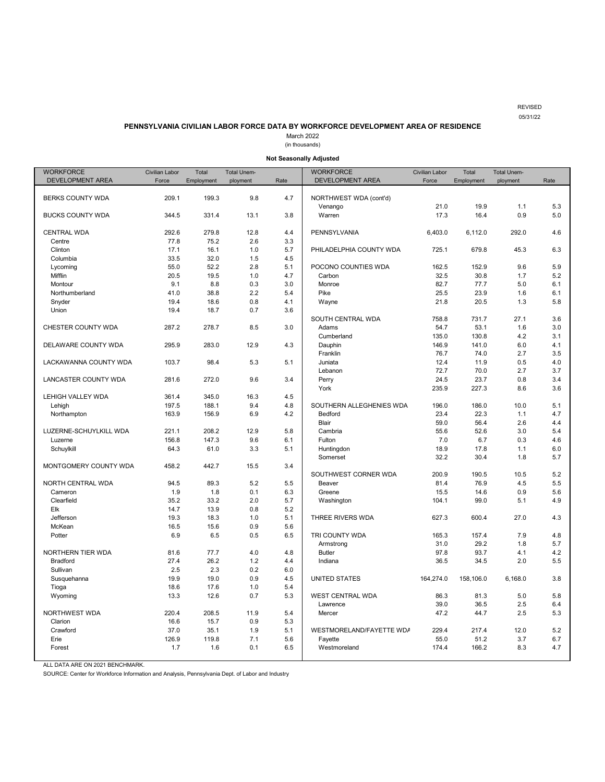REVISED 05/31/22

# **PENNSYLVANIA CIVILIAN LABOR FORCE DATA BY WORKFORCE DEVELOPMENT AREA OF RESIDENCE**

March 2022

(in thousands)

**Not Seasonally Adjusted**

<span id="page-14-0"></span>

| <b>WORKFORCE</b>         | Civilian Labor | Total      | <b>Total Unem-</b> |      | <b>WORKFORCE</b>         | <b>Civilian Labor</b> | Total      | <b>Total Unem-</b> |      |
|--------------------------|----------------|------------|--------------------|------|--------------------------|-----------------------|------------|--------------------|------|
| DEVELOPMENT AREA         | Force          | Employment | ployment           | Rate | DEVELOPMENT AREA         | Force                 | Employment | ployment           | Rate |
|                          |                |            |                    |      |                          |                       |            |                    |      |
| <b>BERKS COUNTY WDA</b>  | 209.1          | 199.3      | 9.8                | 4.7  | NORTHWEST WDA (cont'd)   |                       |            |                    |      |
|                          |                |            |                    |      | Venango                  | 21.0                  | 19.9       | 1.1                | 5.3  |
| <b>BUCKS COUNTY WDA</b>  | 344.5          | 331.4      | 13.1               | 3.8  | Warren                   | 17.3                  | 16.4       | 0.9                | 5.0  |
|                          |                |            |                    |      |                          |                       |            |                    |      |
| <b>CENTRAL WDA</b>       | 292.6          | 279.8      | 12.8               | 4.4  | PENNSYLVANIA             | 6,403.0               | 6,112.0    | 292.0              | 4.6  |
| Centre                   | 77.8           | 75.2       | 2.6                | 3.3  |                          |                       |            |                    |      |
| Clinton                  | 17.1           | 16.1       | 1.0                | 5.7  | PHILADELPHIA COUNTY WDA  | 725.1                 | 679.8      | 45.3               | 6.3  |
| Columbia                 | 33.5           | 32.0       | 1.5                | 4.5  |                          |                       |            |                    |      |
| Lycoming                 | 55.0           | 52.2       | 2.8                | 5.1  | POCONO COUNTIES WDA      | 162.5                 | 152.9      | 9.6                | 5.9  |
| Mifflin                  | 20.5           | 19.5       | 1.0                | 4.7  | Carbon                   | 32.5                  | 30.8       | 1.7                | 5.2  |
| Montour                  | 9.1            | 8.8        | 0.3                | 3.0  | Monroe                   | 82.7                  | 77.7       | 5.0                | 6.1  |
| Northumberland           | 41.0           | 38.8       | 2.2                | 5.4  | Pike                     | 25.5                  | 23.9       | 1.6                | 6.1  |
| Snyder                   | 19.4           | 18.6       | 0.8                | 4.1  | Wayne                    | 21.8                  | 20.5       | 1.3                | 5.8  |
| Union                    | 19.4           | 18.7       | 0.7                | 3.6  |                          |                       |            |                    |      |
|                          |                |            |                    |      | SOUTH CENTRAL WDA        | 758.8                 | 731.7      | 27.1               | 3.6  |
| CHESTER COUNTY WDA       | 287.2          | 278.7      | 8.5                | 3.0  | Adams                    | 54.7                  | 53.1       | 1.6                | 3.0  |
|                          |                |            |                    |      | Cumberland               | 135.0                 | 130.8      | 4.2                | 3.1  |
| DELAWARE COUNTY WDA      | 295.9          | 283.0      | 12.9               | 4.3  | Dauphin                  | 146.9                 | 141.0      | 6.0                | 4.1  |
|                          |                |            |                    |      | Franklin                 | 76.7                  | 74.0       | 2.7                | 3.5  |
| LACKAWANNA COUNTY WDA    | 103.7          | 98.4       | 5.3                | 5.1  | Juniata                  | 12.4                  | 11.9       | 0.5                | 4.0  |
|                          |                |            |                    |      | Lebanon                  | 72.7                  | 70.0       | 2.7                | 3.7  |
| LANCASTER COUNTY WDA     | 281.6          | 272.0      | 9.6                | 3.4  | Perry                    | 24.5                  | 23.7       | 0.8                | 3.4  |
|                          |                |            |                    |      | York                     | 235.9                 | 227.3      | 8.6                | 3.6  |
| <b>LEHIGH VALLEY WDA</b> | 361.4          | 345.0      | 16.3               | 4.5  |                          |                       |            |                    |      |
| Lehigh                   | 197.5          | 188.1      | 9.4                | 4.8  | SOUTHERN ALLEGHENIES WDA | 196.0                 | 186.0      | 10.0               | 5.1  |
| Northampton              | 163.9          | 156.9      | 6.9                | 4.2  | Bedford                  | 23.4                  | 22.3       | 1.1                | 4.7  |
|                          |                |            |                    |      | Blair                    | 59.0                  | 56.4       | 2.6                | 4.4  |
| LUZERNE-SCHUYLKILL WDA   | 221.1          | 208.2      | 12.9               | 5.8  | Cambria                  | 55.6                  | 52.6       | 3.0                | 5.4  |
| Luzerne                  | 156.8          | 147.3      | 9.6                | 6.1  | Fulton                   | 7.0                   | 6.7        | 0.3                | 4.6  |
| Schuylkill               | 64.3           | 61.0       | 3.3                | 5.1  | Huntingdon               | 18.9                  | 17.8       | 1.1                | 6.0  |
|                          |                |            |                    |      | Somerset                 | 32.2                  | 30.4       | 1.8                | 5.7  |
| MONTGOMERY COUNTY WDA    | 458.2          | 442.7      | 15.5               | 3.4  |                          |                       |            |                    |      |
|                          |                |            |                    |      | SOUTHWEST CORNER WDA     | 200.9                 | 190.5      | 10.5               | 5.2  |
| NORTH CENTRAL WDA        | 94.5           | 89.3       | 5.2                | 5.5  | Beaver                   | 81.4                  | 76.9       | 4.5                | 5.5  |
| Cameron                  | 1.9            | 1.8        | 0.1                | 6.3  | Greene                   | 15.5                  | 14.6       | 0.9                | 5.6  |
| Clearfield               | 35.2           | 33.2       | 2.0                | 5.7  | Washington               | 104.1                 | 99.0       | 5.1                | 4.9  |
| Elk                      | 14.7           | 13.9       | 0.8                | 5.2  |                          |                       |            |                    |      |
| Jefferson                | 19.3           | 18.3       | 1.0                | 5.1  | THREE RIVERS WDA         | 627.3                 | 600.4      | 27.0               | 4.3  |
| McKean                   | 16.5           | 15.6       | 0.9                | 5.6  |                          |                       |            |                    |      |
| Potter                   | 6.9            | 6.5        | 0.5                | 6.5  | TRI COUNTY WDA           | 165.3                 | 157.4      | 7.9                | 4.8  |
|                          |                |            |                    |      | Armstrong                | 31.0                  | 29.2       | 1.8                | 5.7  |
| NORTHERN TIER WDA        | 81.6           | 77.7       | 4.0                | 4.8  | <b>Butler</b>            | 97.8                  | 93.7       | 4.1                | 4.2  |
| <b>Bradford</b>          | 27.4           | 26.2       | 1.2                | 4.4  | Indiana                  | 36.5                  | 34.5       | 2.0                | 5.5  |
| Sullivan                 | 2.5            | 2.3        | 0.2                | 6.0  |                          |                       |            |                    |      |
| Susquehanna              | 19.9           | 19.0       | 0.9                | 4.5  | <b>UNITED STATES</b>     | 164,274.0             | 158,106.0  | 6,168.0            | 3.8  |
| Tioga                    | 18.6           | 17.6       | 1.0                | 5.4  |                          |                       |            |                    |      |
| Wyoming                  | 13.3           | 12.6       | 0.7                | 5.3  | WEST CENTRAL WDA         | 86.3                  | 81.3       | 5.0                | 5.8  |
|                          |                |            |                    |      | Lawrence                 | 39.0                  | 36.5       | 2.5                | 6.4  |
| NORTHWEST WDA            | 220.4          | 208.5      | 11.9               | 5.4  | Mercer                   | 47.2                  | 44.7       | 2.5                | 5.3  |
| Clarion                  | 16.6           | 15.7       | 0.9                | 5.3  |                          |                       |            |                    |      |
| Crawford                 | 37.0           | 35.1       | 1.9                | 5.1  | WESTMORELAND/FAYETTE WDA | 229.4                 | 217.4      | 12.0               | 5.2  |
| Erie                     | 126.9          | 119.8      | 7.1                | 5.6  | Fayette                  | 55.0                  | 51.2       | 3.7                | 6.7  |
| Forest                   | 1.7            | 1.6        | 0.1                | 6.5  | Westmoreland             | 174.4                 | 166.2      | 8.3                | 4.7  |
|                          |                |            |                    |      |                          |                       |            |                    |      |

ALL DATA ARE ON 2021 BENCHMARK.

SOURCE: Center for Workforce Information and Analysis, Pennsylvania Dept. of Labor and Industry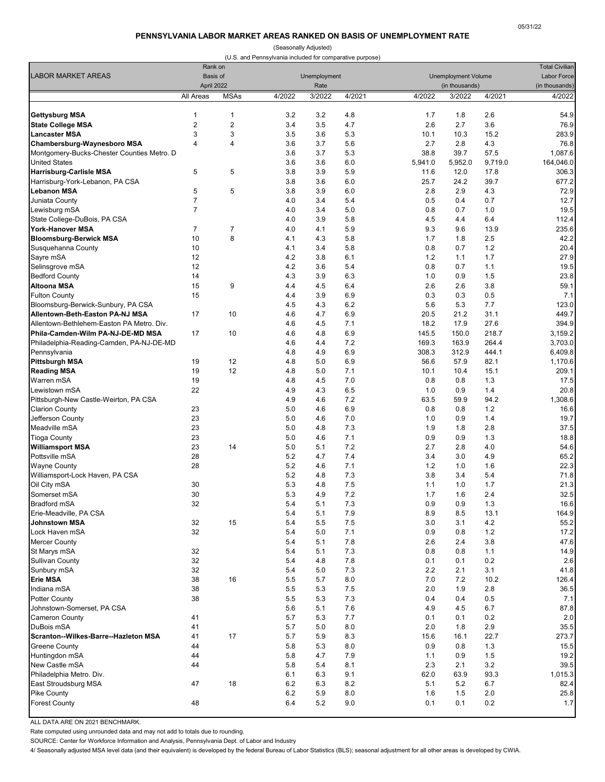#### **PENNSYLVANIA LABOR MARKET AREAS RANKED ON BASIS OF UNEMPLOYMENT RATE**

(Seasonally Adjusted)

<span id="page-15-0"></span>

|                                                     |                     |                                   | (U.S. and Pennsylvania included for comparative purpose) |                      |            |             |                                              |              | <b>Total Civilian</b>    |  |
|-----------------------------------------------------|---------------------|-----------------------------------|----------------------------------------------------------|----------------------|------------|-------------|----------------------------------------------|--------------|--------------------------|--|
| <b>LABOR MARKET AREAS</b>                           |                     | Rank on<br>Basis of<br>April 2022 |                                                          | Unemployment<br>Rate |            |             | <b>Unemployment Volume</b><br>(in thousands) |              |                          |  |
|                                                     | All Areas           | <b>MSAs</b>                       | 4/2022                                                   | 3/2022               | 4/2021     | 4/2022      | 3/2022                                       | 4/2021       | (in thousands)<br>4/2022 |  |
|                                                     |                     |                                   |                                                          |                      |            |             |                                              |              |                          |  |
| <b>Gettysburg MSA</b>                               | 1                   | 1                                 | 3.2                                                      | 3.2                  | 4.8        | 1.7         | 1.8                                          | 2.6          | 54.9                     |  |
| <b>State College MSA</b>                            | $\overline{2}$<br>3 | $\overline{c}$<br>3               | 3.4<br>3.5                                               | 3.5<br>3.6           | 4.7        | 2.6         | 2.7                                          | 3.6          | 76.9                     |  |
| <b>Lancaster MSA</b><br>Chambersburg-Waynesboro MSA | 4                   | 4                                 | 3.6                                                      | 3.7                  | 5.3<br>5.6 | 10.1<br>2.7 | 10.3<br>2.8                                  | 15.2<br>4.3  | 283.9<br>76.8            |  |
| Montgomery-Bucks-Chester Counties Metro. D          |                     |                                   | 3.6                                                      | 3.7                  | 5.3        | 38.8        | 39.7                                         | 57.5         | 1,087.6                  |  |
| <b>United States</b>                                |                     |                                   | 3.6                                                      | 3.6                  | 6.0        | 5,941.0     | 5,952.0                                      | 9,719.0      | 164,046.0                |  |
| <b>Harrisburg-Carlisle MSA</b>                      | 5                   | 5                                 | 3.8                                                      | 3.9                  | 5.9        | 11.6        | 12.0                                         | 17.8         | 306.3                    |  |
| Harrisburg-York-Lebanon, PA CSA                     |                     |                                   | 3.8                                                      | 3.6                  | 6.0        | 25.7        | 24.2                                         | 39.7         | 677.2                    |  |
| <b>Lebanon MSA</b>                                  | 5                   | 5                                 | 3.8                                                      | 3.9                  | 6.0        | 2.8         | 2.9                                          | 4.3          | 72.9                     |  |
| Juniata County                                      | $\overline{7}$      |                                   | 4.0                                                      | 3.4                  | 5.4        | 0.5         | 0.4                                          | 0.7          | 12.7                     |  |
| Lewisburg mSA                                       | $\overline{7}$      |                                   | 4.0                                                      | 3.4                  | 5.0        | 0.8         | 0.7                                          | 1.0          | 19.5                     |  |
| State College-DuBois, PA CSA                        |                     |                                   | 4.0                                                      | 3.9                  | 5.8        | 4.5         | 4.4                                          | 6.4          | 112.4                    |  |
| <b>York-Hanover MSA</b>                             | $\overline{7}$      | $\overline{7}$                    | 4.0                                                      | 4.1                  | 5.9        | 9.3         | 9.6                                          | 13.9         | 235.6                    |  |
| <b>Bloomsburg-Berwick MSA</b>                       | 10                  | 8                                 | 4.1                                                      | 4.3                  | 5.8        | 1.7         | 1.8                                          | 2.5          | 42.2                     |  |
| Susquehanna County                                  | 10                  |                                   | 4.1                                                      | 3.4                  | 5.8        | 0.8         | 0.7                                          | 1.2          | 20.4                     |  |
| Sayre mSA                                           | 12                  |                                   | 4.2                                                      | 3.8                  | 6.1        | 1.2         | 1.1                                          | 1.7          | 27.9                     |  |
| Selinsgrove mSA                                     | 12                  |                                   | 4.2                                                      | 3.6                  | 5.4        | 0.8         | 0.7                                          | 1.1          | 19.5                     |  |
| <b>Bedford County</b>                               | 14                  |                                   | 4.3                                                      | 3.9                  | 6.3        | 1.0         | 0.9                                          | 1.5          | 23.8                     |  |
| <b>Altoona MSA</b>                                  | 15                  | 9                                 | 4.4                                                      | 4.5                  | 6.4        | 2.6         | 2.6                                          | 3.8          | 59.1                     |  |
| <b>Fulton County</b>                                | 15                  |                                   | 4.4                                                      | 3.9                  | 6.9        | 0.3         | 0.3                                          | 0.5          | 7.1                      |  |
| Bloomsburg-Berwick-Sunbury, PA CSA                  |                     |                                   | 4.5                                                      | 4.3                  | 6.2        | 5.6         | 5.3                                          | 7.7          | 123.0                    |  |
| Allentown-Beth-Easton PA-NJ MSA                     | 17                  | 10                                | 4.6                                                      | 4.7                  | 6.9        | 20.5        | 21.2                                         | 31.1         | 449.7                    |  |
| Allentown-Bethlehem-Easton PA Metro. Div.           |                     |                                   | 4.6                                                      | 4.5                  | 7.1        | 18.2        | 17.9                                         | 27.6         | 394.9                    |  |
| Phila-Camden-Wilm PA-NJ-DE-MD MSA                   | 17                  | 10                                | 4.6                                                      | 4.8                  | 6.9        | 145.5       | 150.0                                        | 218.7        | 3,159.2                  |  |
| Philadelphia-Reading-Camden, PA-NJ-DE-MD            |                     |                                   | 4.6                                                      | 4.4                  | 7.2        | 169.3       | 163.9                                        | 264.4        | 3,703.0                  |  |
| Pennsylvania                                        |                     |                                   | 4.8                                                      | 4.9                  | 6.9        | 308.3       | 312.9                                        | 444.1        | 6,409.8                  |  |
| <b>Pittsburgh MSA</b>                               | 19<br>19            | 12<br>12                          | 4.8<br>4.8                                               | 5.0<br>5.0           | 6.9<br>7.1 | 56.6        | 57.9<br>10.4                                 | 82.1<br>15.1 | 1,170.6                  |  |
| <b>Reading MSA</b><br>Warren mSA                    | 19                  |                                   | 4.8                                                      | 4.5                  | 7.0        | 10.1<br>0.8 | 0.8                                          | 1.3          | 209.1<br>17.5            |  |
| Lewistown mSA                                       | 22                  |                                   | 4.9                                                      | 4.3                  | 6.5        | 1.0         | 0.9                                          | 1.4          | 20.8                     |  |
| Pittsburgh-New Castle-Weirton, PA CSA               |                     |                                   | 4.9                                                      | 4.6                  | 7.2        | 63.5        | 59.9                                         | 94.2         | 1,308.6                  |  |
| <b>Clarion County</b>                               | 23                  |                                   | 5.0                                                      | 4.6                  | 6.9        | 0.8         | 0.8                                          | 1.2          | 16.6                     |  |
| Jefferson County                                    | 23                  |                                   | 5.0                                                      | 4.6                  | 7.0        | 1.0         | 0.9                                          | 1.4          | 19.7                     |  |
| Meadville mSA                                       | 23                  |                                   | 5.0                                                      | 4.8                  | 7.3        | 1.9         | 1.8                                          | 2.8          | 37.5                     |  |
| <b>Tioga County</b>                                 | 23                  |                                   | 5.0                                                      | 4.6                  | 7.1        | 0.9         | 0.9                                          | 1.3          | 18.8                     |  |
| <b>Williamsport MSA</b>                             | 23                  | 14                                | 5.0                                                      | 5.1                  | 7.2        | 2.7         | 2.8                                          | 4.0          | 54.6                     |  |
| Pottsville mSA                                      | 28                  |                                   | 5.2                                                      | 4.7                  | 7.4        | 3.4         | 3.0                                          | 4.9          | 65.2                     |  |
| <b>Wayne County</b>                                 | 28                  |                                   | 5.2                                                      | 4.6                  | 7.1        | 1.2         | 1.0                                          | 1.6          | 22.3                     |  |
| Williamsport-Lock Haven, PA CSA                     |                     |                                   | 5.2                                                      | 4.8                  | 7.3        | 3.8         | 3.4                                          | 5.4          | 71.8                     |  |
| Oil City mSA                                        | 30                  |                                   | 5.3                                                      | 4.8                  | 7.5        | 1.1         | 1.0                                          | 1.7          | 21.3                     |  |
| Somerset mSA                                        | 30                  |                                   | 5.3                                                      | 4.9                  | 7.2        | 1.7         | 1.6                                          | 2.4          | 32.5                     |  |
| <b>Bradford mSA</b>                                 | 32                  |                                   | 5.4                                                      | 5.1                  | 7.3        | 0.9         | 0.9                                          | 1.3          | 16.6                     |  |
| Erie-Meadville, PA CSA                              |                     |                                   | 5.4                                                      | 5.1                  | 7.9        | 8.9         | 8.5                                          | 13.1         | 164.9                    |  |
| Johnstown MSA                                       | 32                  | 15                                | 5.4                                                      | 5.5                  | 7.5        | 3.0         | 3.1                                          | 4.2          | 55.2                     |  |
| Lock Haven mSA                                      | 32                  |                                   | 5.4                                                      | 5.0                  | 7.1        | 0.9         | 0.8                                          | 1.2          | 17.2                     |  |
| <b>Mercer County</b>                                |                     |                                   | 5.4                                                      | 5.1                  | 7.8        | 2.6         | 2.4                                          | 3.8          | 47.6                     |  |
| St Marys mSA<br><b>Sullivan County</b>              | 32<br>32            |                                   | 5.4<br>5.4                                               | 5.1<br>4.8           | 7.3<br>7.8 | 0.8<br>0.1  | 0.8<br>0.1                                   | 1.1<br>0.2   | 14.9<br>2.6              |  |
| Sunbury mSA                                         | 32                  |                                   | 5.4                                                      | 5.0                  | 7.3        | 2.2         | 2.1                                          | 3.1          | 41.8                     |  |
| <b>Erie MSA</b>                                     | 38                  | 16                                | 5.5                                                      | 5.7                  | 8.0        | 7.0         | 7.2                                          | 10.2         | 126.4                    |  |
| Indiana mSA                                         | 38                  |                                   | 5.5                                                      | 5.3                  | 7.5        | 2.0         | 1.9                                          | 2.8          | 36.5                     |  |
| <b>Potter County</b>                                | 38                  |                                   | 5.5                                                      | 5.3                  | 7.3        | 0.4         | 0.4                                          | 0.5          | 7.1                      |  |
| Johnstown-Somerset, PA CSA                          |                     |                                   | 5.6                                                      | 5.1                  | 7.6        | 4.9         | 4.5                                          | 6.7          | 87.8                     |  |
| Cameron County                                      | 41                  |                                   | 5.7                                                      | 5.3                  | 7.7        | 0.1         | 0.1                                          | 0.2          | 2.0                      |  |
| DuBois mSA                                          | 41                  |                                   | 5.7                                                      | 5.0                  | 8.0        | 2.0         | 1.8                                          | 2.9          | 35.5                     |  |
| Scranton--Wilkes-Barre--Hazleton MSA                | 41                  | 17                                | 5.7                                                      | 5.9                  | 8.3        | 15.6        | 16.1                                         | 22.7         | 273.7                    |  |
| <b>Greene County</b>                                | 44                  |                                   | 5.8                                                      | 5.3                  | 8.0        | 0.9         | 0.8                                          | 1.3          | 15.5                     |  |
| Huntingdon mSA                                      | 44                  |                                   | 5.8                                                      | 4.7                  | 7.9        | 1.1         | 0.9                                          | 1.5          | 19.2                     |  |
| New Castle mSA                                      | 44                  |                                   | 5.8                                                      | 5.4                  | 8.1        | 2.3         | 2.1                                          | 3.2          | 39.5                     |  |
| Philadelphia Metro. Div.                            |                     |                                   | 6.1                                                      | 6.3                  | 9.1        | 62.0        | 63.9                                         | 93.3         | 1,015.3                  |  |
| East Stroudsburg MSA                                | 47                  | 18                                | 6.2                                                      | 6.3                  | 8.2        | 5.1         | 5.2                                          | 6.7          | 82.4                     |  |
| <b>Pike County</b>                                  |                     |                                   | 6.2                                                      | 5.9                  | 8.0        | 1.6         | 1.5                                          | 2.0          | 25.8                     |  |
| <b>Forest County</b>                                | 48                  |                                   | 6.4                                                      | 5.2                  | 9.0        | 0.1         | 0.1                                          | 0.2          | $1.7$                    |  |
|                                                     |                     |                                   |                                                          |                      |            |             |                                              |              |                          |  |

ALL DATA ARE ON 2021 BENCHMARK.

Rate computed using unrounded data and may not add to totals due to rounding.

SOURCE: Center for Workforce Information and Analysis, Pennsylvania Dept. of Labor and Industry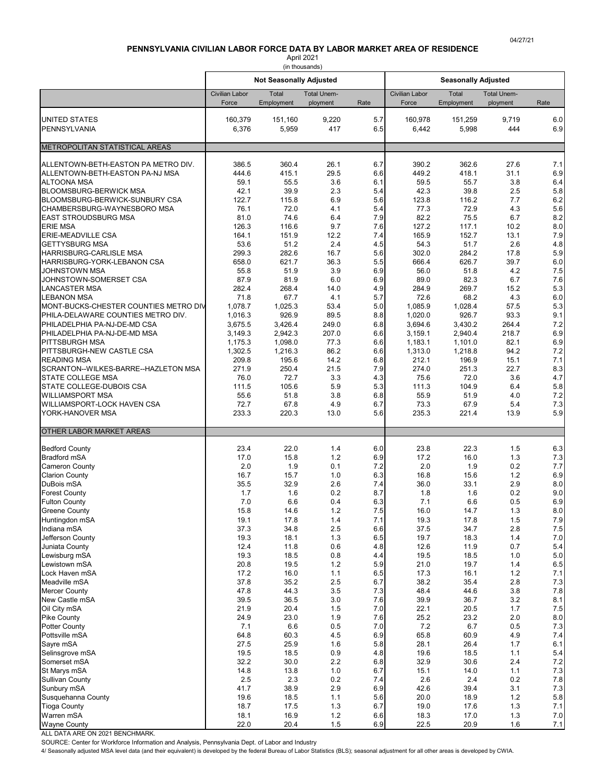# **PENNSYLVANIA CIVILIAN LABOR FORCE DATA BY LABOR MARKET AREA OF RESIDENCE**

April 2021 (in thousands)

<span id="page-16-0"></span>

|                                                                             |                         | <b>Not Seasonally Adjusted</b> |                                |            | <b>Seasonally Adjusted</b> |                     |                                |              |  |
|-----------------------------------------------------------------------------|-------------------------|--------------------------------|--------------------------------|------------|----------------------------|---------------------|--------------------------------|--------------|--|
|                                                                             | Civilian Labor<br>Force | Total<br>Employment            | <b>Total Unem-</b><br>ployment | Rate       | Civilian Labor<br>Force    | Total<br>Employment | <b>Total Unem-</b><br>ployment | Rate         |  |
|                                                                             |                         |                                |                                |            |                            |                     |                                |              |  |
| <b>UNITED STATES</b><br>PENNSYLVANIA                                        | 160,379<br>6,376        | 151,160<br>5,959               | 9,220<br>417                   | 5.7<br>6.5 | 160,978<br>6,442           | 151,259<br>5,998    | 9,719<br>444                   | 6.0<br>6.9   |  |
|                                                                             |                         |                                |                                |            |                            |                     |                                |              |  |
| METROPOLITAN STATISTICAL AREAS                                              |                         |                                |                                |            |                            |                     |                                |              |  |
| ALLENTOWN-BETH-EASTON PA METRO DIV.                                         | 386.5                   | 360.4                          | 26.1                           | 6.7        | 390.2                      | 362.6               | 27.6                           | 7.1          |  |
| ALLENTOWN-BETH-EASTON PA-NJ MSA<br><b>ALTOONA MSA</b>                       | 444.6<br>59.1           | 415.1<br>55.5                  | 29.5<br>3.6                    | 6.6<br>6.1 | 449.2<br>59.5              | 418.1<br>55.7       | 31.1<br>3.8                    | 6.9<br>6.4   |  |
| <b>BLOOMSBURG-BERWICK MSA</b>                                               | 42.1                    | 39.9                           | 2.3                            | 5.4        | 42.3                       | 39.8                | 2.5                            | 5.8          |  |
| BLOOMSBURG-BERWICK-SUNBURY CSA<br>CHAMBERSBURG-WAYNESBORO MSA               | 122.7<br>76.1           | 115.8<br>72.0                  | 6.9<br>4.1                     | 5.6<br>5.4 | 123.8<br>77.3              | 116.2<br>72.9       | 7.7<br>4.3                     | 6.2<br>5.6   |  |
| <b>EAST STROUDSBURG MSA</b>                                                 | 81.0                    | 74.6                           | 6.4                            | 7.9        | 82.2                       | 75.5                | 6.7                            | 8.2          |  |
| <b>ERIE MSA</b>                                                             | 126.3                   | 116.6                          | 9.7                            | 7.6        | 127.2                      | 117.1               | 10.2                           | 8.0          |  |
| <b>ERIE-MEADVILLE CSA</b><br><b>GETTYSBURG MSA</b>                          | 164.1<br>53.6           | 151.9<br>51.2                  | 12.2<br>2.4                    | 7.4<br>4.5 | 165.9<br>54.3              | 152.7<br>51.7       | 13.1<br>2.6                    | 7.9<br>4.8   |  |
| <b>HARRISBURG-CARLISLE MSA</b>                                              | 299.3                   | 282.6                          | 16.7                           | 5.6        | 302.0                      | 284.2               | 17.8                           | 5.9          |  |
| HARRISBURG-YORK-LEBANON CSA                                                 | 658.0                   | 621.7                          | 36.3                           | 5.5        | 666.4                      | 626.7               | 39.7                           | 6.0          |  |
| <b>JOHNSTOWN MSA</b><br>JOHNSTOWN-SOMERSET CSA                              | 55.8<br>87.9            | 51.9<br>81.9                   | 3.9<br>6.0                     | 6.9<br>6.9 | 56.0<br>89.0               | 51.8<br>82.3        | 4.2<br>6.7                     | 7.5<br>7.6   |  |
| <b>LANCASTER MSA</b>                                                        | 282.4                   | 268.4                          | 14.0                           | 4.9        | 284.9                      | 269.7               | 15.2                           | 5.3          |  |
| <b>LEBANON MSA</b>                                                          | 71.8                    | 67.7                           | 4.1                            | 5.7        | 72.6                       | 68.2                | 4.3                            | 6.0          |  |
| MONT-BUCKS-CHESTER COUNTIES METRO DIV<br>PHILA-DELAWARE COUNTIES METRO DIV. | 1,078.7<br>1,016.3      | 1,025.3<br>926.9               | 53.4<br>89.5                   | 5.0<br>8.8 | 1,085.9<br>1,020.0         | 1,028.4<br>926.7    | 57.5<br>93.3                   | 5.3<br>9.1   |  |
| PHILADELPHIA PA-NJ-DE-MD CSA                                                | 3,675.5                 | 3,426.4                        | 249.0                          | 6.8        | 3,694.6                    | 3,430.2             | 264.4                          | 7.2          |  |
| PHILADELPHIA PA-NJ-DE-MD MSA                                                | 3,149.3                 | 2,942.3                        | 207.0                          | 6.6        | 3,159.1                    | 2,940.4             | 218.7                          | 6.9          |  |
| <b>PITTSBURGH MSA</b><br>PITTSBURGH-NEW CASTLE CSA                          | 1,175.3<br>1,302.5      | 1,098.0<br>1,216.3             | 77.3<br>86.2                   | 6.6<br>6.6 | 1,183.1<br>1,313.0         | 1,101.0<br>1,218.8  | 82.1<br>94.2                   | 6.9<br>7.2   |  |
| <b>READING MSA</b>                                                          | 209.8                   | 195.6                          | 14.2                           | 6.8        | 212.1                      | 196.9               | 15.1                           | 7.1          |  |
| SCRANTON--WILKES-BARRE--HAZLETON MSA                                        | 271.9                   | 250.4                          | 21.5                           | 7.9        | 274.0                      | 251.3               | 22.7                           | 8.3          |  |
| <b>STATE COLLEGE MSA</b><br>STATE COLLEGE-DUBOIS CSA                        | 76.0<br>111.5           | 72.7<br>105.6                  | 3.3<br>5.9                     | 4.3<br>5.3 | 75.6<br>111.3              | 72.0<br>104.9       | 3.6<br>6.4                     | 4.7<br>5.8   |  |
| <b>WILLIAMSPORT MSA</b>                                                     | 55.6                    | 51.8                           | 3.8                            | 6.8        | 55.9                       | 51.9                | 4.0                            | 7.2          |  |
| WILLIAMSPORT-LOCK HAVEN CSA                                                 | 72.7                    | 67.8                           | 4.9                            | 6.7        | 73.3                       | 67.9                | 5.4                            | 7.3          |  |
| YORK-HANOVER MSA                                                            | 233.3                   | 220.3                          | 13.0                           | 5.6        | 235.3                      | 221.4               | 13.9                           | 5.9          |  |
| <b>OTHER LABOR MARKET AREAS</b>                                             |                         |                                |                                |            |                            |                     |                                |              |  |
| <b>Bedford County</b>                                                       | 23.4                    | 22.0                           | 1.4                            | 6.0        | 23.8                       | 22.3                | 1.5                            | 6.3          |  |
| <b>Bradford mSA</b>                                                         | 17.0                    | 15.8                           | 1.2                            | 6.9        | 17.2                       | 16.0                | 1.3                            | 7.3          |  |
| <b>Cameron County</b><br><b>Clarion County</b>                              | 2.0<br>16.7             | 1.9<br>15.7                    | 0.1<br>1.0                     | 7.2<br>6.3 | 2.0<br>16.8                | 1.9<br>15.6         | 0.2<br>1.2                     | 7.7<br>6.9   |  |
| DuBois mSA                                                                  | 35.5                    | 32.9                           | 2.6                            | 7.4        | 36.0                       | 33.1                | 2.9                            | 8.0          |  |
| <b>Forest County</b>                                                        | 1.7                     | 1.6                            | 0.2                            | 8.7        | 1.8                        | 1.6                 | 0.2                            | 9.0          |  |
| <b>Fulton County</b><br><b>Greene County</b>                                | 7.0<br>15.8             | 6.6<br>14.6                    | 0.4<br>1.2                     | 6.3<br>7.5 | 7.1<br>16.0                | 6.6<br>14.7         | 0.5<br>1.3                     | 6.9<br>8.0   |  |
| Huntingdon mSA                                                              | 19.1                    | 17.8                           | 1.4                            | 7.1        | 19.3                       | 17.8                | 1.5                            | $7.9$        |  |
| Indiana mSA                                                                 | 37.3                    | 34.8                           | 2.5                            | 6.6        | 37.5                       | 34.7                | 2.8                            | $7.5\,$      |  |
| Jefferson County<br>Juniata County                                          | 19.3<br>12.4            | 18.1<br>11.8                   | 1.3<br>0.6                     | 6.5<br>4.8 | 19.7<br>12.6               | 18.3<br>11.9        | 1.4<br>0.7                     | 7.0<br>5.4   |  |
| Lewisburg mSA                                                               | 19.3                    | 18.5                           | 0.8                            | 4.4        | 19.5                       | 18.5                | 1.0                            | $5.0$        |  |
| Lewistown mSA                                                               | 20.8                    | 19.5                           | 1.2                            | 5.9        | 21.0                       | 19.7                | 1.4                            | 6.5          |  |
| Lock Haven mSA<br>Meadville mSA                                             | 17.2<br>37.8            | 16.0<br>35.2                   | 1.1<br>2.5                     | 6.5<br>6.7 | 17.3<br>38.2               | 16.1<br>35.4        | 1.2<br>2.8                     | 7.1<br>7.3   |  |
| <b>Mercer County</b>                                                        | 47.8                    | 44.3                           | 3.5                            | 7.3        | 48.4                       | 44.6                | 3.8                            | 7.8          |  |
| New Castle mSA                                                              | 39.5                    | 36.5                           | 3.0                            | 7.6        | 39.9                       | 36.7                | 3.2                            | 8.1          |  |
| Oil City mSA<br><b>Pike County</b>                                          | 21.9<br>24.9            | 20.4<br>23.0                   | 1.5<br>1.9                     | 7.0<br>7.6 | 22.1<br>25.2               | 20.5<br>23.2        | 1.7<br>2.0                     | 7.5<br>8.0   |  |
| <b>Potter County</b>                                                        | 7.1                     | 6.6                            | 0.5                            | 7.0        | 7.2                        | 6.7                 | 0.5                            | 7.3          |  |
| Pottsville mSA                                                              | 64.8                    | 60.3                           | 4.5                            | 6.9        | 65.8                       | 60.9                | 4.9                            | 7.4          |  |
| Sayre mSA<br>Selinsgrove mSA                                                | 27.5<br>19.5            | 25.9<br>18.5                   | 1.6<br>0.9                     | 5.8<br>4.8 | 28.1<br>19.6               | 26.4<br>18.5        | 1.7<br>1.1                     | 6.1<br>5.4   |  |
| Somerset mSA                                                                | 32.2                    | 30.0                           | 2.2                            | 6.8        | 32.9                       | 30.6                | 2.4                            | 7.2          |  |
| St Marys mSA                                                                | 14.8                    | 13.8                           | 1.0                            | 6.7        | 15.1                       | 14.0                | 1.1                            | 7.3          |  |
| <b>Sullivan County</b><br>Sunbury mSA                                       | 2.5<br>41.7             | 2.3<br>38.9                    | 0.2<br>2.9                     | 7.4<br>6.9 | 2.6<br>42.6                | 2.4<br>39.4         | 0.2<br>3.1                     | 7.8<br>7.3   |  |
| Susquehanna County                                                          | 19.6                    | 18.5                           | 1.1                            | 5.6        | 20.0                       | 18.9                | 1.2                            | 5.8          |  |
| <b>Tioga County</b>                                                         | 18.7                    | 17.5                           | 1.3                            | 6.7        | 19.0                       | 17.6                | 1.3                            | 7.1          |  |
| Warren mSA<br><b>Wayne County</b>                                           | 18.1<br>22.0            | 16.9<br>20.4                   | 1.2<br>1.5                     | 6.6<br>6.9 | 18.3<br>22.5               | 17.0<br>20.9        | 1.3<br>1.6                     | 7.0<br>$7.1$ |  |

ALL DATA ARE ON 2021 BENCHMARK.

SOURCE: Center for Workforce Information and Analysis, Pennsylvania Dept. of Labor and Industry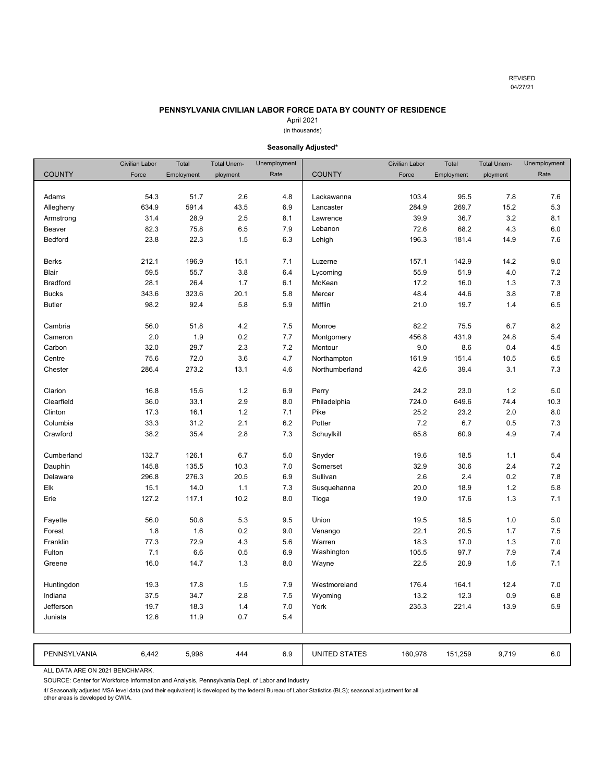## **PENNSYLVANIA CIVILIAN LABOR FORCE DATA BY COUNTY OF RESIDENCE**

# April 2021

# (in thousands)

<span id="page-17-0"></span>

|                 | Civilian Labor | Total      | <b>Total Unem-</b> | Unemployment |                      | <b>Civilian Labor</b> | Total      | <b>Total Unem-</b> | Unemployment |
|-----------------|----------------|------------|--------------------|--------------|----------------------|-----------------------|------------|--------------------|--------------|
| <b>COUNTY</b>   | Force          | Employment | ployment           | Rate         | <b>COUNTY</b>        | Force                 | Employment | ployment           | Rate         |
|                 |                |            |                    |              |                      |                       |            |                    |              |
| Adams           | 54.3           | 51.7       | 2.6                | 4.8          | Lackawanna           | 103.4                 | 95.5       | 7.8                | 7.6          |
| Allegheny       | 634.9          | 591.4      | 43.5               | 6.9          | Lancaster            | 284.9                 | 269.7      | 15.2               | 5.3          |
| Armstrong       | 31.4           | 28.9       | 2.5                | 8.1          | Lawrence             | 39.9                  | 36.7       | 3.2                | 8.1          |
| Beaver          | 82.3           | 75.8       | 6.5                | 7.9          | Lebanon              | 72.6                  | 68.2       | 4.3                | 6.0          |
| Bedford         | 23.8           | 22.3       | 1.5                | 6.3          | Lehigh               | 196.3                 | 181.4      | 14.9               | 7.6          |
|                 |                |            |                    |              |                      |                       |            |                    |              |
| <b>Berks</b>    | 212.1          | 196.9      | 15.1               | 7.1          | Luzerne              | 157.1                 | 142.9      | 14.2               | 9.0          |
| <b>Blair</b>    | 59.5           | 55.7       | 3.8                | 6.4          | Lycoming             | 55.9                  | 51.9       | 4.0                | 7.2          |
| <b>Bradford</b> | 28.1           | 26.4       | 1.7                | 6.1          | McKean               | 17.2                  | 16.0       | 1.3                | 7.3          |
| <b>Bucks</b>    | 343.6          | 323.6      | 20.1               | 5.8          | Mercer               | 48.4                  | 44.6       | 3.8                | 7.8          |
| <b>Butler</b>   | 98.2           | 92.4       | 5.8                | 5.9          | Mifflin              | 21.0                  | 19.7       | 1.4                | 6.5          |
|                 |                |            |                    |              |                      |                       |            |                    |              |
| Cambria         | 56.0           | 51.8       | 4.2                | 7.5          | Monroe               | 82.2                  | 75.5       | 6.7                | 8.2          |
| Cameron         | 2.0            | 1.9        | 0.2                | 7.7          | Montgomery           | 456.8                 | 431.9      | 24.8               | 5.4          |
| Carbon          | 32.0           | 29.7       | 2.3                | 7.2          | Montour              | 9.0                   | 8.6        | 0.4                | 4.5          |
| Centre          | 75.6           | 72.0       | 3.6                | 4.7          | Northampton          | 161.9                 | 151.4      | 10.5               | 6.5          |
| Chester         | 286.4          | 273.2      | 13.1               | 4.6          | Northumberland       | 42.6                  | 39.4       | 3.1                | 7.3          |
|                 |                |            |                    |              |                      |                       |            |                    |              |
| Clarion         | 16.8           | 15.6       | 1.2                | 6.9          | Perry                | 24.2                  | 23.0       | 1.2                | 5.0          |
| Clearfield      | 36.0           | 33.1       | 2.9                | 8.0          | Philadelphia         | 724.0                 | 649.6      | 74.4               | 10.3         |
| Clinton         | 17.3           | 16.1       | 1.2                | 7.1          | Pike                 | 25.2                  | 23.2       | 2.0                | 8.0          |
| Columbia        | 33.3           | 31.2       | 2.1                | 6.2          | Potter               | 7.2                   | 6.7        | 0.5                | 7.3          |
| Crawford        | 38.2           | 35.4       | 2.8                | 7.3          | Schuylkill           | 65.8                  | 60.9       | 4.9                | 7.4          |
|                 |                |            |                    |              |                      |                       |            |                    |              |
| Cumberland      | 132.7          | 126.1      | 6.7                | 5.0          | Snyder               | 19.6                  | 18.5       | 1.1                | 5.4          |
| Dauphin         | 145.8          | 135.5      | 10.3               | 7.0          | Somerset             | 32.9                  | 30.6       | 2.4                | 7.2          |
| Delaware        | 296.8          | 276.3      | 20.5               | 6.9          | Sullivan             | 2.6                   | 2.4        | 0.2                | 7.8          |
| Elk             | 15.1           | 14.0       | 1.1                | 7.3          | Susquehanna          | 20.0                  | 18.9       | 1.2                | 5.8          |
| Erie            | 127.2          | 117.1      | 10.2               | 8.0          | Tioga                | 19.0                  | 17.6       | 1.3                | 7.1          |
|                 |                |            |                    |              |                      |                       |            |                    |              |
| Fayette         | 56.0           | 50.6       | 5.3                | 9.5          | Union                | 19.5                  | 18.5       | 1.0                | 5.0          |
| Forest          | 1.8            | 1.6        | 0.2                | 9.0          | Venango              | 22.1                  | 20.5       | 1.7                | 7.5          |
| Franklin        | 77.3           | 72.9       | 4.3                | 5.6          | Warren               | 18.3                  | 17.0       | 1.3                | 7.0          |
| Fulton          | 7.1            | 6.6        | 0.5                | 6.9          | Washington           | 105.5                 | 97.7       | 7.9                | 7.4          |
| Greene          | 16.0           | 14.7       | 1.3                | 8.0          | Wayne                | 22.5                  | 20.9       | 1.6                | 7.1          |
|                 |                |            |                    |              |                      |                       |            |                    |              |
| Huntingdon      | 19.3           | 17.8       | 1.5                | 7.9          | Westmoreland         | 176.4                 | 164.1      | 12.4               | 7.0          |
| Indiana         | 37.5           | 34.7       | 2.8                | 7.5          | Wyoming              | 13.2                  | 12.3       | 0.9                | 6.8          |
| Jefferson       | 19.7           | 18.3       | 1.4                | 7.0          | York                 | 235.3                 | 221.4      | 13.9               | 5.9          |
| Juniata         | 12.6           | 11.9       | 0.7                | 5.4          |                      |                       |            |                    |              |
|                 |                |            |                    |              |                      |                       |            |                    |              |
|                 |                |            |                    |              |                      |                       |            |                    |              |
| PENNSYLVANIA    | 6,442          | 5,998      | 444                | 6.9          | <b>UNITED STATES</b> | 160,978               | 151,259    | 9,719              | 6.0          |

**Seasonally Adjusted\***

ALL DATA ARE ON 2021 BENCHMARK.

SOURCE: Center for Workforce Information and Analysis, Pennsylvania Dept. of Labor and Industry

4/ Seasonally adjusted MSA level data (and their equivalent) is developed by the federal Bureau of Labor Statistics (BLS); seasonal adjustment for all

other areas is developed by CWIA.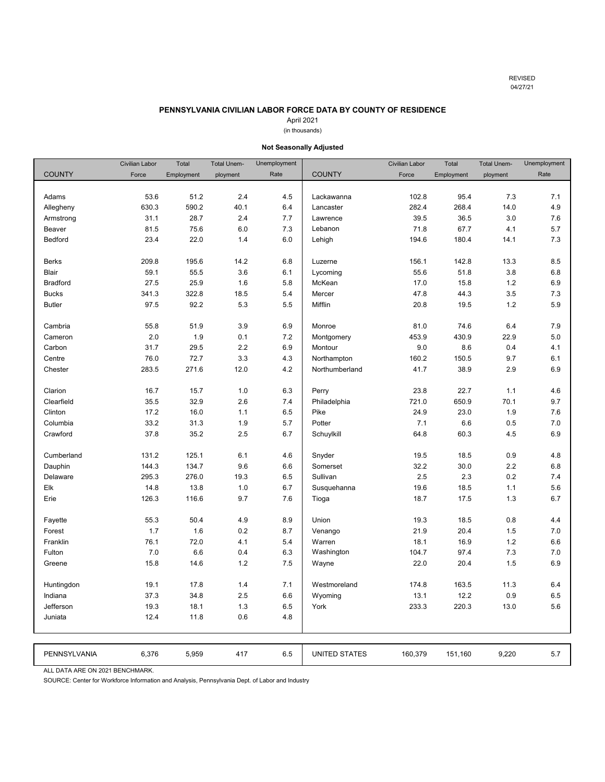# **PENNSYLVANIA CIVILIAN LABOR FORCE DATA BY COUNTY OF RESIDENCE**

# April 2021

# (in thousands)

<span id="page-18-0"></span>

|                 | <b>Civilian Labor</b> | Total      | <b>Total Unem-</b> | Unemployment |                      | <b>Civilian Labor</b> | Total      | <b>Total Unem-</b> | Unemployment |
|-----------------|-----------------------|------------|--------------------|--------------|----------------------|-----------------------|------------|--------------------|--------------|
| <b>COUNTY</b>   | Force                 | Employment | ployment           | Rate         | <b>COUNTY</b>        | Force                 | Employment | ployment           | Rate         |
|                 |                       |            |                    |              |                      |                       |            |                    |              |
| Adams           | 53.6                  | 51.2       | 2.4                | 4.5          | Lackawanna           | 102.8                 | 95.4       | 7.3                | 7.1          |
| Allegheny       | 630.3                 | 590.2      | 40.1               | 6.4          | Lancaster            | 282.4                 | 268.4      | 14.0               | 4.9          |
| Armstrong       | 31.1                  | 28.7       | 2.4                | 7.7          | Lawrence             | 39.5                  | 36.5       | 3.0                | 7.6          |
| Beaver          | 81.5                  | 75.6       | 6.0                | 7.3          | Lebanon              | 71.8                  | 67.7       | 4.1                | 5.7          |
| Bedford         | 23.4                  | 22.0       | 1.4                | 6.0          | Lehigh               | 194.6                 | 180.4      | 14.1               | 7.3          |
|                 |                       |            |                    |              |                      |                       |            |                    |              |
| <b>Berks</b>    | 209.8                 | 195.6      | 14.2               | 6.8          | Luzerne              | 156.1                 | 142.8      | 13.3               | 8.5          |
| <b>Blair</b>    | 59.1                  | 55.5       | 3.6                | 6.1          | Lycoming             | 55.6                  | 51.8       | 3.8                | 6.8          |
| <b>Bradford</b> | 27.5                  | 25.9       | 1.6                | 5.8          | McKean               | 17.0                  | 15.8       | 1.2                | 6.9          |
| <b>Bucks</b>    | 341.3                 | 322.8      | 18.5               | 5.4          | Mercer               | 47.8                  | 44.3       | 3.5                | 7.3          |
| <b>Butler</b>   | 97.5                  | 92.2       | 5.3                | 5.5          | Mifflin              | 20.8                  | 19.5       | 1.2                | 5.9          |
|                 |                       |            |                    |              |                      |                       |            |                    |              |
| Cambria         | 55.8                  | 51.9       | 3.9                | 6.9          | Monroe               | 81.0                  | 74.6       | 6.4                | 7.9          |
| Cameron         | 2.0                   | 1.9        | 0.1                | 7.2          | Montgomery           | 453.9                 | 430.9      | 22.9               | 5.0          |
| Carbon          | 31.7                  | 29.5       | 2.2                | 6.9          | Montour              | 9.0                   | 8.6        | 0.4                | 4.1          |
| Centre          | 76.0                  | 72.7       | 3.3                | 4.3          | Northampton          | 160.2                 | 150.5      | 9.7                | 6.1          |
| Chester         | 283.5                 | 271.6      | 12.0               | 4.2          | Northumberland       | 41.7                  | 38.9       | 2.9                | 6.9          |
|                 |                       |            |                    |              |                      |                       |            |                    |              |
| Clarion         | 16.7                  | 15.7       | 1.0                | 6.3          | Perry                | 23.8                  | 22.7       | 1.1                | 4.6          |
| Clearfield      | 35.5                  | 32.9       | 2.6                | 7.4          | Philadelphia         | 721.0                 | 650.9      | 70.1               | 9.7          |
| Clinton         | 17.2                  | 16.0       | 1.1                | 6.5          | Pike                 | 24.9                  | 23.0       | 1.9                | 7.6          |
| Columbia        | 33.2                  | 31.3       | 1.9                | 5.7          | Potter               | 7.1                   | 6.6        | 0.5                | 7.0          |
| Crawford        | 37.8                  | 35.2       | 2.5                | 6.7          | Schuylkill           | 64.8                  | 60.3       | 4.5                | 6.9          |
|                 |                       |            |                    |              |                      |                       |            |                    |              |
| Cumberland      | 131.2                 | 125.1      | 6.1                | 4.6          | Snyder               | 19.5                  | 18.5       | 0.9                | 4.8          |
| Dauphin         | 144.3                 | 134.7      | 9.6                | 6.6          | Somerset             | 32.2                  | 30.0       | 2.2                | 6.8          |
| Delaware        | 295.3                 | 276.0      | 19.3               | 6.5          | Sullivan             | 2.5                   | 2.3        | 0.2                | 7.4          |
| Elk             | 14.8                  | 13.8       | 1.0                | 6.7          | Susquehanna          | 19.6                  | 18.5       | 1.1                | 5.6          |
| Erie            | 126.3                 | 116.6      | 9.7                | 7.6          | Tioga                | 18.7                  | 17.5       | 1.3                | 6.7          |
|                 |                       |            |                    |              |                      |                       |            |                    |              |
| Fayette         | 55.3                  | 50.4       | 4.9                | 8.9          | Union                | 19.3                  | 18.5       | 0.8                | 4.4          |
| Forest          | 1.7                   | 1.6        | 0.2                | 8.7          | Venango              | 21.9                  | 20.4       | 1.5                | $7.0$        |
| Franklin        | 76.1                  | 72.0       | 4.1                | 5.4          | Warren               | 18.1                  | 16.9       | 1.2                | 6.6          |
| Fulton          | 7.0                   | 6.6        | 0.4                | 6.3          | Washington           | 104.7                 | 97.4       | 7.3                | 7.0          |
| Greene          | 15.8                  | 14.6       | 1.2                | 7.5          | Wayne                | 22.0                  | 20.4       | 1.5                | 6.9          |
|                 |                       |            |                    |              |                      |                       |            |                    |              |
| Huntingdon      | 19.1                  | 17.8       | 1.4                | 7.1          | Westmoreland         | 174.8                 | 163.5      | 11.3               | 6.4          |
| Indiana         | 37.3                  | 34.8       | 2.5                | 6.6          | Wyoming              | 13.1                  | 12.2       | 0.9                | 6.5          |
| Jefferson       | 19.3                  | 18.1       | 1.3                | 6.5          | York                 | 233.3                 | 220.3      | 13.0               | 5.6          |
| Juniata         | 12.4                  | 11.8       | 0.6                | 4.8          |                      |                       |            |                    |              |
|                 |                       |            |                    |              |                      |                       |            |                    |              |
|                 |                       |            |                    |              |                      |                       |            |                    |              |
| PENNSYLVANIA    | 6,376                 | 5,959      | 417                | 6.5          | <b>UNITED STATES</b> | 160,379               | 151,160    | 9,220              | 5.7          |

# **Not Seasonally Adjusted**

ALL DATA ARE ON 2021 BENCHMARK.

SOURCE: Center for Workforce Information and Analysis, Pennsylvania Dept. of Labor and Industry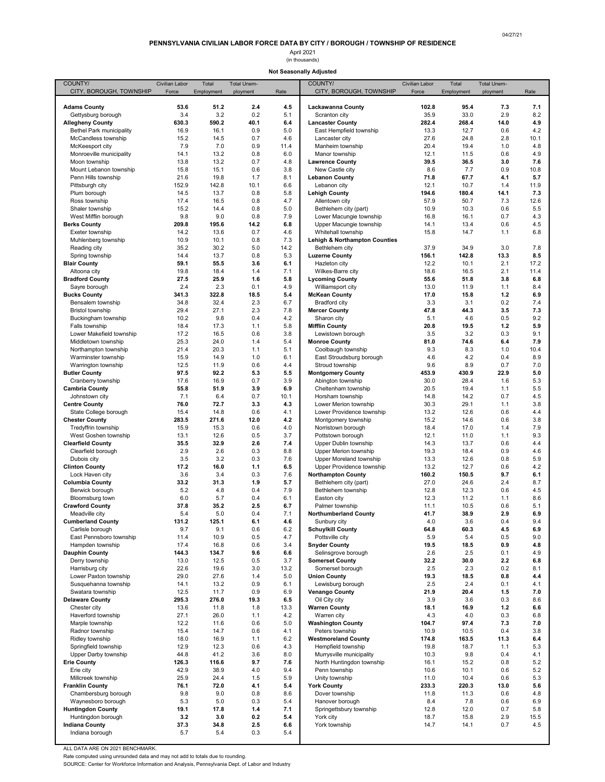# April 2021 (in thousands)

# **Not Seasonally Adjusted**

<span id="page-19-0"></span>

| COUNTY/                                        | Civilian Labor | Total        | <b>Total Unem-</b> |            | COUNTY/                                              | Civilian Labor | Total         | <b>Total Unem-</b> |             |
|------------------------------------------------|----------------|--------------|--------------------|------------|------------------------------------------------------|----------------|---------------|--------------------|-------------|
| CITY, BOROUGH, TOWNSHIP                        | Force          | Employment   | ployment           | Rate       | CITY, BOROUGH, TOWNSHIP                              | Force          | Employment    | ployment           | Rate        |
|                                                |                |              |                    |            |                                                      |                |               |                    |             |
| <b>Adams County</b><br>Gettysburg borough      | 53.6<br>3.4    | 51.2<br>3.2  | 2.4<br>0.2         | 4.5<br>5.1 | Lackawanna County                                    | 102.8<br>35.9  | 95.4<br>33.0  | 7.3<br>2.9         | 7.1<br>8.2  |
| <b>Allegheny County</b>                        | 630.3          | 590.2        | 40.1               | 6.4        | Scranton city<br><b>Lancaster County</b>             | 282.4          | 268.4         | 14.0               | 4.9         |
| <b>Bethel Park municipality</b>                | 16.9           | 16.1         | 0.9                | 5.0        | East Hempfield township                              | 13.3           | 12.7          | 0.6                | 4.2         |
| McCandless township                            | 15.2           | 14.5         | 0.7                | 4.6        | Lancaster city                                       | 27.6           | 24.8          | 2.8                | 10.1        |
| McKeesport city                                | 7.9            | 7.0          | 0.9                | 11.4       | Manheim township                                     | 20.4           | 19.4          | 1.0                | 4.8         |
| Monroeville municipality                       | 14.1           | 13.2         | 0.8                | 6.0        | Manor township                                       | 12.1           | 11.5          | 0.6                | 4.9         |
| Moon township                                  | 13.8           | 13.2         | 0.7                | 4.8        | <b>Lawrence County</b>                               | 39.5           | 36.5          | 3.0                | 7.6         |
| Mount Lebanon township                         | 15.8           | 15.1         | 0.6                | 3.8        | New Castle city                                      | 8.6            | 7.7           | 0.9                | 10.8        |
| Penn Hills township                            | 21.6           | 19.8         | 1.7                | 8.1        | <b>Lebanon County</b>                                | 71.8           | 67.7          | 4.1                | 5.7         |
| Pittsburgh city                                | 152.9          | 142.8        | 10.1               | 6.6        | Lebanon city                                         | 12.1           | 10.7          | 1.4                | 11.9        |
| Plum borough                                   | 14.5<br>17.4   | 13.7<br>16.5 | 0.8<br>0.8         | 5.8<br>4.7 | <b>Lehigh County</b>                                 | 194.6<br>57.9  | 180.4<br>50.7 | 14.1<br>7.3        | 7.3<br>12.6 |
| Ross township<br>Shaler township               | 15.2           | 14.4         | 0.8                | 5.0        | Allentown city<br>Bethlehem city (part)              | 10.9           | 10.3          | 0.6                | 5.5         |
| West Mifflin borough                           | 9.8            | 9.0          | 0.8                | 7.9        | Lower Macungie township                              | 16.8           | 16.1          | 0.7                | 4.3         |
| <b>Berks County</b>                            | 209.8          | 195.6        | 14.2               | 6.8        | Upper Macungie township                              | 14.1           | 13.4          | 0.6                | 4.5         |
| Exeter township                                | 14.2           | 13.6         | 0.7                | 4.6        | Whitehall township                                   | 15.8           | 14.7          | 1.1                | 6.8         |
| Muhlenberg township                            | 10.9           | 10.1         | 0.8                | 7.3        | Lehigh & Northampton Counties                        |                |               |                    |             |
| Reading city                                   | 35.2           | 30.2         | 5.0                | 14.2       | Bethlehem city                                       | 37.9           | 34.9          | 3.0                | 7.8         |
| Spring township                                | 14.4           | 13.7         | 0.8                | 5.3        | <b>Luzerne County</b>                                | 156.1          | 142.8         | 13.3               | 8.5         |
| <b>Blair County</b>                            | 59.1           | 55.5         | 3.6                | 6.1        | Hazleton city                                        | 12.2           | 10.1          | 2.1                | 17.2        |
| Altoona city                                   | 19.8           | 18.4         | 1.4                | 7.1        | Wilkes-Barre city                                    | 18.6           | 16.5          | 2.1                | 11.4        |
| <b>Bradford County</b><br>Sayre borough        | 27.5<br>2.4    | 25.9<br>2.3  | 1.6<br>0.1         | 5.8<br>4.9 | <b>Lycoming County</b><br>Williamsport city          | 55.6<br>13.0   | 51.8<br>11.9  | 3.8<br>1.1         | 6.8<br>8.4  |
| <b>Bucks County</b>                            | 341.3          | 322.8        | 18.5               | 5.4        | <b>McKean County</b>                                 | 17.0           | 15.8          | 1.2                | 6.9         |
| Bensalem township                              | 34.8           | 32.4         | 2.3                | 6.7        | Bradford city                                        | 3.3            | 3.1           | 0.2                | 7.4         |
| <b>Bristol township</b>                        | 29.4           | 27.1         | 2.3                | 7.8        | <b>Mercer County</b>                                 | 47.8           | 44.3          | 3.5                | 7.3         |
| Buckingham township                            | 10.2           | 9.8          | 0.4                | 4.2        | Sharon city                                          | 5.1            | 4.6           | 0.5                | 9.2         |
| Falls township                                 | 18.4           | 17.3         | 1.1                | 5.8        | <b>Mifflin County</b>                                | 20.8           | 19.5          | 1.2                | 5.9         |
| Lower Makefield township                       | 17.2           | 16.5         | 0.6                | 3.8        | Lewistown borough                                    | 3.5            | 3.2           | 0.3                | 9.1         |
| Middletown township                            | 25.3           | 24.0         | 1.4                | 5.4        | <b>Monroe County</b>                                 | 81.0           | 74.6          | 6.4                | 7.9         |
| Northampton township                           | 21.4           | 20.3         | 1.1                | 5.1        | Coolbaugh township                                   | 9.3            | 8.3           | 1.0                | 10.4        |
| Warminster township                            | 15.9           | 14.9         | 1.0                | 6.1        | East Stroudsburg borough                             | 4.6            | 4.2           | 0.4                | 8.9         |
| Warrington township                            | 12.5           | 11.9         | 0.6                | 4.4        | Stroud township                                      | 9.6            | 8.9           | 0.7                | 7.0         |
| <b>Butler County</b><br>Cranberry township     | 97.5<br>17.6   | 92.2<br>16.9 | 5.3<br>0.7         | 5.5<br>3.9 | <b>Montgomery County</b><br>Abington township        | 453.9<br>30.0  | 430.9<br>28.4 | 22.9<br>1.6        | 5.0<br>5.3  |
| <b>Cambria County</b>                          | 55.8           | 51.9         | 3.9                | 6.9        | Cheltenham township                                  | 20.5           | 19.4          | 1.1                | 5.5         |
| Johnstown city                                 | 7.1            | 6.4          | 0.7                | 10.1       | Horsham township                                     | 14.8           | 14.2          | 0.7                | 4.5         |
| <b>Centre County</b>                           | 76.0           | 72.7         | 3.3                | 4.3        | Lower Merion township                                | 30.3           | 29.1          | 1.1                | 3.8         |
| State College borough                          | 15.4           | 14.8         | 0.6                | 4.1        | Lower Providence township                            | 13.2           | 12.6          | 0.6                | 4.4         |
| <b>Chester County</b>                          | 283.5          | 271.6        | 12.0               | 4.2        | Montgomery township                                  | 15.2           | 14.6          | 0.6                | 3.8         |
| Tredyffrin township                            | 15.9           | 15.3         | 0.6                | 4.0        | Norristown borough                                   | 18.4           | 17.0          | 1.4                | 7.9         |
| West Goshen township                           | 13.1           | 12.6         | 0.5                | 3.7        | Pottstown borough                                    | 12.1           | 11.0          | 1.1                | 9.3         |
| <b>Clearfield County</b>                       | 35.5           | 32.9         | 2.6                | 7.4        | Upper Dublin township                                | 14.3           | 13.7          | 0.6                | 4.4         |
| Clearfield borough<br>Dubois city              | 2.9            | 2.6          | 0.3                | 8.8<br>7.6 | Upper Merion township                                | 19.3           | 18.4          | 0.9                | 4.6         |
| <b>Clinton County</b>                          | 3.5<br>17.2    | 3.2<br>16.0  | 0.3<br>1.1         | 6.5        | Upper Moreland township<br>Upper Providence township | 13.3<br>13.2   | 12.6<br>12.7  | 0.8<br>0.6         | 5.9<br>4.2  |
| Lock Haven city                                | 3.6            | 3.4          | 0.3                | 7.6        | <b>Northampton County</b>                            | 160.2          | 150.5         | 9.7                | 6.1         |
| <b>Columbia County</b>                         | 33.2           | 31.3         | 1.9                | 5.7        | Bethlehem city (part)                                | 27.0           | 24.6          | 2.4                | 8.7         |
| Berwick borough                                | 5.2            | 4.8          | 0.4                | 7.9        | Bethlehem township                                   | 12.8           | 12.3          | 0.6                | 4.5         |
| Bloomsburg town                                | 6.0            | 5.7          | 0.4                | 6.1        | Easton city                                          | 12.3           | 11.2          | 1.1                | 8.6         |
| <b>Crawford County</b>                         | 37.8           | 35.2         | 2.5                | 6.7        | Palmer township                                      | 11.1           | 10.5          | 0.6                | 5.1         |
| Meadville city                                 | 5.4            | 5.0          | 0.4                | 7.1        | <b>Northumberland County</b>                         | 41.7           | 38.9          | 2.9                | 6.9         |
| Cumberland County                              | 131.2          | 125.1        | 6.1                | 4.6        | Sunbury city                                         | 4.U            | 3.6           | U.4                | 9.4         |
| Carlisle borough                               | 9.7            | 9.1          | 0.6                | 6.2        | <b>Schuylkill County</b><br>Pottsville city          | 64.8           | 60.3          | 4.5                | 6.9         |
| East Pennsboro township<br>Hampden township    | 11.4<br>17.4   | 10.9<br>16.8 | 0.5<br>0.6         | 4.7<br>3.4 | <b>Snyder County</b>                                 | 5.9<br>19.5    | 5.4<br>18.5   | 0.5<br>0.9         | 9.0<br>4.8  |
| <b>Dauphin County</b>                          | 144.3          | 134.7        | 9.6                | 6.6        | Selinsgrove borough                                  | 2.6            | 2.5           | 0.1                | 4.9         |
| Derry township                                 | 13.0           | 12.5         | 0.5                | 3.7        | <b>Somerset County</b>                               | 32.2           | 30.0          | 2.2                | 6.8         |
| Harrisburg city                                | 22.6           | 19.6         | 3.0                | 13.2       | Somerset borough                                     | 2.5            | 2.3           | 0.2                | 8.1         |
| Lower Paxton township                          | 29.0           | 27.6         | 1.4                | 5.0        | <b>Union County</b>                                  | 19.3           | 18.5          | 0.8                | 4.4         |
| Susquehanna township                           | 14.1           | 13.2         | 0.9                | 6.1        | Lewisburg borough                                    | 2.5            | 2.4           | 0.1                | 4.1         |
| Swatara township                               | 12.5           | 11.7         | 0.9                | 6.9        | <b>Venango County</b>                                | 21.9           | 20.4          | 1.5                | 7.0         |
| <b>Delaware County</b>                         | 295.3          | 276.0        | 19.3               | 6.5        | Oil City city                                        | 3.9            | 3.6           | 0.3                | 8.6         |
| Chester city                                   | 13.6           | 11.8         | 1.8                | 13.3       | <b>Warren County</b>                                 | 18.1           | 16.9          | 1.2                | 6.6         |
| Haverford township                             | 27.1           | 26.0         | 1.1                | 4.2        | Warren city                                          | 4.3            | 4.0           | 0.3                | 6.8         |
| Marple township<br>Radnor township             | 12.2<br>15.4   | 11.6<br>14.7 | 0.6<br>0.6         | 5.0<br>4.1 | <b>Washington County</b><br>Peters township          | 104.7<br>10.9  | 97.4<br>10.5  | 7.3<br>0.4         | 7.0<br>3.8  |
| Ridley township                                | 18.0           | 16.9         | 1.1                | 6.2        | <b>Westmoreland County</b>                           | 174.8          | 163.5         | 11.3               | 6.4         |
| Springfield township                           | 12.9           | 12.3         | 0.6                | 4.3        | Hempfield township                                   | 19.8           | 18.7          | 1.1                | 5.3         |
| Upper Darby township                           | 44.8           | 41.2         | 3.6                | 8.0        | Murrysville municipality                             | 10.3           | 9.8           | 0.4                | 4.1         |
| <b>Erie County</b>                             | 126.3          | 116.6        | 9.7                | 7.6        | North Huntingdon township                            | 16.1           | 15.2          | 0.8                | 5.2         |
| Erie city                                      | 42.9           | 38.9         | 4.0                | 9.4        | Penn township                                        | 10.6           | 10.1          | 0.6                | 5.2         |
| Millcreek township                             | 25.9           | 24.4         | 1.5                | 5.9        | Unity township                                       | 11.0           | 10.4          | 0.6                | 5.3         |
| <b>Franklin County</b>                         | 76.1           | 72.0         | 4.1                | 5.4        | <b>York County</b>                                   | 233.3          | 220.3         | 13.0               | 5.6         |
| Chambersburg borough                           | 9.8            | 9.0          | 0.8                | 8.6        | Dover township                                       | 11.8           | 11.3          | 0.6                | 4.8         |
| Waynesboro borough                             | 5.3            | 5.0          | 0.3                | 5.4        | Hanover borough                                      | 8.4            | 7.8           | 0.6                | 6.9         |
| <b>Huntingdon County</b><br>Huntingdon borough | 19.1<br>3.2    | 17.8<br>3.0  | 1.4<br>0.2         | 7.1<br>5.4 | Springettsbury township<br>York city                 | 12.8<br>18.7   | 12.0<br>15.8  | 0.7<br>2.9         | 5.8<br>15.5 |
| <b>Indiana County</b>                          | 37.3           | 34.8         | 2.5                | 6.6        | York township                                        | 14.7           | 14.1          | 0.7                | 4.5         |
| Indiana borough                                | 5.7            | 5.4          | 0.3                | 5.4        |                                                      |                |               |                    |             |
|                                                |                |              |                    |            |                                                      |                |               |                    |             |

ALL DATA ARE ON 2021 BENCHMARK.

Rate computed using unrounded data and may not add to totals due to rounding. SOURCE: Center for Workforce Information and Analysis, Pennsylvania Dept. of Labor and Industry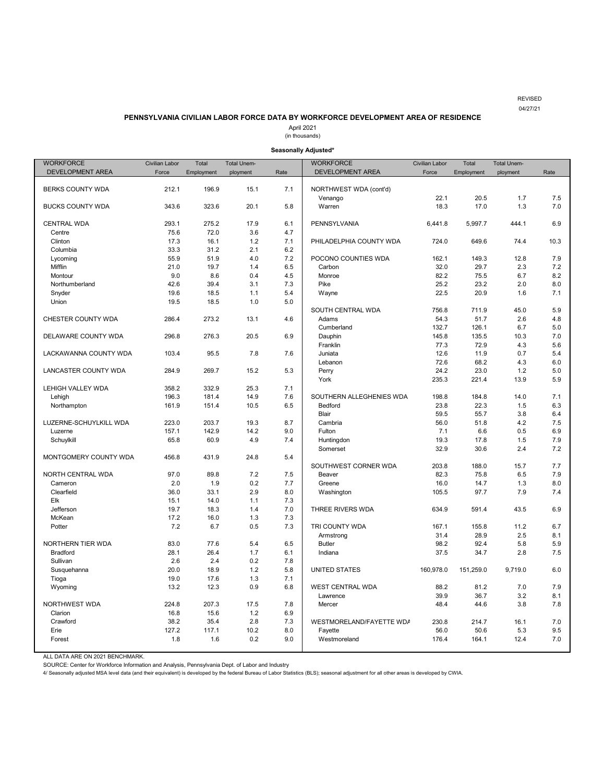#### REVISED 04/27/21

#### **PENNSYLVANIA CIVILIAN LABOR FORCE DATA BY WORKFORCE DEVELOPMENT AREA OF RESIDENCE**

April 2021

(in thousands)

#### **Seasonally Adjusted\***

<span id="page-20-0"></span>

| <b>WORKFORCE</b>        | Civilian Labor | Total      | <b>Total Unem-</b> |      | <b>WORKFORCE</b>         | Civilian Labor | Total      | Total Unem- |      |
|-------------------------|----------------|------------|--------------------|------|--------------------------|----------------|------------|-------------|------|
| DEVELOPMENT AREA        | Force          | Employment | ployment           | Rate | DEVELOPMENT AREA         | Force          | Employment | ployment    | Rate |
|                         |                |            |                    |      |                          |                |            |             |      |
| <b>BERKS COUNTY WDA</b> | 212.1          | 196.9      | 15.1               | 7.1  | NORTHWEST WDA (cont'd)   |                |            |             |      |
|                         |                |            |                    |      | Venango                  | 22.1           | 20.5       | 1.7         | 7.5  |
| <b>BUCKS COUNTY WDA</b> | 343.6          | 323.6      | 20.1               | 5.8  | Warren                   | 18.3           | 17.0       | 1.3         | 7.0  |
|                         |                |            |                    |      |                          |                |            |             |      |
| <b>CENTRAL WDA</b>      | 293.1          | 275.2      | 17.9               | 6.1  | PENNSYLVANIA             | 6,441.8        | 5,997.7    | 444.1       | 6.9  |
| Centre                  | 75.6           | 72.0       | 3.6                | 4.7  |                          |                |            |             |      |
| Clinton                 | 17.3           | 16.1       | 1.2                | 7.1  | PHILADELPHIA COUNTY WDA  | 724.0          | 649.6      | 74.4        | 10.3 |
| Columbia                | 33.3           | 31.2       | 2.1                | 6.2  |                          |                |            |             |      |
| Lycoming                | 55.9           | 51.9       | 4.0                | 7.2  | POCONO COUNTIES WDA      | 162.1          | 149.3      | 12.8        | 7.9  |
| Mifflin                 | 21.0           | 19.7       | 1.4                | 6.5  | Carbon                   | 32.0           | 29.7       | 2.3         | 7.2  |
| Montour                 | 9.0            | 8.6        | 0.4                | 4.5  | Monroe                   | 82.2           | 75.5       | 6.7         | 8.2  |
| Northumberland          | 42.6           | 39.4       | 3.1                | 7.3  | Pike                     | 25.2           | 23.2       | 2.0         | 8.0  |
| Snyder                  | 19.6           | 18.5       | 1.1                | 5.4  | Wayne                    | 22.5           | 20.9       | 1.6         | 7.1  |
| Union                   | 19.5           | 18.5       | 1.0                | 5.0  |                          |                |            |             |      |
|                         |                |            |                    |      | SOUTH CENTRAL WDA        | 756.8          | 711.9      | 45.0        | 5.9  |
| CHESTER COUNTY WDA      | 286.4          | 273.2      | 13.1               | 4.6  | Adams                    | 54.3           | 51.7       | 2.6         | 4.8  |
|                         |                |            |                    |      | Cumberland               | 132.7          | 126.1      | 6.7         | 5.0  |
| DELAWARE COUNTY WDA     | 296.8          | 276.3      | 20.5               | 6.9  | Dauphin                  | 145.8          | 135.5      | 10.3        | 7.0  |
|                         |                |            |                    |      | Franklin                 | 77.3           | 72.9       | 4.3         | 5.6  |
|                         | 103.4          |            |                    | 7.6  |                          |                |            |             | 5.4  |
| LACKAWANNA COUNTY WDA   |                | 95.5       | 7.8                |      | Juniata                  | 12.6           | 11.9       | 0.7         |      |
|                         |                |            |                    |      | Lebanon                  | 72.6           | 68.2       | 4.3         | 6.0  |
| LANCASTER COUNTY WDA    | 284.9          | 269.7      | 15.2               | 5.3  | Perry                    | 24.2           | 23.0       | 1.2         | 5.0  |
|                         |                |            |                    |      | York                     | 235.3          | 221.4      | 13.9        | 5.9  |
| LEHIGH VALLEY WDA       | 358.2          | 332.9      | 25.3               | 7.1  |                          |                |            |             |      |
| Lehigh                  | 196.3          | 181.4      | 14.9               | 7.6  | SOUTHERN ALLEGHENIES WDA | 198.8          | 184.8      | 14.0        | 7.1  |
| Northampton             | 161.9          | 151.4      | 10.5               | 6.5  | Bedford                  | 23.8           | 22.3       | 1.5         | 6.3  |
|                         |                |            |                    |      | Blair                    | 59.5           | 55.7       | 3.8         | 6.4  |
| LUZERNE-SCHUYLKILL WDA  | 223.0          | 203.7      | 19.3               | 8.7  | Cambria                  | 56.0           | 51.8       | 4.2         | 7.5  |
| Luzerne                 | 157.1          | 142.9      | 14.2               | 9.0  | Fulton                   | 7.1            | 6.6        | 0.5         | 6.9  |
| Schuylkill              | 65.8           | 60.9       | 4.9                | 7.4  | Huntingdon               | 19.3           | 17.8       | 1.5         | 7.9  |
|                         |                |            |                    |      | Somerset                 | 32.9           | 30.6       | 2.4         | 7.2  |
| MONTGOMERY COUNTY WDA   | 456.8          | 431.9      | 24.8               | 5.4  |                          |                |            |             |      |
|                         |                |            |                    |      | SOUTHWEST CORNER WDA     | 203.8          | 188.0      | 15.7        | 7.7  |
| NORTH CENTRAL WDA       | 97.0           | 89.8       | 7.2                | 7.5  | Beaver                   | 82.3           | 75.8       | 6.5         | 7.9  |
| Cameron                 | 2.0            | 1.9        | 0.2                | 7.7  | Greene                   | 16.0           | 14.7       | 1.3         | 8.0  |
| Clearfield              | 36.0           | 33.1       | 2.9                | 8.0  | Washington               | 105.5          | 97.7       | 7.9         | 7.4  |
| Elk                     | 15.1           | 14.0       | 1.1                | 7.3  |                          |                |            |             |      |
| Jefferson               | 19.7           | 18.3       | 1.4                | 7.0  | THREE RIVERS WDA         | 634.9          | 591.4      | 43.5        | 6.9  |
| McKean                  | 17.2           | 16.0       | 1.3                | 7.3  |                          |                |            |             |      |
| Potter                  | 7.2            | 6.7        | 0.5                | 7.3  | TRI COUNTY WDA           | 167.1          | 155.8      | 11.2        | 6.7  |
|                         |                |            |                    |      | Armstrong                | 31.4           | 28.9       | 2.5         | 8.1  |
| NORTHERN TIER WDA       | 83.0           | 77.6       | 5.4                | 6.5  | <b>Butler</b>            | 98.2           | 92.4       | 5.8         | 5.9  |
| <b>Bradford</b>         | 28.1           | 26.4       | 1.7                | 6.1  | Indiana                  | 37.5           | 34.7       | 2.8         | 7.5  |
| Sullivan                | 2.6            | 2.4        | 0.2                | 7.8  |                          |                |            |             |      |
| Susquehanna             | 20.0           | 18.9       | 1.2                | 5.8  | <b>UNITED STATES</b>     | 160,978.0      | 151,259.0  | 9,719.0     | 6.0  |
| Tioga                   | 19.0           | 17.6       | 1.3                | 7.1  |                          |                |            |             |      |
| Wyoming                 | 13.2           | 12.3       | 0.9                | 6.8  | <b>WEST CENTRAL WDA</b>  | 88.2           | 81.2       | 7.0         | 7.9  |
|                         |                |            |                    |      | Lawrence                 | 39.9           | 36.7       | 3.2         | 8.1  |
| NORTHWEST WDA           | 224.8          | 207.3      | 17.5               | 7.8  | Mercer                   | 48.4           | 44.6       | 3.8         | 7.8  |
| Clarion                 | 16.8           | 15.6       | 1.2                | 6.9  |                          |                |            |             |      |
| Crawford                | 38.2           | 35.4       | 2.8                | 7.3  | WESTMORELAND/FAYETTE WDA | 230.8          | 214.7      | 16.1        | 7.0  |
| Erie                    | 127.2          | 117.1      | 10.2               | 8.0  | Fayette                  | 56.0           | 50.6       | 5.3         | 9.5  |
| Forest                  | 1.8            | 1.6        | 0.2                | 9.0  | Westmoreland             | 176.4          | 164.1      | 12.4        | 7.0  |
|                         |                |            |                    |      |                          |                |            |             |      |

ALL DATA ARE ON 2021 BENCHMARK.

SOURCE: Center for Workforce Information and Analysis, Pennsylvania Dept. of Labor and Industry<br>4/ Seasonally adjusted MSA level data (and their equivalent) is developed by the federal Bureau of Labor Statistics (BLS); sea